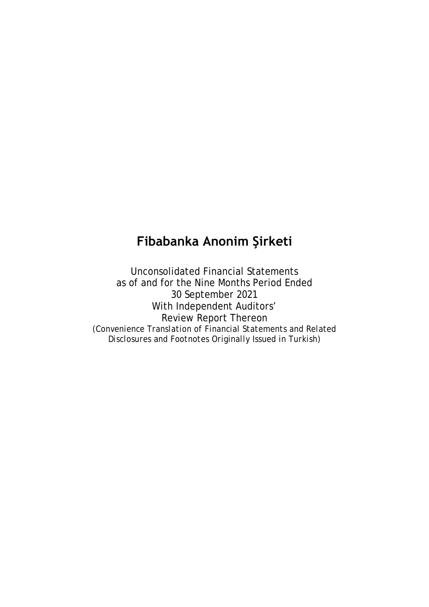# **Fibabanka Anonim Şirketi**

Unconsolidated Financial Statements as of and for the Nine Months Period Ended 30 September 2021 With Independent Auditors' Review Report Thereon *(Convenience Translation of Financial Statements and Related Disclosures and Footnotes Originally Issued in Turkish)*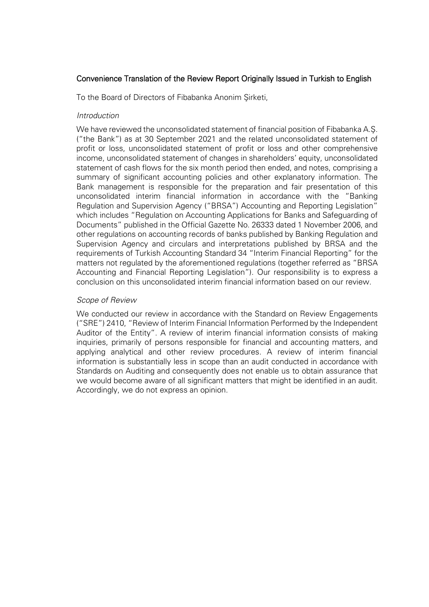### Convenience Translation of the Review Report Originally Issued in Turkish to English

To the Board of Directors of Fibabanka Anonim Şirketi,

### *Introduction*

We have reviewed the unconsolidated statement of financial position of Fibabanka A.Ş. ("the Bank") as at 30 September 2021 and the related unconsolidated statement of profit or loss, unconsolidated statement of profit or loss and other comprehensive income, unconsolidated statement of changes in shareholders' equity, unconsolidated statement of cash flows for the six month period then ended, and notes, comprising a summary of significant accounting policies and other explanatory information. The Bank management is responsible for the preparation and fair presentation of this unconsolidated interim financial information in accordance with the "Banking Regulation and Supervision Agency ("BRSA") Accounting and Reporting Legislation" which includes "Regulation on Accounting Applications for Banks and Safeguarding of Documents" published in the Official Gazette No. 26333 dated 1 November 2006, and other regulations on accounting records of banks published by Banking Regulation and Supervision Agency and circulars and interpretations published by BRSA and the requirements of Turkish Accounting Standard 34 "Interim Financial Reporting" for the matters not regulated by the aforementioned regulations (together referred as "BRSA Accounting and Financial Reporting Legislation"). Our responsibility is to express a conclusion on this unconsolidated interim financial information based on our review.

### *Scope of Review*

We conducted our review in accordance with the Standard on Review Engagements ("SRE") 2410, "Review of Interim Financial Information Performed by the Independent Auditor of the Entity". A review of interim financial information consists of making inquiries, primarily of persons responsible for financial and accounting matters, and applying analytical and other review procedures. A review of interim financial information is substantially less in scope than an audit conducted in accordance with Standards on Auditing and consequently does not enable us to obtain assurance that we would become aware of all significant matters that might be identified in an audit. Accordingly, we do not express an opinion.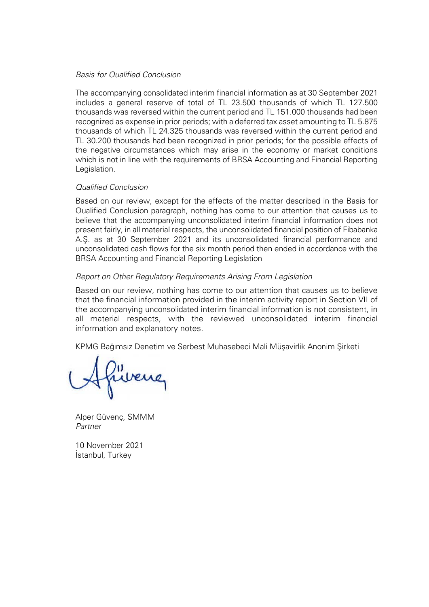### *Basis for Qualified Conclusion*

The accompanying consolidated interim financial information as at 30 September 2021 includes a general reserve of total of TL 23.500 thousands of which TL 127.500 thousands was reversed within the current period and TL 151.000 thousands had been recognized as expense in prior periods; with a deferred tax asset amounting to TL 5.875 thousands of which TL 24.325 thousands was reversed within the current period and TL 30.200 thousands had been recognized in prior periods; for the possible effects of the negative circumstances which may arise in the economy or market conditions which is not in line with the requirements of BRSA Accounting and Financial Reporting Legislation.

### *Qualified Conclusion*

Based on our review, except for the effects of the matter described in the Basis for Qualified Conclusion paragraph, nothing has come to our attention that causes us to believe that the accompanying unconsolidated interim financial information does not present fairly, in all material respects, the unconsolidated financial position of Fibabanka A.Ş. as at 30 September 2021 and its unconsolidated financial performance and unconsolidated cash flows for the six month period then ended in accordance with the BRSA Accounting and Financial Reporting Legislation

### *Report on Other Regulatory Requirements Arising From Legislation*

Based on our review, nothing has come to our attention that causes us to believe that the financial information provided in the interim activity report in Section VII of the accompanying unconsolidated interim financial information is not consistent, in all material respects, with the reviewed unconsolidated interim financial information and explanatory notes.

KPMG Bağımsız Denetim ve Serbest Muhasebeci Mali Müşavirlik Anonim Şirketi

fuvene

Alper Güvenç*,* SMMM *Partner*

10 November 2021 İstanbul, Turkey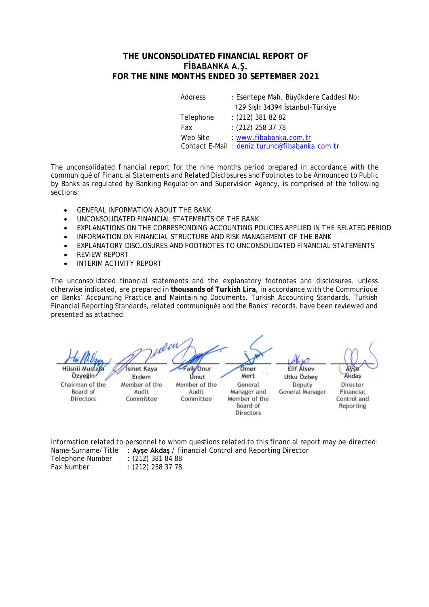### **THE UNCONSOLIDATED FINANCIAL REPORT OF FİBABANKA A.Ş. FOR THE NINE MONTHS ENDED 30 SEPTEMBER 2021**

| Address   | : Esentepe Mah. Büyükdere Caddesi No:         |
|-----------|-----------------------------------------------|
|           | 129 Şişli 34394 İstanbul-Türkiye              |
| Telephone | $(212)$ 381 82 82                             |
| Fax       | $(212)$ 258 37 78                             |
| Web Site  | www.fibabanka.com.tr                          |
|           | Contact E-Mail: deniz.turunc@fibabanka.com.tr |

The unconsolidated financial report for the nine months period prepared in accordance with the communiqué of Financial Statements and Related Disclosures and Footnotes to be Announced to Public by Banks as regulated by Banking Regulation and Supervision Agency, is comprised of the following sections:

- GENERAL INFORMATION ABOUT THE BANK
- UNCONSOLIDATED FINANCIAL STATEMENTS OF THE BANK
- EXPLANATIONS ON THE CORRESPONDING ACCOUNTING POLICIES APPLIED IN THE RELATED PERIOD
- INFORMATION ON FINANCIAL STRUCTURE AND RISK MANAGEMENT OF THE BANK
- EXPLANATORY DISCLOSURES AND FOOTNOTES TO UNCONSOLIDATED FINANCIAL STATEMENTS
- REVIEW REPORT
- INTERIM ACTIVITY REPORT

The unconsolidated financial statements and the explanatory footnotes and disclosures, unless otherwise indicated, are prepared in **thousands of Turkish Lira**, in accordance with the Communiqué on Banks' Accounting Practice and Maintaining Documents, Turkish Accounting Standards, Turkish Financial Reporting Standards, related communiqués and the Banks' records, have been reviewed and presented as attached.

Faik Onur **Elif Alsey** Hüsnü Mustaf **Ísmet Kava** Ömer Avse Özyeğin<sup>,</sup> Mert Utku Özbev **Akdas** Erdem Umut Chairman of the Member of the Member of the Deputy Director General **Board** of Audit Audit Manager and General Manager Financial Directors Member of the Control and Committee Committee Board of Reporting **Directors** 

Information related to personnel to whom questions related to this financial report may be directed: Name-Surname/Title : **Ayşe Akdaş** / Financial Control and Reporting Director  $(212)$  381 84 88

| Telepholie Multiper | . (212) 301 04 00  |
|---------------------|--------------------|
| Fax Number          | $:(212)$ 258 37 78 |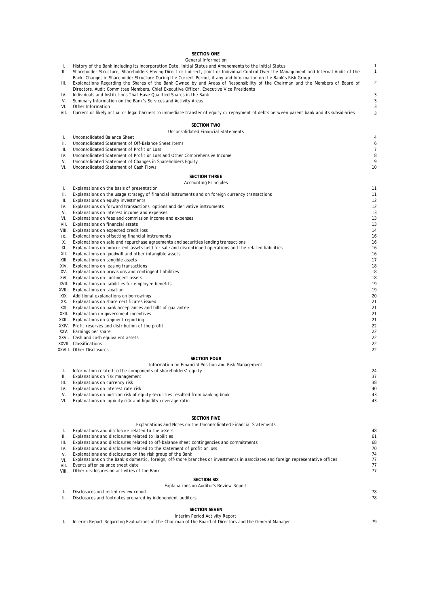|               | <b>SECTION ONE</b>                                                                                                                                                                                                                                            |          |
|---------------|---------------------------------------------------------------------------------------------------------------------------------------------------------------------------------------------------------------------------------------------------------------|----------|
| Τ.            | General Information<br>History of the Bank Including Its Incorporation Date, Initial Status and Amendments to the Initial Status                                                                                                                              |          |
| Ш.            | Shareholder Structure, Shareholders Having Direct or Indirect, Joint or Individual Control Over the Management and Internal Audit of the<br>Bank, Changes in Shareholder Structure During the Current Period, if any and Information on the Bank's Risk Group | 1        |
| III.          | Explanations Regarding the Shares of the Bank Owned by and Areas of Responsibility of the Chairman and the Members of Board of<br>Directors, Audit Committee Members, Chief Executive Officer, Executive Vice Presidents                                      | 2        |
| IV.<br>V.     | Individuals and Institutions That Have Qualified Shares in the Bank<br>Summary Information on the Bank's Services and Activity Areas                                                                                                                          | 3<br>3   |
| VI.           | Other Information                                                                                                                                                                                                                                             | 3        |
| VII.          | Current or likely actual or legal barriers to immediate transfer of equity or repayment of debts between parent bank and its subsidiaries                                                                                                                     | 3        |
|               | <b>SECTION TWO</b>                                                                                                                                                                                                                                            |          |
|               | Unconsolidated Financial Statements                                                                                                                                                                                                                           |          |
| T.<br>Ш.      | Unconsolidated Balance Sheet<br>Unconsolidated Statement of Off-Balance Sheet Items                                                                                                                                                                           |          |
| Ш.            | Unconsolidated Statement of Profit or Loss                                                                                                                                                                                                                    |          |
| IV.           | Unconsolidated Statement of Profit or Loss and Other Comprehensive Income                                                                                                                                                                                     |          |
| V.<br>VI.     | Unconsolidated Statement of Changes in Shareholders Equity<br>Unconsolidated Statement of Cash Flows                                                                                                                                                          | 10       |
|               | <b>SECTION THREE</b>                                                                                                                                                                                                                                          |          |
|               | <b>Accounting Principles</b>                                                                                                                                                                                                                                  |          |
| T.<br>Ш.      | Explanations on the basis of presentation<br>Explanations on the usage strategy of financial instruments and on foreign currency transactions                                                                                                                 | 11<br>11 |
| Ш.            | Explanations on equity investments                                                                                                                                                                                                                            | 12       |
| IV.           | Explanations on forward transactions, options and derivative instruments                                                                                                                                                                                      | 12       |
| V.<br>VI.     | Explanations on interest income and expenses<br>Explanations on fees and commission income and expenses                                                                                                                                                       | 13<br>13 |
| VII.          | Explanations on financial assets                                                                                                                                                                                                                              | 13       |
| VIII.         | Explanations on expected credit loss                                                                                                                                                                                                                          | 14       |
| IX.<br>Х.     | Explanations on offsetting financial instruments<br>Explanations on sale and repurchase agreements and securities lending transactions                                                                                                                        | 16<br>16 |
| XI.           | Explanations on noncurrent assets held for sale and discontinued operations and the related liabilities                                                                                                                                                       | 16       |
| XII.          | Explanations on goodwill and other intangible assets                                                                                                                                                                                                          | 16       |
|               | XIII. Explanations on tangible assets                                                                                                                                                                                                                         | 17       |
| XV.           | XIV. Explanations on leasing transactions<br>Explanations on provisions and contingent liabilities                                                                                                                                                            | 18<br>18 |
|               | XVI. Explanations on contingent assets                                                                                                                                                                                                                        | 18       |
|               | XVII. Explanations on liabilities for employee benefits                                                                                                                                                                                                       | 19       |
|               | XVIII. Explanations on taxation<br>XIX. Additional explanations on borrowings                                                                                                                                                                                 | 19<br>20 |
| XX.           | Explanations on share certificates issued                                                                                                                                                                                                                     | 21       |
|               | XXI. Explanations on bank acceptances and bills of guarantee                                                                                                                                                                                                  | 21       |
|               | XXII. Explanation on government incentives<br>XXIII. Explanations on segment reporting                                                                                                                                                                        | 21<br>21 |
|               | XXIV. Profit reserves and distribution of the profit                                                                                                                                                                                                          | 22       |
|               | XXV. Earnings per share                                                                                                                                                                                                                                       | 22       |
|               | XXVI. Cash and cash equivalent assets                                                                                                                                                                                                                         | 22       |
|               | XXVII. Classifications<br>XXVIII. Other Disclosures                                                                                                                                                                                                           | 22<br>22 |
|               | <b>SECTION FOUR</b>                                                                                                                                                                                                                                           |          |
|               | Information on Financial Position and Risk Management                                                                                                                                                                                                         |          |
| Τ.<br>Ш.      | Information related to the components of shareholders' equity<br>Explanations on risk management                                                                                                                                                              | 24<br>37 |
| III.          | Explanations on currency risk                                                                                                                                                                                                                                 | 38       |
| IV.           | Explanations on interest rate risk                                                                                                                                                                                                                            | 40       |
| V.            | Explanations on position risk of equity securities resulted from banking book                                                                                                                                                                                 | 43       |
| VI.           | Explanations on liquidity risk and liquidity coverage ratio                                                                                                                                                                                                   | 43       |
|               | <b>SECTION FIVE</b>                                                                                                                                                                                                                                           |          |
|               | Explanations and Notes on the Unconsolidated Financial Statements                                                                                                                                                                                             |          |
| I.            | Explanations and disclosure related to the assets                                                                                                                                                                                                             | 48       |
| ΙΙ.<br>III.   | Explanations and disclosures related to liabilities<br>Explanations and disclosures related to off-balance sheet contingencies and commitments                                                                                                                | 61<br>68 |
| IV.           | Explanations and disclosures related to the statement of profit or loss                                                                                                                                                                                       | 70       |
| V.            | Explanations and disclosures on the risk group of the Bank                                                                                                                                                                                                    | 74       |
| VI.           | Explanations on the Bank's domestic, foreign, off-shore branches or investments in associates and foreign representative offices<br>Events after balance sheet date                                                                                           | 77<br>77 |
| VII.<br>VIII. | Other disclosures on activities of the Bank                                                                                                                                                                                                                   | 77       |
|               | <b>SECTION SIX</b>                                                                                                                                                                                                                                            |          |
|               | Explanations on Auditor's Review Report                                                                                                                                                                                                                       |          |
| Τ.<br>Ш.      | Disclosures on limited review report<br>Disclosures and footnotes prepared by independent auditors                                                                                                                                                            | 78<br>78 |
|               |                                                                                                                                                                                                                                                               |          |
|               | <b>SECTION SEVEN</b>                                                                                                                                                                                                                                          |          |

I. Interim Report Regarding Evaluations of the Chairman of the Board of Directors and the General Manager 79 Interim Period Activity Report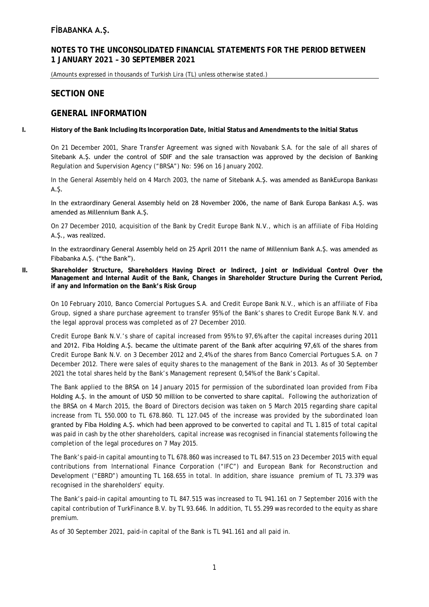### **NOTES TO THE UNCONSOLIDATED FINANCIAL STATEMENTS FOR THE PERIOD BETWEEN 1 JANUARY 2021 – 30 SEPTEMBER 2021**

(Amounts expressed in thousands of Turkish Lira (TL) unless otherwise stated.)

### **SECTION ONE**

### **GENERAL INFORMATION**

**I. History of the Bank Including Its Incorporation Date, Initial Status and Amendments to the Initial Status**

On 21 December 2001, Share Transfer Agreement was signed with Novabank S.A. for the sale of all shares of Sitebank A.Ş. under the control of SDIF and the sale transaction was approved by the decision of Banking Regulation and Supervision Agency ("BRSA") No: 596 on 16 January 2002.

In the General Assembly held on 4 March 2003, the name of Sitebank A.Ş. was amended as BankEuropa Bankası A.Ş.

In the extraordinary General Assembly held on 28 November 2006, the name of Bank Europa Bankası A.Ş. was amended as Millennium Bank A.Ş.

On 27 December 2010, acquisition of the Bank by Credit Europe Bank N.V., which is an affiliate of Fiba Holding A.S., was realized.

In the extraordinary General Assembly held on 25 April 2011 the name of Millennium Bank A.Ş. was amended as Fibabanka A.Ş. ("the Bank").

**II. Shareholder Structure, Shareholders Having Direct or Indirect, Joint or Individual Control Over the Management and Internal Audit of the Bank, Changes in Shareholder Structure During the Current Period, if any and Information on the Bank's Risk Group** 

On 10 February 2010, Banco Comercial Portugues S.A. and Credit Europe Bank N.V., which is an affiliate of Fiba Group, signed a share purchase agreement to transfer 95% of the Bank's shares to Credit Europe Bank N.V. and the legal approval process was completed as of 27 December 2010.

Credit Europe Bank N.V.'s share of capital increased from 95% to 97,6% after the capital increases during 2011 and 2012. Fiba Holding A.Ş. became the ultimate parent of the Bank after acquiring 97,6% of the shares from Credit Europe Bank N.V. on 3 December 2012 and 2,4% of the shares from Banco Comercial Portugues S.A. on 7 December 2012. There were sales of equity shares to the management of the Bank in 2013. As of 30 September 2021 the total shares held by the Bank's Management represent 0,54% of the Bank's Capital.

The Bank applied to the BRSA on 14 January 2015 for permission of the subordinated loan provided from Fiba Holding A.Ş. in the amount of USD 50 million to be converted to share capital. Following the authorization of the BRSA on 4 March 2015, the Board of Directors decision was taken on 5 March 2015 regarding share capital increase from TL 550.000 to TL 678.860. TL 127.045 of the increase was provided by the subordinated loan granted by Fiba Holding A.Ş. which had been approved to be converted to capital and TL 1.815 of total capital was paid in cash by the other shareholders, capital increase was recognised in financial statements following the completion of the legal procedures on 7 May 2015.

The Bank's paid-in capital amounting to TL 678.860 was increased to TL 847.515 on 23 December 2015 with equal contributions from International Finance Corporation ("IFC") and European Bank for Reconstruction and Development ("EBRD") amounting TL 168.655 in total. In addition, share issuance premium of TL 73.379 was recognised in the shareholders' equity.

The Bank's paid-in capital amounting to TL 847.515 was increased to TL 941.161 on 7 September 2016 with the capital contribution of TurkFinance B.V. by TL 93.646. In addition, TL 55.299 was recorded to the equity as share premium.

As of 30 September 2021, paid-in capital of the Bank is TL 941.161 and all paid in.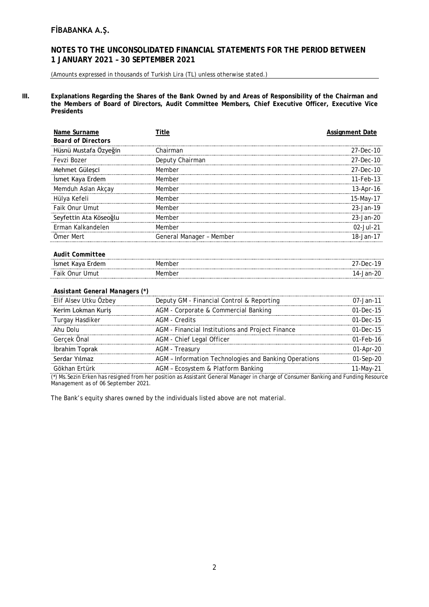### **NOTES TO THE UNCONSOLIDATED FINANCIAL STATEMENTS FOR THE PERIOD BETWEEN 1 JANUARY 2021 – 30 SEPTEMBER 2021**

(Amounts expressed in thousands of Turkish Lira (TL) unless otherwise stated.)

**III. Explanations Regarding the Shares of the Bank Owned by and Areas of Responsibility of the Chairman and the Members of Board of Directors, Audit Committee Members, Chief Executive Officer, Executive Vice Presidents**

| Name Surname                   | Title                    | <b>Assignment Date</b> |
|--------------------------------|--------------------------|------------------------|
| <b>Board of Directors</b>      |                          |                        |
| Hüsnü Mustafa Özyeğin          | Chairman                 | 27-Dec-10              |
| Fevzi Bozer                    | Deputy Chairman          | 27-Dec-10              |
| Mehmet Güleşci                 | Member                   | 27-Dec-10              |
| İsmet Kaya Erdem               | Member                   | 11-Feb-13              |
| Memduh Aslan Akçay             | Member                   | 13-Apr-16              |
| Hülya Kefeli                   | Member                   | 15-May-17              |
| Faik Onur Umut                 | Member                   | 23-Jan-19              |
| Seyfettin Ata Köseoğlu         | Member                   | 23-Jan-20              |
| Erman Kalkandelen              | Member                   | $02 -$ Jul-21          |
| Omer Mert                      | General Manager - Member | 18-Jan-17              |
| <b>Audit Committee</b>         |                          |                        |
| İsmet Kaya Erdem               | Member                   | 27-Dec-19              |
| Faik Onur Umut                 | Member                   | 14-Jan-20              |
| Assistant General Managers (*) |                          |                        |

| Elif Alsev Utku Özbey | Deputy GM - Financial Control & Reporting             | $07 - Jan - 11$ |
|-----------------------|-------------------------------------------------------|-----------------|
| Kerim Lokman Kuriş    | AGM - Corporate & Commercial Banking                  | $01 - Dec - 15$ |
| Turgay Hasdiker       | AGM - Credits                                         | $01-Dec-15$     |
| Ahu Dolu              | AGM - Financial Institutions and Project Finance      | $01-Dec-15$     |
| Gercek Önal           | AGM - Chief Legal Officer                             | $01 - Feh - 16$ |
| İbrahim Toprak        | AGM - Treasury                                        | $01$ -Apr-20    |
| Serdar Yılmaz         | AGM - Information Technologies and Banking Operations | 01-Sep-20       |
| Gökhan Frtürk         | AGM - Ecosystem & Platform Banking                    | 11-Mav-2        |

(\*) Ms.Sezin Erken has resigned from her position as Assistant General Manager in charge of Consumer Banking and Funding Resource Management as of 06 September 2021.

The Bank's equity shares owned by the individuals listed above are not material.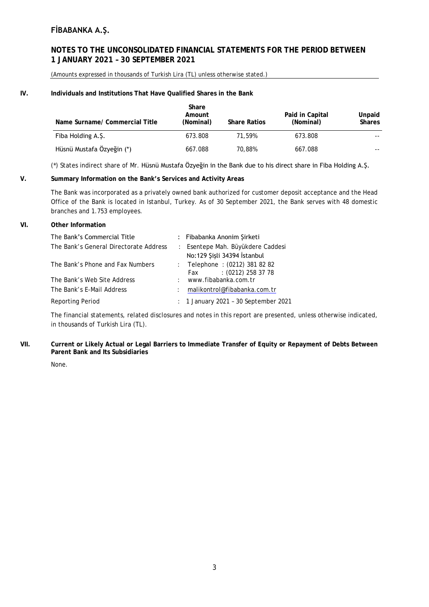### **NOTES TO THE UNCONSOLIDATED FINANCIAL STATEMENTS FOR THE PERIOD BETWEEN 1 JANUARY 2021 – 30 SEPTEMBER 2021**

(Amounts expressed in thousands of Turkish Lira (TL) unless otherwise stated.)

#### **IV. Individuals and Institutions That Have Qualified Shares in the Bank**

| Name Surname/ Commercial Title | Share<br>Amount<br>(Nominal) | <b>Share Ratios</b> | Paid in Capital<br>(Nominal) | Unpaid<br><b>Shares</b> |
|--------------------------------|------------------------------|---------------------|------------------------------|-------------------------|
| Fiba Holding A.Ş.              | 673.808                      | 71.59%              | 673.808                      | $- -$                   |
| Hüsnü Mustafa Özyeğin (*)      | 667.088                      | 70.88%              | 667.088                      | $- -$                   |

(\*) States indirect share of Mr. Hüsnü Mustafa Özyeğin in the Bank due to his direct share in Fiba Holding A.Ş.

#### **V. Summary Information on the Bank's Services and Activity Areas**

The Bank was incorporated as a privately owned bank authorized for customer deposit acceptance and the Head Office of the Bank is located in Istanbul, Turkey. As of 30 September 2021, the Bank serves with 48 domestic branches and 1.753 employees.

#### **VI. Other Information**

| The Bank's Commercial Title            |       | : Fibabanka Anonim Şirketi                                       |
|----------------------------------------|-------|------------------------------------------------------------------|
| The Bank's General Directorate Address |       | : Esentepe Mah. Büyükdere Caddesi<br>No:129 Şişli 34394 İstanbul |
| The Bank's Phone and Fax Numbers       |       | : Telephone : (0212) 381 82 82<br>$(0212)$ 258 37 78<br>Fax      |
| The Bank's Web Site Address            | $\pm$ | www.fibabanka.com.tr                                             |
| The Bank's E-Mail Address              | ÷.    | malikontrol@fibabanka.com.tr                                     |
| <b>Reporting Period</b>                |       | : 1 January 2021 - 30 September 2021                             |

The financial statements, related disclosures and notes in this report are presented, unless otherwise indicated, in thousands of Turkish Lira (TL).

#### **VII. Current or Likely Actual or Legal Barriers to Immediate Transfer of Equity or Repayment of Debts Between Parent Bank and Its Subsidiaries**

None.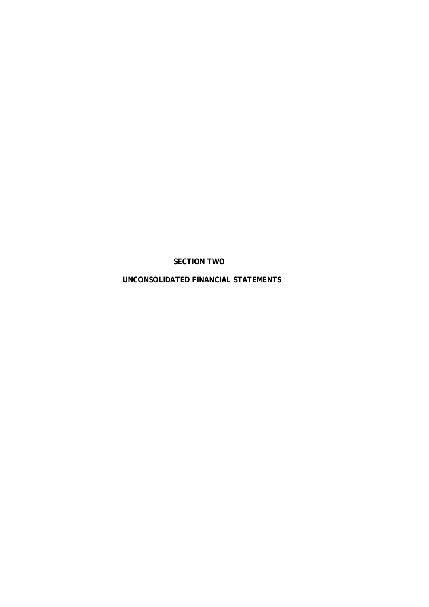**SECTION TWO**

**UNCONSOLIDATED FINANCIAL STATEMENTS**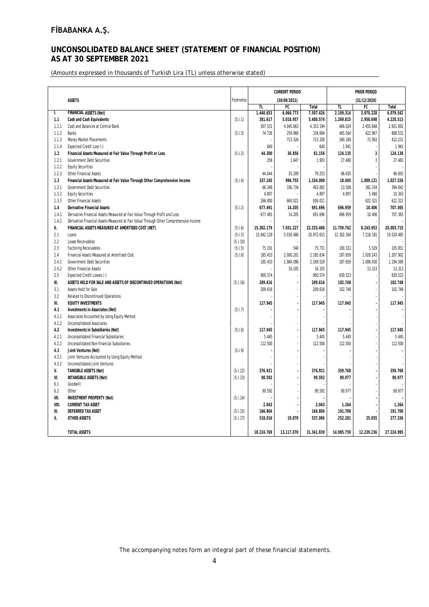### **UNCONSOLIDATED BALANCE SHEET (STATEMENT OF FINANCIAL POSITION) AS AT 30 SEPTEMBER 2021**

(Amounts expressed in thousands of Turkish Lira (TL) unless otherwise stated)

|       |                                                                                       |           | <b>CURRENT PERIOD</b> |              |            | PRIOR PERIOD |              |            |  |  |
|-------|---------------------------------------------------------------------------------------|-----------|-----------------------|--------------|------------|--------------|--------------|------------|--|--|
|       | <b>ASSETS</b>                                                                         | Footnotes |                       | (30/09/2021) |            |              | (31/12/2020) |            |  |  |
|       |                                                                                       |           | <b>TL</b>             | FC           | Total      | TL           | FC           | Total      |  |  |
| I.    | <b>FINANCIAL ASSETS (Net)</b>                                                         |           | 1.440.653             | 6.066.773    | 7.507.426  | 2.109.314    | 3.970.228    | 6.079.542  |  |  |
| 1.1   | Cash and Cash Equivalents                                                             | (5.1.1)   | 381.617               | 5.018.957    | 5.400.574  | 1.269.815    | 2.950.698    | 4.220.513  |  |  |
| 1.1.1 | Cash and Balances at Central Bank                                                     |           | 307.531               | 4.045.663    | 4.353.194  | 466.024      | 2.455.668    | 2.921.692  |  |  |
| 1.1.2 | <b>Banks</b>                                                                          | (5.1.3)   | 74.726                | 259.968      | 334.694    | 465.564      | 422.967      | 888.531    |  |  |
| 1.1.3 | Money Market Placements                                                               |           |                       | 713.326      | 713.326    | 340.168      | 72.063       | 412.231    |  |  |
| 1.1.4 | Expected Credit Loss (-)                                                              |           | 640                   |              | 640        | 1.941        |              | 1.941      |  |  |
| 1.2   | Financial Assets Measured at Fair Value Through Profit or Loss                        | (5.1.2)   | 44.300                | 36.856       | 81.156     | 124.135      | $\mathbf 3$  | 124.138    |  |  |
| 1.2.1 | <b>Government Debt Securities</b>                                                     |           | 256                   | 1.647        | 1.903      | 27.480       | 3            | 27.483     |  |  |
| 1.2.2 | <b>Equity Securities</b>                                                              |           |                       |              |            |              |              |            |  |  |
| 1.2.3 | Other Financial Assets                                                                |           | 44.044                | 35.209       | 79.253     | 96.655       |              | 96.655     |  |  |
| 1.3   | Financial Assets Measured at Fair Value Through Other Comprehensive Income            | (5.1.4)   | 337.245               | 996.755      | 1.334.000  | 18.405       | 1.009.121    | 1.027.526  |  |  |
| 1.3.1 | <b>Government Debt Securities</b>                                                     |           | 66.348                | 336.734      | 403.082    | 13.508       | 381.334      | 394.842    |  |  |
| 1.3.2 | <b>Equity Securities</b>                                                              |           | 4.897                 |              | 4.897      | 4.897        | 5.466        | 10.363     |  |  |
| 1.3.3 | Other Financial Assets                                                                |           | 266.000               | 660.021      | 926.021    |              | 622.321      | 622.321    |  |  |
| 1.4   | <b>Derivative Financial Assets</b>                                                    | (5.1.2)   | 677.491               | 14.205       | 691.696    | 696.959      | 10.406       | 707.365    |  |  |
| 1.4.1 | Derivative Financial Assets Measured at Fair Value Through Profit and Loss            |           | 677.491               | 14.205       | 691.696    | 696.959      | 10.406       | 707.365    |  |  |
| 1.4.2 | Derivative Financial Assets Measured at Fair Value Through Other Comprehensive Income |           |                       |              |            |              |              |            |  |  |
| Ш.    | FINANCIAL ASSETS MEASURED AT AMORTISED COST (NET)                                     | (5.1.6)   | 15.302.179            | 7.031.227    | 22.333.406 | 11.759.762   | 8.243.953    | 20.003.715 |  |  |
| 2.1   | Loans                                                                                 | (5.1.5)   | 15.942.129            | 5.030.486    | 20.972.615 | 12.302.304   | 7.218.181    | 19.520.485 |  |  |
| 2.2   | Lease Receivables                                                                     | (5.1.10)  |                       |              |            |              |              |            |  |  |
| 2.3   | <b>Factoring Receivables</b>                                                          | (5.1.5)   | 75.191                | 540          | 75.731     | 100.322      | 5.529        | 105.851    |  |  |
| 2.4   | Financial Assets Measured at Amortised Cost                                           | (5.1.6)   | 185.433               | 2.000.201    | 2.185.634  | 187.659      | 1.020.243    | 1.207.902  |  |  |
| 2.4.1 | Government Debt Securities                                                            |           | 185.433               | 1.984.096    | 2.169.529  | 187.659      | 1.006.930    | 1.194.589  |  |  |
| 2.4.2 | Other Financial Assets                                                                |           |                       | 16.105       | 16.105     |              | 13.313       | 13.313     |  |  |
| 2.5   | Expected Credit Losses (-)                                                            |           | 900.574               |              | 900.574    | 830.523      |              | 830.523    |  |  |
| Ⅲ.    | ASSETS HELD FOR SALE AND ASSETS OF DISCONTINUED OPERATIONS (Net)                      | (5.1.16)  | 209.616               |              | 209.616    | 102.748      |              | 102.748    |  |  |
| 3.1   | Assets Held for Sale                                                                  |           | 209.616               |              | 209.616    | 102.748      |              | 102.748    |  |  |
| 3.2   | Related to Discontinued Operations                                                    |           |                       |              |            |              |              |            |  |  |
| IV.   | <b>EQUITY INVESTMENTS</b>                                                             |           | 117.945               |              | 117.945    | 117.945      |              | 117.945    |  |  |
| 4.1   | Investments in Associates (Net)                                                       | (5.1.7)   |                       |              |            |              |              |            |  |  |
| 4.1.1 | Associates Accounted by Using Equity Method                                           |           |                       |              |            |              |              |            |  |  |
| 4.1.2 | <b>Unconsolidated Associates</b>                                                      |           |                       |              |            |              |              |            |  |  |
| 4.2   | Investments in Subsidiaries (Net)                                                     | (5.1.8)   | 117.945               |              | 117.945    | 117.945      |              | 117.945    |  |  |
| 4.2.1 | Unconsolidated Financial Subsidiaries                                                 |           | 5.445                 |              | 5.445      | 5.445        |              | 5.445      |  |  |
| 4.2.2 | Unconsolidated Non-financial Subsidiaries                                             |           | 112.500               |              | 112.500    | 112.500      |              | 112.500    |  |  |
| 4.3   | Joint Ventures (Net)                                                                  | (5.1.9)   |                       |              |            |              |              |            |  |  |
| 4.3.1 | Joint Ventures Accounted by Using Equity Method                                       |           |                       |              |            |              |              |            |  |  |
| 4.3.2 | <b>Unconsolidated Joint Ventures</b>                                                  |           |                       |              |            |              |              |            |  |  |
| V.    | <b>TANGIBLE ASSETS (Net)</b>                                                          | (5.1.12)  | 376.921               |              | 376.921    | 359.768      |              | 359.768    |  |  |
| VI.   | <b>INTANGIBLE ASSETS (Net)</b>                                                        | (5.1.13)  | 90.592                |              | 90.592     | 90.977       |              | 90.977     |  |  |
| 6.1   | Goodwill                                                                              |           |                       |              |            |              |              |            |  |  |
| 6.2   | Other                                                                                 |           | 90.592                |              | 90.592     | 90.977       |              | 90.977     |  |  |
| VII.  | <b>INVESTMENT PROPERTY (Net)</b>                                                      | (5.1.14)  |                       |              |            |              |              |            |  |  |
| VIII. | <b>CURRENT TAX ASSET</b>                                                              |           | 2.043                 |              | 2.043      | 1.264        |              | 1.264      |  |  |
| IX.   | DEFERRED TAX ASSET                                                                    | (5.1.15)  | 166.804               |              | 166.804    | 191.700      |              | 191.700    |  |  |
| Χ.    | <b>OTHER ASSETS</b>                                                                   | (5.1.17)  | 518.016               | 19.070       | 537.086    | 252.281      | 25.055       | 277.336    |  |  |
|       |                                                                                       |           |                       |              |            |              |              |            |  |  |
|       | <b>TOTAL ASSETS</b>                                                                   |           | 18.224.769            | 13.117.070   | 31.341.839 | 14.985.759   | 12.239.236   | 27.224.995 |  |  |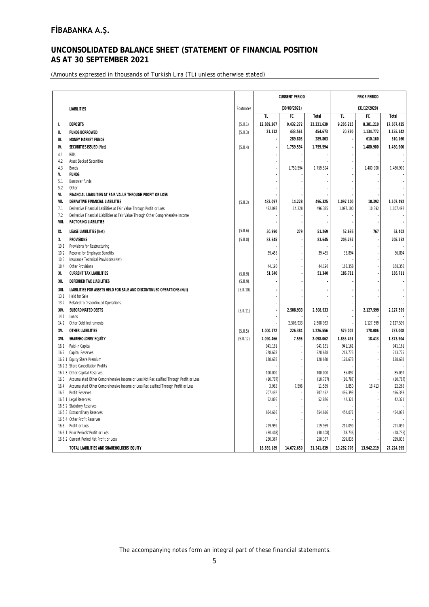### **UNCONSOLIDATED BALANCE SHEET (STATEMENT OF FINANCIAL POSITION AS AT 30 SEPTEMBER 2021**

(Amounts expressed in thousands of Turkish Lira (TL) unless otherwise stated)

|       |                                                                                        |           |            | <b>CURRENT PERIOD</b> |            | PRIOR PERIOD   |              |            |  |
|-------|----------------------------------------------------------------------------------------|-----------|------------|-----------------------|------------|----------------|--------------|------------|--|
|       | <b>LIABILITIES</b>                                                                     | Footnotes |            | (30/09/2021)          |            |                | (31/12/2020) |            |  |
|       |                                                                                        |           | TL.        | ${\sf FC}$            | Total      | TL             | FC           | Total      |  |
| Ι.    | <b>DEPOSITS</b>                                                                        | (5.11.1)  | 12.889.367 | 9.432.272             | 22.321.639 | 9.286.215      | 8.381.210    | 17.667.425 |  |
| Ш.    | <b>FUNDS BORROWED</b>                                                                  | (5.11.3)  | 21.112     | 433.561               | 454.673    | 20.370         | 1.134.772    | 1.155.142  |  |
| III.  | <b>MONEY MARKET FUNDS</b>                                                              |           |            | 289.803               | 289.803    | $\blacksquare$ | 610.160      | 610.160    |  |
| IV.   | SECURITIES ISSUED (Net)                                                                | (5.11.4)  |            | 1.759.594             | 1.759.594  |                | 1.480.900    | 1.480.900  |  |
| 4.1   | Bills                                                                                  |           |            |                       |            |                |              |            |  |
| 4.2   | <b>Asset Backed Securities</b>                                                         |           |            |                       |            |                |              |            |  |
| 4.3   | <b>Bonds</b>                                                                           |           |            | 1.759.594             | 1.759.594  |                | 1.480.900    | 1.480.900  |  |
| V.    | <b>FUNDS</b>                                                                           |           |            |                       |            |                |              |            |  |
| 5.1   | Borrower funds                                                                         |           |            |                       |            |                |              |            |  |
| 5.2   | Other                                                                                  |           |            |                       |            |                |              |            |  |
| VI.   | FINANCIAL LIABILITIES AT FAIR VALUE THROUGH PROFIT OR LOSS                             |           |            |                       |            |                |              |            |  |
| VII.  | DERIVATIVE FINANCIAL LIABILITIES                                                       | (5.11.2)  | 482.097    | 14.228                | 496.325    | 1.097.100      | 10.392       | 1.107.492  |  |
| 7.1   | Derivative Financial Labilities at Fair Value Through Profit or Loss                   |           | 482.097    | 14.228                | 496.325    | 1.097.100      | 10.392       | 1.107.492  |  |
| 7.2   | Derivative Financial Liabilities at Fair Value Through Other Comprehensive Income      |           |            |                       |            |                |              |            |  |
| VIII. | <b>FACTORING LIABILITIES</b>                                                           |           |            |                       |            |                |              |            |  |
| IX.   | <b>LEASE LIABILITIES (Net)</b>                                                         | (5.11.6)  | 50.990     | 279                   | 51.269     | 52.635         | 767          | 53.402     |  |
| Χ.    | <b>PROVISIONS</b>                                                                      | (5.11.8)  | 83.645     |                       | 83.645     | 205.252        |              | 205.252    |  |
| 10.1  | Provisions for Restructuring                                                           |           |            |                       |            |                |              |            |  |
| 10.2  | Reserve for Employee Benefits                                                          |           | 39.455     |                       | 39.455     | 36.894         |              | 36.894     |  |
| 10.3  | Insurance Technical Provisions (Net)                                                   |           |            |                       |            |                |              |            |  |
| 10.4  | Other Provisions                                                                       |           | 44.190     |                       | 44.190     | 168.358        |              | 168.358    |  |
| XI.   | <b>CURRENT TAX LIABILITIES</b>                                                         | (5.11.9)  | 51.340     |                       | 51.340     | 186.711        |              | 186.711    |  |
| XII.  | DEFERRED TAX LIABILITIES                                                               | (5.11.9)  |            |                       |            |                |              |            |  |
| XIII. | LIABILITIES FOR ASSETS HELD FOR SALE AND DISCONTINUED OPERATIONS (Net)                 | (5.11.10) |            |                       |            |                |              |            |  |
| 13.1  | Held for Sale                                                                          |           |            |                       |            |                |              |            |  |
| 13.2  | Related to Discontinued Operations                                                     |           |            |                       |            |                |              |            |  |
| XIV.  | SUBORDINATED DEBTS                                                                     | (5.11.11) |            | 2.508.933             | 2.508.933  |                | 2.127.599    | 2.127.599  |  |
| 14.1  | Loans                                                                                  |           |            |                       |            |                |              |            |  |
| 14.2  | Other Debt Instruments                                                                 |           |            | 2.508.933             | 2.508.933  |                | 2.127.599    | 2.127.599  |  |
| XV.   | OTHER LIABILITIES                                                                      | (5.11.5)  | 1.000.172  | 226.384               | 1.226.556  | 579.002        | 178.006      | 757.008    |  |
| XVI.  | SHAREHOLDERS' EQUITY                                                                   | (5.11.12) | 2.090.466  | 7.596                 | 2.098.062  | 1.855.491      | 18.413       | 1.873.904  |  |
| 16.1  | Paid-in Capital                                                                        |           | 941.161    |                       | 941.161    | 941.161        |              | 941.161    |  |
| 16.2  | Capital Reserves                                                                       |           | 228.678    |                       | 228.678    | 213.775        |              | 213.775    |  |
|       | 16.2.1 Equity Share Premium                                                            |           | 128.678    |                       | 128.678    | 128.678        |              | 128.678    |  |
|       | 16.2.2 Share Cancellation Profits<br>16.2.3 Other Capital Reserves                     |           | 100.000    |                       | 100.000    | 85.097         |              | 85.097     |  |
| 16.3  | Accumulated Other Comprehensive Income or Loss Not Reclassified Through Profit or Loss |           | (10.787)   |                       | (10.787)   | (10.787)       |              | (10.787)   |  |
| 16.4  | Accumulated Other Comprehensive Income or Loss Reclassified Through Profit or Loss     |           | 3.963      | 7.596                 | 11.559     | 3.850          | 18.413       | 22.263     |  |
| 16.5  | Profit Reserves                                                                        |           | 707.492    |                       | 707.492    | 496.393        |              | 496.393    |  |
|       | 16.5.1 Legal Reserves                                                                  |           | 52.876     |                       | 52.876     | 42.321         |              | 42.321     |  |
|       | 16.5.2 Statutory Reserves                                                              |           |            |                       |            |                |              |            |  |
|       | 16.5.3 Extraordinary Reserves                                                          |           | 654.616    |                       | 654.616    | 454.072        |              | 454.072    |  |
|       | 16.5.4 Other Profit Reserves                                                           |           |            |                       |            |                |              |            |  |
|       | 16.6 Profit or Loss                                                                    |           | 219.959    |                       | 219.959    | 211.099        |              | 211.099    |  |
|       | 16.6.1 Prior Periods' Profit or Loss                                                   |           | (30.408)   |                       | (30.408)   | (18.736)       |              | (18.736)   |  |
|       | 16.6.2 Current Period Net Profit or Loss                                               |           | 250.367    |                       | 250.367    | 229.835        |              | 229.835    |  |
|       | TOTAL LIABILITIES AND SHAREHOLDERS' EQUITY                                             |           | 16.669.189 | 14.672.650            | 31.341.839 | 13.282.776     | 13.942.219   | 27.224.995 |  |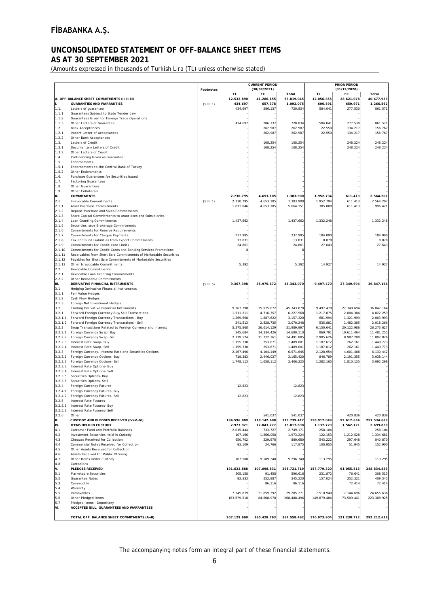## **UNCONSOLIDATED STATEMENT OF OFF-BALANCE SHEET ITEMS**

### **AS AT 30 SEPTEMBER 2021**

(Amounts expressed in thousands of Turkish Lira (TL) unless otherwise stated)

|                    |                                                                                                                                  |                  |                         | <b>CURRENT PERIOD</b>   |                         | <b>PRIOR PERIOD</b>    |                         |                         |  |
|--------------------|----------------------------------------------------------------------------------------------------------------------------------|------------------|-------------------------|-------------------------|-------------------------|------------------------|-------------------------|-------------------------|--|
|                    |                                                                                                                                  | <b>Footnotes</b> |                         | (30/09/2021)            |                         |                        | (31/12/2020)            |                         |  |
|                    | A. OFF-BALANCE SHEET COMMITMENTS (I+II+III)                                                                                      |                  | <b>TL</b><br>12.532.890 | FC<br>41.286.155        | Total<br>53.819.045     | TL<br>12.056.855       | FC<br>28.621.078        | Total<br>40.677.933     |  |
| I.                 | <b>GUARANTIES AND WARRANTIES</b>                                                                                                 | (5.11.1)         | 434.697                 | 657.378                 | 1.092.075               | 606.591                | 659.971                 | 1.266.562               |  |
| 1.1.               | Letters of guarantee                                                                                                             |                  | 434.697                 | 286.137                 | 720.834                 | 584.041                | 277.530                 | 861.571                 |  |
| 1.1.1<br>1.1.2     | Guarantees Subject to State Tender Law<br>Guarantees Given for Foreign Trade Operations                                          |                  |                         |                         |                         |                        |                         |                         |  |
| 1.1.3              | Other Letters of Guarantee                                                                                                       |                  | 434.697                 | 286.137                 | 720.834                 | 584.041                | 277.530                 | 861.571                 |  |
| 1.2.               | <b>Bank Acceptances</b>                                                                                                          |                  |                         | 262.987                 | 262.987                 | 22.550                 | 134.217                 | 156.767                 |  |
| 1.2.1              | Import Letter of Acceptances                                                                                                     |                  |                         | 262.987                 | 262.987                 | 22.550                 | 134.217                 | 156.767                 |  |
| 1.2.2              | Other Bank Acceptances                                                                                                           |                  |                         |                         |                         |                        |                         |                         |  |
| 1.3.<br>1.3.1      | Letters of Credit<br>Documentary Letters of Credit                                                                               |                  |                         | 108.254<br>108.254      | 108.254<br>108.254      |                        | 248.224<br>248.224      | 248.224<br>248.224      |  |
| 1.3.2              | Other Letters of Credit                                                                                                          |                  |                         |                         |                         |                        |                         |                         |  |
| 1.4.               | Prefinancing Given as Guarantee                                                                                                  |                  |                         |                         |                         |                        |                         |                         |  |
| 1.5.               | Endorsements                                                                                                                     |                  |                         |                         |                         |                        |                         |                         |  |
| 1.5.1<br>1.5.2     | Endorsements to the Central Bank of Turkey<br>Other Endorsments                                                                  |                  |                         |                         |                         |                        |                         |                         |  |
| 1.6.               | Purchase Guarantees for Securities Issued                                                                                        |                  |                         |                         |                         |                        |                         |                         |  |
| 1.7.               | <b>Factoring Guarantees</b>                                                                                                      |                  |                         |                         |                         |                        |                         |                         |  |
| 1.8.               | Other Guarantees                                                                                                                 |                  |                         |                         |                         |                        |                         |                         |  |
| 1.9.<br>III.       | Other Collaterals<br><b>COMMITMENTS</b>                                                                                          |                  | 2.730.795               | 4.653.105               | 7.383.900               | 1.952.794              | 611.413                 | 2.564.207               |  |
| 2.1.               | Irrevocable Commitments                                                                                                          | (5.11.1)         | 2.730.795               | 4.653.105               | 7.383.900               | 1.952.794              | 611.413                 | 2.564.207               |  |
| 2.1.1              | <b>Asset Purchase Commitments</b>                                                                                                |                  | 1.011.046               | 4.653.105               | 5.664.151               | 385.008                | 611.413                 | 996.421                 |  |
| 2.1.2              | Deposit Purchase and Sales Commitments                                                                                           |                  |                         |                         |                         |                        |                         |                         |  |
| 2.1.3              | Share Capital Commitments to Associates and Subsidiaries                                                                         |                  |                         |                         |                         |                        |                         |                         |  |
| 2.1.4<br>2.1.5     | Loan Granting Commitments<br>Securities Issue Brokerage Commitments                                                              |                  | 1.437.662               |                         | 1.437.662               | 1.332.248              |                         | 1.332.248               |  |
| 2.1.6              | Commitments for Reserve Requirements                                                                                             |                  |                         |                         |                         |                        |                         |                         |  |
| 2.1.7              | Commitments for Cheque Payments                                                                                                  |                  | 237.995                 |                         | 237.995                 | 184.090                |                         | 184.090                 |  |
| 2.1.8              | Tax and Fund Liabilities from Export Commitments                                                                                 |                  | 13.831                  |                         | 13.831                  | 8.878                  |                         | 8.878                   |  |
| 2.1.9              | Commitments for Credit Card Limits                                                                                               |                  | 24.861                  |                         | 24.861                  | 27.643                 |                         | 27.643                  |  |
| 2.1.10<br>2.1.11   | Commitments for Credit Cards and Banking Services Promotions<br>Receivables from Short Sale Commitments of Marketable Securities |                  | 8                       |                         | ε                       |                        |                         |                         |  |
| 2.1.12             | Payables for Short Sale Commitments of Marketable Securities                                                                     |                  |                         |                         |                         |                        |                         |                         |  |
| 2.1.13             | Other Irrevocable Commitments                                                                                                    |                  | 5.392                   |                         | 5.392                   | 14.927                 |                         | 14.927                  |  |
| 2.2.               | Revocable Commitments                                                                                                            |                  |                         |                         |                         |                        |                         |                         |  |
| 2.2.1              | Revocable Loan Granting Commitments                                                                                              |                  |                         |                         |                         |                        |                         |                         |  |
| 2.2.2<br>III.      | Other Revocable Commitments<br>DERIVATIVE FINANCIAL INSTRUMENTS                                                                  | (5.11.5)         | 9.367.398               | 35.975.672              | 45.343.070              | 9.497.470              | 27.349.694              | 36.847.164              |  |
| 3.1                | Hedging Derivative Financial Instruments                                                                                         |                  |                         |                         |                         |                        |                         |                         |  |
| 3.1.1              | Fair Value Hedges                                                                                                                |                  |                         |                         |                         |                        |                         |                         |  |
| 3.1.2              | Cash Flow Hedges                                                                                                                 |                  |                         |                         |                         |                        |                         |                         |  |
| 3.1.3              | Foreign Net Investment Hedges                                                                                                    |                  |                         |                         |                         |                        |                         |                         |  |
| 3.2<br>3.2.1       | <b>Trading Derivative Financial Instruments</b><br>Forward Foreign Currency Buy/Sell Transactions                                |                  | 9.367.398<br>1.511.211  | 35.975.672<br>4.716.357 | 45.343.070<br>6.227.568 | 9.497.470<br>1.217.875 | 27.349.694<br>2.804.384 | 36.847.164<br>4.022.259 |  |
| 3.2.1.1            | Forward Foreign Currency Transactions - Buy                                                                                      |                  | 1.269.698               | 1.887.622               | 3.157.320               | 681.994                | 1.321.999               | 2.003.993               |  |
| 3.2.1.2            | Forward Foreign Currency Transactions - Sell                                                                                     |                  | 241.513                 | 2.828.735               | 3.070.248               | 535.881                | 1.482.385               | 2.018.266               |  |
| 3.2.2              | Swap Transactions Related to Foreign Currency and Interest                                                                       |                  | 5.375.868               | 26.614.129              | 31.989.997              | 6.150.641              | 20.122.986              | 26.273.627              |  |
| 3.2.2.1            | Foreign Currency Swap- Buy                                                                                                       |                  | 345.684                 | 14.334.426              | 14.680.110              | 869.791                | 10.611.464              | 11.481.255              |  |
| 3.2.2.2<br>3.2.2.3 | Foreign Currency Swap- Sell<br>Interest Rate Swap- Buy                                                                           |                  | 2.719.524<br>1.155.330  | 11.772.361<br>253.671   | 14.491.885<br>1.409.001 | 2.905.626<br>1.187.612 | 8.987.200<br>262.161    | 11.892.826<br>1.449.773 |  |
| 3.2.2.4            | Interest Rate Swap- Sell                                                                                                         |                  | 1.155.330               | 253.671                 | 1.409.001               | 1.187.612              | 262.161                 | 1.449.773               |  |
| 3.2.3              | Foreign Currency, Interest Rate and Securities Options                                                                           |                  | 2.467.496               | 4.104.149               | 6.571.645               | 2.128.954              | 4.001.488               | 6.130.442               |  |
| 3.2.3.1            | Foreign Currency Options- Buy                                                                                                    |                  | 719.383                 | 2.446.037               | 3.165.420               | 846.789                | 2.191.355               | 3.038.144               |  |
| 3.2.3.2<br>3.2.3.3 | Foreign Currency Options- Sell<br>Interest Rate Options- Buy                                                                     |                  | 1.748.113               | 1.658.112               | 3.406.225               | 1.282.165              | 1.810.133               | 3.092.298               |  |
| 3.2.3.4            | Interest Rate Options- Sell                                                                                                      |                  |                         |                         |                         |                        |                         |                         |  |
| 3.2.3.5            | Securities Options- Buy                                                                                                          |                  |                         |                         |                         |                        |                         |                         |  |
| 3.2.3.6            | Securities Options- Sell                                                                                                         |                  |                         |                         |                         |                        |                         |                         |  |
| 3.2.4              | Foreign Currency Futures                                                                                                         |                  | 12.823                  |                         | 12.823                  |                        |                         |                         |  |
| 3.2.4.1            | Foreign Currency Futures- Buy<br>3.2.4.2 Foreign Currency Futures-Sell                                                           |                  | 12.823                  |                         | 12.823                  |                        |                         |                         |  |
| 3.2.5              | <b>Interest Rate Futures</b>                                                                                                     |                  |                         |                         |                         |                        |                         |                         |  |
| 3.2.5.1            | Interest Rate Futures- Buy                                                                                                       |                  |                         |                         |                         |                        |                         |                         |  |
| 3.2.5.2            | Interest Rate Futures- Sell                                                                                                      |                  |                         |                         |                         |                        |                         |                         |  |
| 3.2.6<br>B.        | Other<br>CUSTODY AND PLEDGES RECEIVED (IV+V+VI)                                                                                  |                  | 194.596.809             | 541.037<br>119.142.608  | 541.037<br>313.739.417  | 158.917.049            | 420.836<br>92.617.634   | 420.836<br>251.534.683  |  |
| IV.                | <b>ITEMS HELD IN CUSTODY</b>                                                                                                     |                  | 2.973.921               | 12.043.777              | 15.017.698              | 1.137.729              | 1.562.121               | 2.699.850               |  |
| 4.1                | Customer Fund and Portfolio Balances                                                                                             |                  | 2.015.444               | 733.727                 | 2.749.171               | 258.104                |                         | 258.104                 |  |
| 4.2                | Investment Securities Held in Custody                                                                                            |                  | 107.166                 | 1.866.058               | 1.973.224               | 122.153                | 1.212.528               | 1.334.681               |  |
| 4.3                | Cheques Received for Collection                                                                                                  |                  | 650.702                 | 229.978                 | 880.680                 | 543.222                | 297.648                 | 840.870                 |  |
| 4.4<br>4.5         | Commercial Notes Received for Collection<br>Other Assets Received for Collection                                                 |                  | 93.109                  | 24.766                  | 117.875                 | 100.955                | 51.945                  | 152.900                 |  |
| 4.6                | Assets Received for Public Offering                                                                                              |                  |                         |                         |                         |                        |                         |                         |  |
| 4.7                | Other Items Under Custody                                                                                                        |                  | 107.500                 | 9.189.248               | 9.296.748               | 113.295                |                         | 113.295                 |  |
| 4.8                | Custodians                                                                                                                       |                  |                         |                         |                         |                        |                         |                         |  |
| V.                 | <b>PLEDGES RECEIVED</b>                                                                                                          |                  | 191.622.888             | 107.098.831             | 298.721.719             | 157.779.320            | 91.055.513              | 248.834.833             |  |
| 5.1<br>5.2         | Marketable Securities<br><b>Guarantee Notes</b>                                                                                  |                  | 505.158<br>92.333       | 91.458<br>252.887       | 596.616<br>345.220      | 231.872<br>157.024     | 76.641<br>252.321       | 308.513<br>409.345      |  |
| 5.3                | Commodity                                                                                                                        |                  |                         | 86.116                  | 86.116                  |                        | 72.414                  | 72.414                  |  |
| 5.4                | Warranty                                                                                                                         |                  |                         |                         |                         |                        |                         |                         |  |
| 5.5                | Immovables                                                                                                                       |                  | 7.345.879               | 21.859.392              | 29.205.271              | 7.510.940              | 17.144.696              | 24.655.636              |  |
| 5.6                | Other Pledged Items                                                                                                              |                  | 183.679.518             | 84.808.978              | 268.488.496             | 149.879.484            | 73.509.441              | 223.388.925             |  |
| 5.7<br>VI.         | Pledged Items - Depository<br>ACCEPTED BILL, GUARANTEES AND WARRANTEES                                                           |                  |                         |                         |                         |                        |                         |                         |  |
|                    |                                                                                                                                  |                  |                         |                         |                         |                        |                         |                         |  |
|                    | TOTAL OFF_BALANCE SHEET COMMITMENTS (A+B)                                                                                        |                  | 207.129.699             | 160.428.763             | 367.558.462             | 170.973.904            | 121.238.712             | 292.212.616             |  |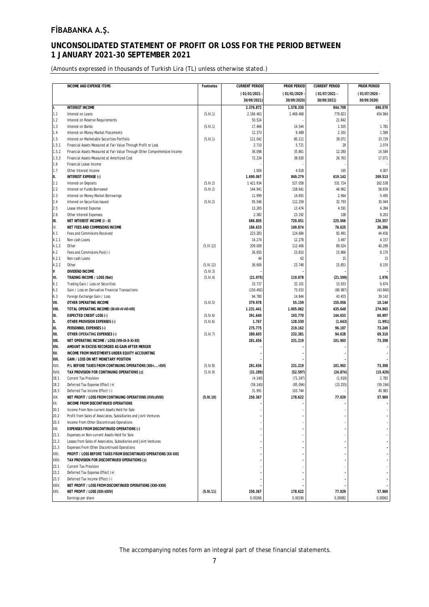### **UNCONSOLIDATED STATEMENT OF PROFIT OR LOSS FOR THE PERIOD BETWEEN 1 JANUARY 2021-30 SEPTEMBER 2021**

(Amounts expressed in thousands of Turkish Lira (TL) unless otherwise stated.)

|              | <b>INCOME AND EXPENSE ITEMS</b>                                                                                  | Footnotes | <b>CURRENT PERIOD</b> | PRIOR PERIOD | <b>CURRENT PERIOD</b> | <b>PRIOR PERIOD</b> |
|--------------|------------------------------------------------------------------------------------------------------------------|-----------|-----------------------|--------------|-----------------------|---------------------|
|              |                                                                                                                  |           | (01/01/2021)          | (01/01/2020) | $(01/07/2021 -$       | $(01/07/2020 -$     |
|              |                                                                                                                  |           | 30/09/2021)           | 30/09/2020)  | 30/09/2021)           | 30/09/2020)         |
| I.           | <b>INTEREST INCOME</b>                                                                                           |           | 2.376.872             | 1.578.330    | 844.708               | 496.070             |
| 1.1          | Interest on Loans                                                                                                | (5.IV.1)  | 2.184.463             | 1.469.468    | 779.823               | 454.964             |
| 1.2          | Interest on Reserve Requirements                                                                                 |           | 50.524                |              | 21.842                |                     |
| 1.3          | Interest on Banks                                                                                                | (5.IV.1)  | 17.466                | 14.544       | 1.505                 | 1.781               |
| 1.4          | Interest on Money Market Placements                                                                              |           | 12.373                | 9.488        | 2.301                 | 1.589               |
| 1.5          | Interest on Marketable Securities Portfolio                                                                      | (5.IV.1)  | 111.042               | 80.212       | 39.072                | 33.729              |
| 1.5.1        | Financial Assets Measured at Fair Value Through Profit or Loss                                                   |           | 2.710                 | 5.721        | 29                    | 2.074               |
| 1.5.2        | Financial Assets Measured at Fair Value Through Other Comprehensive Income                                       |           | 36.098                | 35.861       | 12.280                | 14.584              |
| 1.5.3        | Financial Assets Measured at Amortized Cost                                                                      |           | 72.234                | 38.630       | 26.763                | 17.071              |
| 1.6          | Financial Lease Income                                                                                           |           |                       |              |                       |                     |
| 1.7          | Other Interest Income                                                                                            |           | 1.004                 | 4.618        | 165                   | 4.007               |
| II.          | INTEREST EXPENSE (-)                                                                                             |           | 1.690.067             | 849.279      | 619.142               | 269.513             |
| 2.1          | Interest on Deposits                                                                                             | (5.IV.2)  | 1.421.934             | 527.058      | 531.724               | 162.538             |
| 2.2          | Interest on Funds Borrowed                                                                                       | (5.IV.2)  | 144.941               | 158.641      | 46.962                | 58.839              |
| 2.3          | Interest on Money Market Borrowings                                                                              |           | 11.999                | 14.655       | 2.964                 | 5.495               |
| 2.4          | Interest on Securities Issued                                                                                    | (5.IV.2)  | 95.546                | 112.259      | 32.793                | 30.044              |
| 2.5          | Lease Interest Expense                                                                                           |           | 13.265                | 13.474       | 4.591                 | 4.394               |
| 2.6          | Other Interest Expenses                                                                                          |           | 2.382                 | 23.192       | 108                   | 8.203               |
| Ш.           | NET INTEREST INCOME (I - II)                                                                                     |           | 686.805               | 729.051      | 225.566               | 226.557             |
| IV.          | NET FEES AND COMMISIONS INCOME                                                                                   |           | 186.633               | 100.874      | 76.625                | 36.286              |
| 4.1          | Fees and Commisions Received                                                                                     |           | 223.283               | 124.684      | 92.491                | 44.456              |
| 4.1.1        | Non-cash Loans                                                                                                   |           | 14.274                | 12.278       | 3.467                 | 4.157               |
| 4.1.2        | Other                                                                                                            | (5.IV.12) | 209.009               | 112.406      | 89.024                | 40.299              |
| 4.2          | Fees and Commisions Paid (-)                                                                                     |           | 36.650                | 23.810       | 15.866                | 8.170               |
| 4.2.1        | Non-cash Loans                                                                                                   |           | 44                    | 62           | 15                    | 15                  |
| 4.2.2        | Other                                                                                                            | (5.IV.12) | 36.606                | 23.748       | 15.851                | 8.155               |
| IV.          | DIVIDEND INCOME                                                                                                  | (5.IV.3)  |                       |              |                       |                     |
| VI.          | TRADING INCOME / LOSS (Net)                                                                                      | (5.IV.4)  | (21.975)              | 119.978      | (21.599)              | 1.976               |
| 6.1          | Trading Gain / Loss on Securities                                                                                |           | 33.737                | 32.101       | 15.933                | 6.674               |
| 6.2          | Gain / Loss on Derivative Financial Transactions                                                                 |           | (150.492)             | 73.033       | (80.987)              | (43.840)            |
| 6.3          | Foreign Exchange Gain / Loss                                                                                     |           | 94.780                | 14.844       | 43.455                | 39.142              |
| VII.         | OTHER OPERATING INCOME                                                                                           | (5.IV.5)  | 379.978               | 55.159       | 155.056               | 10.144              |
| VIII.        | TOTAL OPERATING INCOMEI (III+IV+V+VI+VII)                                                                        |           | 1.231.441             | 1.005.062    | 435.648               | 274.963             |
| IX.          | <b>EXPECTED CREDIT LOSS (-)</b>                                                                                  | (5.1V.6)  | 391.640               | 193.770      | 144.653               | 60.997              |
| Х.           | OTHER PROVISION EXPENSES (-)                                                                                     | (5.IV.6)  | 1.767                 | 128.530      | (1.643)               | (1.991)             |
| XI.          | PERSONNEL EXPENSES (-)                                                                                           |           | 275.775               | 219.162      | 96.107                | 73.249              |
| XII.         | OTHER OPERATING EXPENSES (-)                                                                                     | (5.IV.7)  | 280.603               | 232.381      | 94.628                | 69.310              |
| XIII.        | NET OPERATING INCOME / LOSS (VIII-IX-X-XI-XII)                                                                   |           | 281.656               | 231.219      | 101.903               | 73.398              |
| XIV.         | AMOUNT IN EXCESS RECORDED AS GAIN AFTER MERGER                                                                   |           |                       |              |                       |                     |
| XV.          | INCOME FROM INVESTMENTS UNDER EQUITY ACCOUNTING                                                                  |           |                       |              |                       |                     |
| XVI.         | GAIN / LOSS ON NET MONETARY POSITION                                                                             |           |                       |              |                       |                     |
| XVII.        | P/L BEFORE TAXES FROM CONTINUING OPERATIONS (XIII++XVI)                                                          | (5.IV.8)  | 281.656               | 231.219      | 101.903               | 73.398              |
| XVIII.       | TAX PROVISION FOR CONTINUING OPERATIONS (±)                                                                      | (5.IV.9)  | (31.289)              | (52.597)     | (24.874)              | (15.429)            |
| 18.1         | Current Tax Provision                                                                                            |           | (4.140)               | (71.247)     | (1.619)               | 2.782               |
| 18.2         | Deferred Tax Expense Effect (+)                                                                                  |           | (59.140)              | (85.094)     | (23.255)              | (59.194)            |
| 18.3         | Deferred Tax Income Effect (-)                                                                                   |           | 31.991                | 103.744      |                       | 40.983              |
| XIX.         | NET PROFIT / LOSS FROM CONTINUING OPERATIONS (XVII±XVIII)<br><b>INCOME FROM DISCONTINUED OPERATIONS</b>          | (5.IV.10) | 250.367               | 178.622      | 77.029                | 57.969              |
| XX.          |                                                                                                                  |           |                       |              |                       |                     |
| 20.1<br>20.2 | Income From Non-current Assets Held for Sale<br>Profit from Sales of Associates, Subsidiaries and Joint Ventures |           |                       |              |                       |                     |
| 20.3         | Income From Other Discontinued Operations                                                                        |           |                       |              |                       |                     |
| XXI.         | <b>EXPENSES FROM DISCONTINUED OPERATIONS (-)</b>                                                                 |           |                       |              |                       |                     |
| 21.1         |                                                                                                                  |           |                       |              |                       |                     |
| 21.2         | Expenses on Non-current Assets Held for Sale<br>Losses from Sales of Associates, Subsidiaries and Joint Ventures |           |                       |              |                       |                     |
| 21.3         | Expenses From Other Discontinued Operations                                                                      |           |                       |              |                       |                     |
| XXII.        | PROFIT / LOSS BEFORE TAXES FROM DISCONTINUED OPERATIONS (XX-XXI)                                                 |           |                       |              |                       |                     |
| XXIII.       | TAX PROVISION FOR DISCONTINUED OPERATIONS (±)                                                                    |           |                       |              |                       |                     |
| 23.1         | <b>Current Tax Provision</b>                                                                                     |           |                       |              |                       |                     |
| 23.2         | Deferred Tax Expense Effect (+)                                                                                  |           |                       |              |                       |                     |
| 23.3         | Deferred Tax Income Effect (-)                                                                                   |           |                       |              |                       |                     |
| XXIV.        | NET PROFIT / LOSS FROM DISCONTINUED OPERATIONS (XXII-XXIII)                                                      |           |                       |              |                       |                     |
| XXV.         | NET PROFIT / LOSS (XIX+XXIV)                                                                                     | (5.IV.11) | 250.367               | 178.622      | 77.029                | 57.969              |
|              | Earnings per share                                                                                               |           | 0,00266               | 0,00190      | 0,00082               | 0,00062             |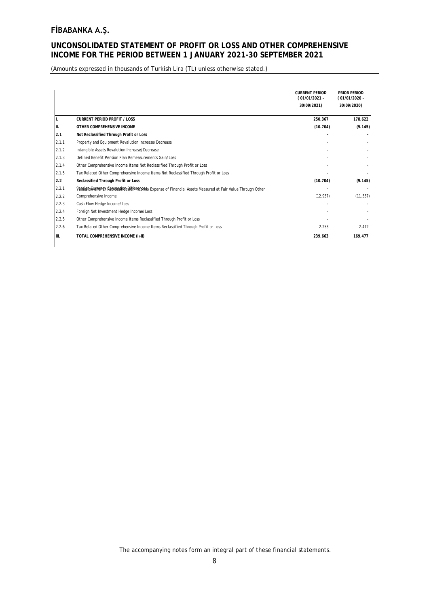### **UNCONSOLIDATED STATEMENT OF PROFIT OR LOSS AND OTHER COMPREHENSIVE INCOME FOR THE PERIOD BETWEEN 1 JANUARY 2021-30 SEPTEMBER 2021**

(Amounts expressed in thousands of Turkish Lira (TL) unless otherwise stated.)

|        |                                                                                                              | <b>CURRENT PERIOD</b><br>(01/01/2021 - | PRIOR PERIOD<br>(01/01/2020 - |
|--------|--------------------------------------------------------------------------------------------------------------|----------------------------------------|-------------------------------|
|        |                                                                                                              | 30/09/2021)                            | 30/09/2020)                   |
|        |                                                                                                              |                                        |                               |
| ΙΙ.    | <b>CURRENT PERIOD PROFIT / LOSS</b>                                                                          | 250.367                                | 178.622                       |
| III.   | OTHER COMPREHENSIVE INCOME                                                                                   | (10.704)                               | (9.145)                       |
| 2.1    | Not Reclassified Through Profit or Loss                                                                      |                                        |                               |
| 2.1.1  | Property and Equipment Revalution Increase/Decrease                                                          |                                        |                               |
| 12.1.2 | Intangible Assets Revalution Increase/Decrease                                                               |                                        |                               |
| 2.1.3  | Defined Benefit Pension Plan Remeasurements Gain/Loss                                                        |                                        |                               |
| 2.1.4  | Other Comprehensive Income Items Not Reclassified Through Profit or Loss                                     |                                        |                               |
| 12.1.5 | Tax Related Other Comprehensive Income Items Not Reclassified Through Profit or Loss                         |                                        |                               |
| 2.2    | Reclassified Through Profit or Loss                                                                          | (10.704)                               | (9.145)                       |
| 2.2.1  | Vareignon unrevey Reclussive bloffen cone / Expense of Financial Assets Measured at Fair Value Through Other |                                        |                               |
| 12.2.2 | Comprehensive Income                                                                                         | (12.957)                               | (11.557)                      |
| 12.2.3 | Cash Flow Hedge Income/Loss                                                                                  |                                        |                               |
| 2.2.4  | Foreign Net Investment Hedge Income/Loss                                                                     |                                        |                               |
| 12.2.5 | Other Comprehensive Income Items Reclassified Through Profit or Loss                                         |                                        |                               |
| 2.2.6  | Tax Related Other Comprehensive Income Items Reclassified Through Profit or Loss                             | 2.253                                  | 2.412                         |
| III.   | TOTAL COMPREHENSIVE INCOME (I+II)                                                                            | 239.663                                | 169.477                       |
|        |                                                                                                              |                                        |                               |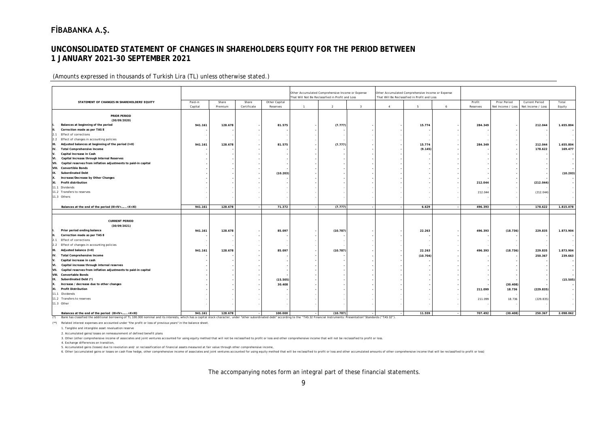### **UNCONSOLIDATED STATEMENT OF CHANGES IN SHAREHOLDERS EQUITY FOR THE PERIOD BETWEEN 1 JANUARY 2021-30 SEPTEMBER 2021**

#### (Amounts expressed in thousands of Turkish Lira (TL) unless otherwise stated.)

|                                                                        |                    |                  |                      |                           |                | Other Accumulated Comprehensive Income or Expense |                         |                | Other Accumulated Comprehensive Income or Expense |   |                    |                                   |                                            |                 |
|------------------------------------------------------------------------|--------------------|------------------|----------------------|---------------------------|----------------|---------------------------------------------------|-------------------------|----------------|---------------------------------------------------|---|--------------------|-----------------------------------|--------------------------------------------|-----------------|
|                                                                        |                    |                  |                      |                           |                | That Will Not Be Reclassified in Profit and Loss  |                         |                | That Will Be Reclassified in Profit and Loss      |   |                    |                                   |                                            |                 |
| STATEMENT OF CHANGES IN SHAREHOLDERS' EQUITY                           | Paid-in<br>Capital | Share<br>Premium | Share<br>Certificate | Other Capital<br>Reserves | $\overline{1}$ | $\overline{2}$                                    | $\overline{\mathbf{3}}$ | $\overline{4}$ | 5                                                 | 6 | Profit<br>Reserves | Prior Period<br>Net Income / Loss | <b>Current Period</b><br>Net Income / Loss | Total<br>Equity |
|                                                                        |                    |                  |                      |                           |                |                                                   |                         |                |                                                   |   |                    |                                   |                                            |                 |
| <b>PRIOR PERIOD</b>                                                    |                    |                  |                      |                           |                |                                                   |                         |                |                                                   |   |                    |                                   |                                            |                 |
| (30/09/2020)                                                           |                    |                  |                      |                           |                |                                                   |                         |                |                                                   |   |                    |                                   |                                            |                 |
| Balances at beginning of the period                                    | 941.161            | 128.678          |                      | 81.575                    |                | (7.777)                                           |                         |                | 15.774                                            |   | 284.349            |                                   | 212.044                                    | 1.655.804       |
| Correction made as per TAS 8                                           |                    |                  |                      |                           |                |                                                   |                         |                |                                                   |   |                    |                                   |                                            |                 |
| <b>Effect of corrections</b><br>12.1                                   |                    |                  |                      |                           |                |                                                   |                         |                |                                                   |   |                    |                                   |                                            |                 |
| 2.2 Effect of changes in accounting policies                           |                    |                  |                      |                           |                |                                                   |                         |                |                                                   |   |                    |                                   |                                            |                 |
| Adjusted balances at beginning of the period (I+II)<br>Iш.             | 941.161            | 128.678          |                      | 81.575                    |                | (7.777)                                           |                         |                | 15.774                                            |   | 284.349            |                                   | 212.044                                    | 1.655.804       |
| <b>Total Comprehensive Income</b><br>IV.                               |                    |                  |                      |                           |                |                                                   |                         |                | (9.145)                                           |   |                    |                                   | 178.622                                    | 169.477         |
| Capital Increase in Cash                                               |                    |                  |                      |                           |                |                                                   |                         |                |                                                   |   |                    |                                   |                                            |                 |
| Capital Increase through Internal Reserves<br>VI.                      |                    |                  |                      |                           |                |                                                   |                         |                |                                                   |   |                    |                                   |                                            |                 |
| Capital reserves from inflation adjustments to paid-in capital<br>VII. |                    |                  |                      |                           |                |                                                   |                         |                |                                                   |   |                    |                                   |                                            |                 |
| VIII.<br><b>Convertible Bonds</b>                                      |                    |                  |                      |                           |                |                                                   |                         |                |                                                   |   |                    |                                   |                                            |                 |
| IX.<br><b>Subordinated Debt</b>                                        |                    |                  |                      | (10.203)                  |                |                                                   |                         |                |                                                   |   |                    |                                   |                                            | (10.203)        |
| Increase/Decrease by Other Changes<br>IX.                              |                    |                  |                      |                           |                |                                                   |                         |                |                                                   |   |                    |                                   |                                            |                 |
| XI.<br>Profit distribution                                             |                    |                  |                      |                           |                |                                                   |                         |                |                                                   |   | 212.044            |                                   | (212.044)                                  |                 |
| 11.1 Dividends                                                         |                    |                  |                      |                           |                |                                                   |                         |                |                                                   |   |                    |                                   |                                            |                 |
| 11.2 Transfers to reserves                                             |                    |                  |                      |                           |                |                                                   |                         |                |                                                   |   | 212.044            |                                   | (212.044)                                  |                 |
| 11.3 Others                                                            |                    |                  |                      |                           |                |                                                   |                         |                |                                                   |   |                    |                                   |                                            |                 |
|                                                                        | 941.161            | 128.678          |                      | 71.372                    |                | (7.777)                                           |                         |                | 6.629                                             |   | 496.393            |                                   | 178.622                                    | 1.815.078       |
| Balances at the end of the period (III+IV++X+XI)                       |                    |                  |                      |                           |                |                                                   |                         |                |                                                   |   |                    |                                   |                                            |                 |
|                                                                        |                    |                  |                      |                           |                |                                                   |                         |                |                                                   |   |                    |                                   |                                            |                 |
| <b>CURRENT PERIOD</b>                                                  |                    |                  |                      |                           |                |                                                   |                         |                |                                                   |   |                    |                                   |                                            |                 |
| (30/09/2021)                                                           |                    |                  |                      |                           |                |                                                   |                         |                |                                                   |   |                    |                                   |                                            |                 |
| Prior period ending balance                                            | 941.161            | 128.678          |                      | 85.097                    |                | (10.787)                                          |                         |                | 22.263                                            |   | 496.393            | (18.736)                          | 229.835                                    | 1.873.904       |
| Correction made as per TAS 8                                           |                    |                  |                      |                           |                |                                                   |                         |                |                                                   |   |                    |                                   |                                            |                 |
| 2.1 Effect of corrections                                              |                    |                  |                      |                           |                |                                                   |                         |                |                                                   |   |                    |                                   |                                            |                 |
| 2.2 Effect of changes in accounting policies                           |                    |                  |                      |                           |                |                                                   |                         |                |                                                   |   |                    |                                   |                                            |                 |
| Iш.                                                                    | 941.161            | 128.678          |                      | 85.097                    |                | (10.787)                                          |                         |                | 22.263                                            |   | 496.393            | (18.736)                          | 229.835                                    | 1.873.904       |
| Adjusted balance (I+II)                                                |                    |                  |                      |                           |                |                                                   |                         |                |                                                   |   |                    |                                   |                                            |                 |
| IV.<br><b>Total Comprehensive Income</b>                               |                    |                  |                      |                           |                |                                                   |                         |                | (10.704)                                          |   |                    |                                   | 250.367                                    | 239.663         |
| Capital increase in cash<br>$\mathsf{V}$                               |                    |                  |                      |                           |                |                                                   |                         |                |                                                   |   |                    |                                   |                                            |                 |
| Capital increase through internal reserves<br>IVI.                     |                    |                  |                      |                           |                |                                                   |                         |                |                                                   |   |                    |                                   |                                            |                 |
| Capital reserves from inflation adjustments to paid-in capital<br>VII. |                    |                  |                      |                           |                |                                                   |                         |                |                                                   |   |                    |                                   |                                            |                 |
| VIII. Convertable Bonds                                                |                    |                  |                      |                           |                |                                                   |                         |                |                                                   |   |                    |                                   |                                            |                 |
| Subordinated Debt (*)<br>IX.                                           |                    |                  |                      | (15.505)                  |                |                                                   |                         |                |                                                   |   |                    |                                   |                                            | (15.505)        |
| Increase / decrease due to other changes                               |                    |                  |                      | 30.408                    |                |                                                   |                         |                |                                                   |   |                    | (30.408)                          |                                            |                 |
| <b>Profit Distribution</b><br>XI.                                      |                    |                  |                      |                           |                |                                                   |                         |                |                                                   |   | 211.099            | 18.736                            | (229.835)                                  |                 |
| 11.1 Dividends                                                         |                    |                  |                      |                           |                |                                                   |                         |                |                                                   |   |                    |                                   |                                            |                 |
| 11.2 Transfers to reserves                                             |                    |                  |                      |                           |                |                                                   |                         |                |                                                   |   | 211.099            | 18.736                            | (229.835)                                  |                 |
| 11.3 Other                                                             |                    |                  |                      |                           |                |                                                   |                         |                |                                                   |   |                    |                                   |                                            |                 |
| Balances at the end of the period (III+IV++X+XI)                       | 941.161            | 128,678          |                      | 100,000                   |                | (10.787)                                          |                         |                | 11.559                                            |   | 707.492            | (30.408)                          | 250.367                                    | 2.098.062       |

**Balances at the end of the period (III+IV+…...+X+XI) 941.161 128.678 - 100.000 - (10.787) - - 11.559 - 707.492 (30.408) 250.367 2.098.062** (\*) Bank has classified the additional borrowing of TL 100.000 nominal and its interests, which has a capital stock character, under "other subordinated debt" according to the "TAS 32 Financial Instruments: Presentation" Standards ("TAS 32").

(\*\*) Related interest expenses are accounted under "the profit or loss of previous years" in the balance sheet.

1. Tangible and intangible asset revaluation reserve

2. Accumulated gains/losses on remeasurement of defined benefit plans

3. Other (other comprehensive income of associates and joint ventures accounted for using equity method that will not be reclassified to profit or loss and other comprehensive income that will not be reclassified to profit

4. Exchange differences on transition,

5. Accumulated gains (losses) due to revolution and/ or reclassification of financial assets measured at fair value through other comprehensive income,

6. Other (accumulated gains or losses on cash flow hedge, other comprehensive income of associates and joint ventures accounted for using equity method that will be reclassified to profit or loss and other accumulated amou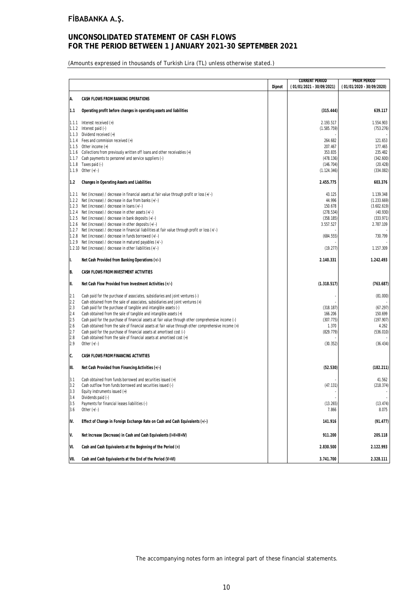### **UNCONSOLIDATED STATEMENT OF CASH FLOWS FOR THE PERIOD BETWEEN 1 JANUARY 2021-30 SEPTEMBER 2021**

(Amounts expressed in thousands of Turkish Lira (TL) unless otherwise stated.)

|       |                                                                                                        |        | <b>CURRENT PERIOD</b>     | PRIOR PERIOD              |
|-------|--------------------------------------------------------------------------------------------------------|--------|---------------------------|---------------------------|
|       |                                                                                                        | Dipnot | (01/01/2021 - 30/09/2021) | (01/01/2020 - 30/09/2020) |
| A.    | CASH FLOWS FROM BANKING OPERATIONS                                                                     |        |                           |                           |
| 1.1   | Operating profit before changes in operating assets and liabilities                                    |        | (315.444)                 | 639.117                   |
| 1.1.1 | Interest received (+)                                                                                  |        | 2.193.517                 | 1.554.903                 |
|       | 1.1.2 Interest paid (-)                                                                                |        | (1.585.759)               | (753.276)                 |
|       | 1.1.3 Dividend received (+)                                                                            |        |                           |                           |
|       | 1.1.4 Fees and commision received (+)                                                                  |        | 264.682                   | 121.653                   |
|       | 1.1.5 Other income $(+)$                                                                               |        | 207.467                   | 177.465                   |
|       | 1.1.6 Collections from previously written off loans and other receivables (+)                          |        | 353.835                   | 235.482                   |
|       | 1.1.7 Cash payments to personnel and service suppliers (-)                                             |        | (478.136)                 | (342.600)                 |
| 1.1.8 | Taxes paid (-)                                                                                         |        | (146.704)                 | (20.428)                  |
| 1.1.9 | Other $(+/-)$                                                                                          |        | (1.124.346)               | (334.082)                 |
| 1.2   | Changes in Operating Assets and Liabilities                                                            |        | 2.455.775                 | 603.376                   |
| 1.2.1 | Net (increase) / decrease in financial assets at fair value through profit or loss $(+/-)$             |        | 43.125                    | 1.139.348                 |
|       | 1.2.2 Net (increase) / decrease in due from banks (+/-)                                                |        | 44.996                    | (1.233.669)               |
|       | 1.2.3 Net (increase) / decrease in loans (+/-)                                                         |        | 150.678                   | (3.602.619)               |
|       | 1.2.4 Net (increase) / decrease in other assets (+/-)                                                  |        | (278.534)                 | (40.930)                  |
|       | 1.2.5 Net (increase) / decrease in bank deposits (+/-)                                                 |        | (358.185)                 | (333.971)                 |
|       | 1.2.6 Net (increase) / decrease in other deposits $(+/-)$                                              |        | 3.557.527                 | 2.787.109                 |
|       | 1.2.7 Net (increase) / decrease in financial liabilities at fair value through profit or loss (+/-)    |        |                           |                           |
|       | 1.2.8 Net (increase) / decrease in funds borrowed $(+/-)$                                              |        | (684.555)                 | 730.799                   |
| 1.2.9 | Net (increase) / decrease in matured payables (+/-)                                                    |        |                           |                           |
|       | 1.2.10 Net (increase) / decrease in other liabilities (+/-)                                            |        | (19.277)                  | 1.157.309                 |
| μ.    | Net Cash Provided from Banking Operations (+/-)                                                        |        | 2.140.331                 | 1.242.493                 |
| B.    | CASH FLOWS FROM INVESTMENT ACTIVITIES                                                                  |        |                           |                           |
| III.  | Net Cash Flow Provided from Investment Activities (+/-)                                                |        | (1.318.517)               | (763.687)                 |
| 2.1   | Cash paid for the purchase of associates, subsidiaries and joint ventures (-)                          |        |                           | (81.000)                  |
| 2.2   | Cash obtained from the sale of associates, subsidiaries and joint ventures (+)                         |        |                           |                           |
| 2.3   | Cash paid for the purchase of tangible and intangible assets (-)                                       |        | (318.187)                 | (67.297)                  |
| 2.4   | Cash obtained from the sale of tangible and intangible assets (+)                                      |        | 166.206                   | 150.699                   |
| 2.5   | Cash paid for the purchase of financial assets at fair value through other comprehensive income (-)    |        | (307.775)                 | (197.907)                 |
| 2.6   | Cash obtained from the sale of financial assets at fair value through other comprehensive income $(+)$ |        | 1.370                     | 4.262                     |
| 2.7   | Cash paid for the purchase of financial assets at amortised cost (-)                                   |        | (829.779)                 | (536.010)                 |
| 2.8   | Cash obtained from the sale of financial assets at amortised cost (+)                                  |        |                           |                           |
| 2.9   | Other $(+/-)$                                                                                          |        | (30.352)                  | (36.434)                  |
| С.    | CASH FLOWS FROM FINANCING ACTIVITIES                                                                   |        |                           |                           |
| III.  | Net Cash Provided from Financing Activities (+/-)                                                      |        | (52.530)                  | (182.211)                 |
| 3.1   | Cash obtained from funds borrowed and securities issued (+)                                            |        |                           | 41.562                    |
| 3.2   | Cash outflow from funds borrowed and securities issued (-)                                             |        | (47.131)                  | (218.374)                 |
| 3.3   | Equity instruments issued $(+)$                                                                        |        |                           |                           |
| 3.4   | Dividends paid (-)                                                                                     |        |                           |                           |
| 3.5   | Payments for financial leases liabilities (-)                                                          |        | (13.265)                  | (13.474)                  |
| 3.6   | Other $(+/-)$                                                                                          |        | 7.866                     | 8.075                     |
| IV.   | Effect of Change in Foreign Exchange Rate on Cash and Cash Equivalents (+/-)                           |        | 141.916                   | (91.477)                  |
| V.    | Net Increase (Decrease) in Cash and Cash Equivalents (I+II+III+IV)                                     |        | 911.200                   | 205.118                   |
| VI.   | Cash and Cash Equivalents at the Beginning of the Period (+)                                           |        | 2.830.500                 | 2.122.993                 |
| VII.  | Cash and Cash Equivalents at the End of the Period (V+VI)                                              |        | 3.741.700                 | 2.328.111                 |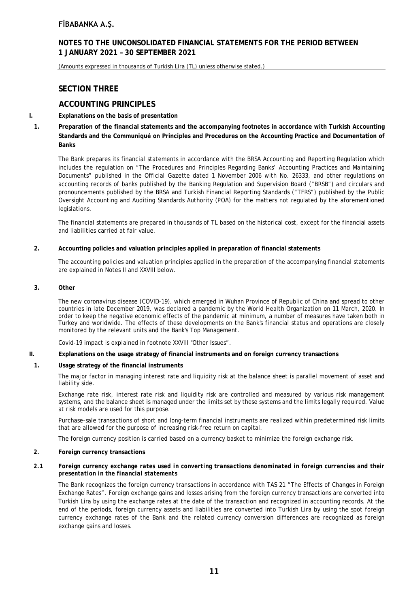### **NOTES TO THE UNCONSOLIDATED FINANCIAL STATEMENTS FOR THE PERIOD BETWEEN 1 JANUARY 2021 – 30 SEPTEMBER 2021**

(Amounts expressed in thousands of Turkish Lira (TL) unless otherwise stated.)

### **SECTION THREE**

### **ACCOUNTING PRINCIPLES**

#### **I. Explanations on the basis of presentation**

**1. Preparation of the financial statements and the accompanying footnotes in accordance with Turkish Accounting Standards and the Communiqué on Principles and Procedures on the Accounting Practice and Documentation of Banks**

The Bank prepares its financial statements in accordance with the BRSA Accounting and Reporting Regulation which includes the regulation on "The Procedures and Principles Regarding Banks' Accounting Practices and Maintaining Documents" published in the Official Gazette dated 1 November 2006 with No. 26333, and other regulations on accounting records of banks published by the Banking Regulation and Supervision Board ("BRSB") and circulars and pronouncements published by the BRSA and Turkish Financial Reporting Standards ("TFRS") published by the Public Oversight Accounting and Auditing Standards Authority (POA) for the matters not regulated by the aforementioned legislations.

The financial statements are prepared in thousands of TL based on the historical cost, except for the financial assets and liabilities carried at fair value.

#### **2. Accounting policies and valuation principles applied in preparation of financial statements**

The accounting policies and valuation principles applied in the preparation of the accompanying financial statements are explained in Notes II and XXVIII below.

#### **3. Other**

The new coronavirus disease (COVID-19), which emerged in Wuhan Province of Republic of China and spread to other countries in late December 2019, was declared a pandemic by the World Health Organization on 11 March, 2020. In order to keep the negative economic effects of the pandemic at minimum, a number of measures have taken both in Turkey and worldwide. The effects of these developments on the Bank's financial status and operations are closely monitored by the relevant units and the Bank's Top Management.

Covid-19 impact is explained in footnote XXVIII "Other Issues".

#### **II. Explanations on the usage strategy of financial instruments and on foreign currency transactions**

#### **1. Usage strategy of the financial instruments**

The major factor in managing interest rate and liquidity risk at the balance sheet is parallel movement of asset and liability side.

Exchange rate risk, interest rate risk and liquidity risk are controlled and measured by various risk management systems, and the balance sheet is managed under the limits set by these systems and the limits legally required. Value at risk models are used for this purpose.

Purchase-sale transactions of short and long-term financial instruments are realized within predetermined risk limits that are allowed for the purpose of increasing risk-free return on capital.

The foreign currency position is carried based on a currency basket to minimize the foreign exchange risk.

#### **2. Foreign currency transactions**

#### *2.1 Foreign currency exchange rates used in converting transactions denominated in foreign currencies and their presentation in the financial statements*

The Bank recognizes the foreign currency transactions in accordance with TAS 21 "The Effects of Changes in Foreign Exchange Rates". Foreign exchange gains and losses arising from the foreign currency transactions are converted into Turkish Lira by using the exchange rates at the date of the transaction and recognized in accounting records. At the end of the periods, foreign currency assets and liabilities are converted into Turkish Lira by using the spot foreign currency exchange rates of the Bank and the related currency conversion differences are recognized as foreign exchange gains and losses.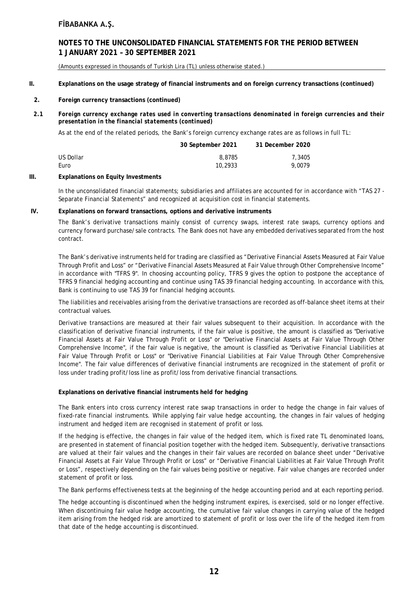### **NOTES TO THE UNCONSOLIDATED FINANCIAL STATEMENTS FOR THE PERIOD BETWEEN 1 JANUARY 2021 – 30 SEPTEMBER 2021**

(Amounts expressed in thousands of Turkish Lira (TL) unless otherwise stated.)

#### **II. Explanations on the usage strategy of financial instruments and on foreign currency transactions (continued)**

#### **2. Foreign currency transactions (continued)**

*2.1 Foreign currency exchange rates used in converting transactions denominated in foreign currencies and their presentation in the financial statements (continued)*

As at the end of the related periods, the Bank's foreign currency exchange rates are as follows in full TL:

|           | 30 September 2021 | 31 December 2020 |
|-----------|-------------------|------------------|
| US Dollar | 8,8785            | 7,3405           |
| Euro      | 10,2933           | 9.0079           |

#### **III. Explanations on Equity Investments**

In the unconsolidated financial statements; subsidiaries and affiliates are accounted for in accordance with "TAS 27 - Separate Financial Statements" and recognized at acquisition cost in financial statements.

#### **IV. Explanations on forward transactions, options and derivative instruments**

The Bank's derivative transactions mainly consist of currency swaps, interest rate swaps, currency options and currency forward purchase/sale contracts. The Bank does not have any embedded derivatives separated from the host contract.

The Bank's derivative instruments held for trading are classified as "Derivative Financial Assets Measured at Fair Value Through Profit and Loss" or "Derivative Financial Assets Measured at Fair Value through Other Comprehensive Income" in accordance with "TFRS 9". In choosing accounting policy, TFRS 9 gives the option to postpone the acceptance of TFRS 9 financial hedging accounting and continue using TAS 39 financial hedging accounting. In accordance with this, Bank is continuing to use TAS 39 for financial hedging accounts.

The liabilities and receivables arising from the derivative transactions are recorded as off-balance sheet items at their contractual values.

Derivative transactions are measured at their fair values subsequent to their acquisition. In accordance with the classification of derivative financial instruments, if the fair value is positive, the amount is classified as "Derivative Financial Assets at Fair Value Through Profit or Loss" or "Derivative Financial Assets at Fair Value Through Other Comprehensive Income", if the fair value is negative, the amount is classified as "Derivative Financial Liabilities at Fair Value Through Profit or Loss" or "Derivative Financial Liabilities at Fair Value Through Other Comprehensive Income". The fair value differences of derivative financial instruments are recognized in the statement of profit or loss under trading profit/loss line as profit/loss from derivative financial transactions.

#### **Explanations on derivative financial instruments held for hedging**

The Bank enters into cross currency interest rate swap transactions in order to hedge the change in fair values of fixed-rate financial instruments. While applying fair value hedge accounting, the changes in fair values of hedging instrument and hedged item are recognised in statement of profit or loss.

If the hedging is effective, the changes in fair value of the hedged item, which is fixed rate TL denominated loans, are presented in statement of financial position together with the hedged item. Subsequently, derivative transactions are valued at their fair values and the changes in their fair values are recorded on balance sheet under "Derivative Financial Assets at Fair Value Through Profit or Loss" or "Derivative Financial Liabilities at Fair Value Through Profit or Loss", respectively depending on the fair values being positive or negative. Fair value changes are recorded under statement of profit or loss.

The Bank performs effectiveness tests at the beginning of the hedge accounting period and at each reporting period.

The hedge accounting is discontinued when the hedging instrument expires, is exercised, sold or no longer effective. When discontinuing fair value hedge accounting, the cumulative fair value changes in carrying value of the hedged item arising from the hedged risk are amortized to statement of profit or loss over the life of the hedged item from that date of the hedge accounting is discontinued.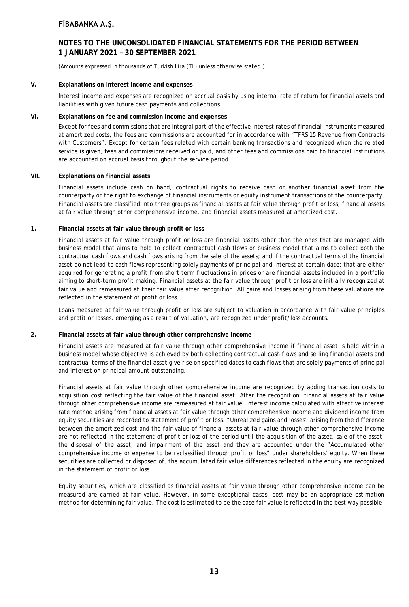### **NOTES TO THE UNCONSOLIDATED FINANCIAL STATEMENTS FOR THE PERIOD BETWEEN 1 JANUARY 2021 – 30 SEPTEMBER 2021**

#### (Amounts expressed in thousands of Turkish Lira (TL) unless otherwise stated.)

#### **V. Explanations on interest income and expenses**

Interest income and expenses are recognized on accrual basis by using internal rate of return for financial assets and liabilities with given future cash payments and collections.

#### **VI. Explanations on fee and commission income and expenses**

Except for fees and commissions that are integral part of the effective interest rates of financial instruments measured at amortized costs, the fees and commissions are accounted for in accordance with "TFRS 15 Revenue from Contracts with Customers". Except for certain fees related with certain banking transactions and recognized when the related service is given, fees and commissions received or paid, and other fees and commissions paid to financial institutions are accounted on accrual basis throughout the service period.

#### **VII. Explanations on financial assets**

Financial assets include cash on hand, contractual rights to receive cash or another financial asset from the counterparty or the right to exchange of financial instruments or equity instrument transactions of the counterparty. Financial assets are classified into three groups as financial assets at fair value through profit or loss, financial assets at fair value through other comprehensive income, and financial assets measured at amortized cost.

#### **1. Financial assets at fair value through profit or loss**

Financial assets at fair value through profit or loss are financial assets other than the ones that are managed with business model that aims to hold to collect contractual cash flows or business model that aims to collect both the contractual cash flows and cash flows arising from the sale of the assets; and if the contractual terms of the financial asset do not lead to cash flows representing solely payments of principal and interest at certain date; that are either acquired for generating a profit from short term fluctuations in prices or are financial assets included in a portfolio aiming to short-term profit making. Financial assets at the fair value through profit or loss are initially recognized at fair value and remeasured at their fair value after recognition. All gains and losses arising from these valuations are reflected in the statement of profit or loss.

Loans measured at fair value through profit or loss are subject to valuation in accordance with fair value principles and profit or losses, emerging as a result of valuation, are recognized under profit/loss accounts.

#### **2. Financial assets at fair value through other comprehensive income**

Financial assets are measured at fair value through other comprehensive income if financial asset is held within a business model whose objective is achieved by both collecting contractual cash flows and selling financial assets and contractual terms of the financial asset give rise on specified dates to cash flows that are solely payments of principal and interest on principal amount outstanding.

Financial assets at fair value through other comprehensive income are recognized by adding transaction costs to acquisition cost reflecting the fair value of the financial asset. After the recognition, financial assets at fair value through other comprehensive income are remeasured at fair value. Interest income calculated with effective interest rate method arising from financial assets at fair value through other comprehensive income and dividend income from equity securities are recorded to statement of profit or loss. "Unrealized gains and losses" arising from the difference between the amortized cost and the fair value of financial assets at fair value through other comprehensive income are not reflected in the statement of profit or loss of the period until the acquisition of the asset, sale of the asset, the disposal of the asset, and impairment of the asset and they are accounted under the "Accumulated other comprehensive income or expense to be reclassified through profit or loss" under shareholders' equity. When these securities are collected or disposed of, the accumulated fair value differences reflected in the equity are recognized in the statement of profit or loss.

Equity securities, which are classified as financial assets at fair value through other comprehensive income can be measured are carried at fair value. However, in some exceptional cases, cost may be an appropriate estimation method for determining fair value. The cost is estimated to be the case fair value is reflected in the best way possible.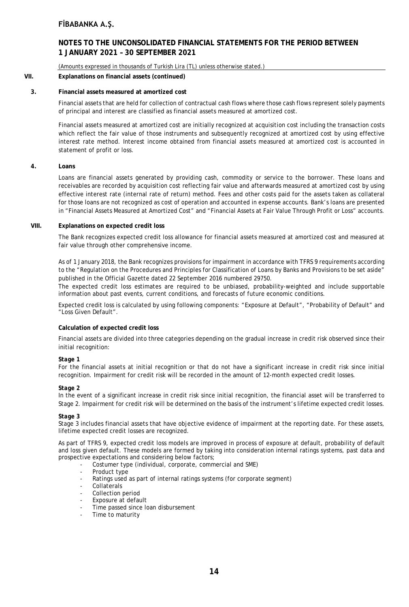### **NOTES TO THE UNCONSOLIDATED FINANCIAL STATEMENTS FOR THE PERIOD BETWEEN 1 JANUARY 2021 – 30 SEPTEMBER 2021**

(Amounts expressed in thousands of Turkish Lira (TL) unless otherwise stated.)

#### **VII. Explanations on financial assets (continued)**

#### **3. Financial assets measured at amortized cost**

Financial assets that are held for collection of contractual cash flows where those cash flows represent solely payments of principal and interest are classified as financial assets measured at amortized cost.

Financial assets measured at amortized cost are initially recognized at acquisition cost including the transaction costs which reflect the fair value of those instruments and subsequently recognized at amortized cost by using effective interest rate method. Interest income obtained from financial assets measured at amortized cost is accounted in statement of profit or loss.

#### **4. Loans**

Loans are financial assets generated by providing cash, commodity or service to the borrower. These loans and receivables are recorded by acquisition cost reflecting fair value and afterwards measured at amortized cost by using effective interest rate (internal rate of return) method. Fees and other costs paid for the assets taken as collateral for those loans are not recognized as cost of operation and accounted in expense accounts. Bank's loans are presented in "Financial Assets Measured at Amortized Cost" and "Financial Assets at Fair Value Through Profit or Loss" accounts.

#### **VIII. Explanations on expected credit loss**

The Bank recognizes expected credit loss allowance for financial assets measured at amortized cost and measured at fair value through other comprehensive income.

As of 1 January 2018, the Bank recognizes provisions for impairment in accordance with TFRS 9 requirements according to the "Regulation on the Procedures and Principles for Classification of Loans by Banks and Provisions to be set aside" published in the Official Gazette dated 22 September 2016 numbered 29750.

The expected credit loss estimates are required to be unbiased, probability-weighted and include supportable information about past events, current conditions, and forecasts of future economic conditions.

Expected credit loss is calculated by using following components: "Exposure at Default", "Probability of Default" and "Loss Given Default".

#### **Calculation of expected credit loss**

Financial assets are divided into three categories depending on the gradual increase in credit risk observed since their initial recognition:

#### *Stage 1*

For the financial assets at initial recognition or that do not have a significant increase in credit risk since initial recognition. Impairment for credit risk will be recorded in the amount of 12-month expected credit losses.

#### *Stage 2*

In the event of a significant increase in credit risk since initial recognition, the financial asset will be transferred to Stage 2. Impairment for credit risk will be determined on the basis of the instrument's lifetime expected credit losses.

#### *Stage 3*

Stage 3 includes financial assets that have objective evidence of impairment at the reporting date. For these assets, lifetime expected credit losses are recognized.

As part of TFRS 9, expected credit loss models are improved in process of exposure at default, probability of default and loss given default. These models are formed by taking into consideration internal ratings systems, past data and prospective expectations and considering below factors;

- Costumer type (individual, corporate, commercial and SME)
- Product type
- Ratings used as part of internal ratings systems (for corporate segment)
- **Collaterals**
- Collection period
- Exposure at default
- Time passed since loan disbursement
- Time to maturity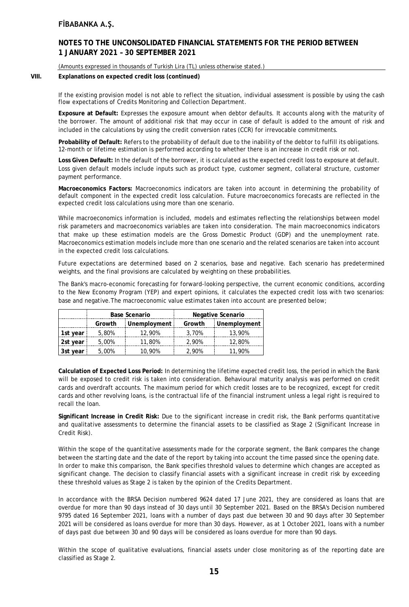### **NOTES TO THE UNCONSOLIDATED FINANCIAL STATEMENTS FOR THE PERIOD BETWEEN 1 JANUARY 2021 – 30 SEPTEMBER 2021**

#### (Amounts expressed in thousands of Turkish Lira (TL) unless otherwise stated.)

#### **VIII. Explanations on expected credit loss (continued)**

If the existing provision model is not able to reflect the situation, individual assessment is possible by using the cash flow expectations of Credits Monitoring and Collection Department.

**Exposure at Default:** Expresses the exposure amount when debtor defaults. It accounts along with the maturity of the borrower. The amount of additional risk that may occur in case of default is added to the amount of risk and included in the calculations by using the credit conversion rates (CCR) for irrevocable commitments.

**Probability of Default:** Refers to the probability of default due to the inability of the debtor to fulfill its obligations. 12-month or lifetime estimation is performed according to whether there is an increase in credit risk or not.

**Loss Given Default:** In the default of the borrower, it is calculated as the expected credit loss to exposure at default. Loss given default models include inputs such as product type, customer segment, collateral structure, customer payment performance.

**Macroeconomics Factors:** Macroeconomics indicators are taken into account in determining the probability of default component in the expected credit loss calculation. Future macroeconomics forecasts are reflected in the expected credit loss calculations using more than one scenario.

While macroeconomics information is included, models and estimates reflecting the relationships between model risk parameters and macroeconomics variables are taken into consideration. The main macroeconomics indicators that make up these estimation models are the Gross Domestic Product (GDP) and the unemployment rate. Macroeconomics estimation models include more than one scenario and the related scenarios are taken into account in the expected credit loss calculations.

Future expectations are determined based on 2 scenarios, base and negative. Each scenario has predetermined weights, and the final provisions are calculated by weighting on these probabilities.

The Bank's macro-economic forecasting for forward-looking perspective, the current economic conditions, according to the New Economy Program (YEP) and expert opinions, it calculates the expected credit loss with two scenarios: base and negative.The macroeconomic value estimates taken into account are presented below;

|          | <b>Base Scenario</b> |              | Negative Scenario |              |  |
|----------|----------------------|--------------|-------------------|--------------|--|
|          | Growth               | Unemployment | Growth            | Unemployment |  |
| 1st vear | 5.80%                | 12.90%       | 3.70%             | 13,90%       |  |
| 2st year | 5.00%                | 11,80%       | 2.90%             | 12,80%       |  |
| 3st year | 5,00%                | 0.90%        | 2,90%             | 11.90%       |  |

**Calculation of Expected Loss Period:** In determining the lifetime expected credit loss, the period in which the Bank will be exposed to credit risk is taken into consideration. Behavioural maturity analysis was performed on credit cards and overdraft accounts. The maximum period for which credit losses are to be recognized, except for credit cards and other revolving loans, is the contractual life of the financial instrument unless a legal right is required to recall the loan.

**Significant Increase in Credit Risk:** Due to the significant increase in credit risk, the Bank performs quantitative and qualitative assessments to determine the financial assets to be classified as Stage 2 (Significant Increase in Credit Risk).

Within the scope of the quantitative assessments made for the corporate segment, the Bank compares the change between the starting date and the date of the report by taking into account the time passed since the opening date. In order to make this comparison, the Bank specifies threshold values to determine which changes are accepted as significant change. The decision to classify financial assets with a significant increase in credit risk by exceeding these threshold values as Stage 2 is taken by the opinion of the Credits Department.

In accordance with the BRSA Decision numbered 9624 dated 17 June 2021, they are considered as loans that are overdue for more than 90 days instead of 30 days until 30 September 2021. Based on the BRSA's Decision numbered 9795 dated 16 September 2021, loans with a number of days past due between 30 and 90 days after 30 September 2021 will be considered as loans overdue for more than 30 days. However, as at 1 October 2021, loans with a number of days past due between 30 and 90 days will be considered as loans overdue for more than 90 days.

Within the scope of qualitative evaluations, financial assets under close monitoring as of the reporting date are classified as Stage 2.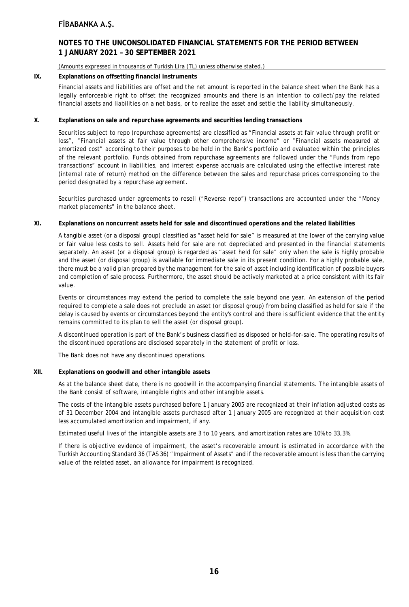### **NOTES TO THE UNCONSOLIDATED FINANCIAL STATEMENTS FOR THE PERIOD BETWEEN 1 JANUARY 2021 – 30 SEPTEMBER 2021**

#### (Amounts expressed in thousands of Turkish Lira (TL) unless otherwise stated.)

#### **IX. Explanations on offsetting financial instruments**

Financial assets and liabilities are offset and the net amount is reported in the balance sheet when the Bank has a legally enforceable right to offset the recognized amounts and there is an intention to collect/pay the related financial assets and liabilities on a net basis, or to realize the asset and settle the liability simultaneously.

#### **X. Explanations on sale and repurchase agreements and securities lending transactions**

Securities subject to repo (repurchase agreements) are classified as "Financial assets at fair value through profit or loss", "Financial assets at fair value through other comprehensive income" or "Financial assets measured at amortized cost" according to their purposes to be held in the Bank's portfolio and evaluated within the principles of the relevant portfolio. Funds obtained from repurchase agreements are followed under the "Funds from repo transactions" account in liabilities, and interest expense accruals are calculated using the effective interest rate (internal rate of return) method on the difference between the sales and repurchase prices corresponding to the period designated by a repurchase agreement.

Securities purchased under agreements to resell ("Reverse repo") transactions are accounted under the "Money market placements" in the balance sheet.

#### **XI. Explanations on noncurrent assets held for sale and discontinued operations and the related liabilities**

A tangible asset (or a disposal group) classified as "asset held for sale" is measured at the lower of the carrying value or fair value less costs to sell. Assets held for sale are not depreciated and presented in the financial statements separately. An asset (or a disposal group) is regarded as "asset held for sale" only when the sale is highly probable and the asset (or disposal group) is available for immediate sale in its present condition. For a highly probable sale, there must be a valid plan prepared by the management for the sale of asset including identification of possible buyers and completion of sale process. Furthermore, the asset should be actively marketed at a price consistent with its fair value.

Events or circumstances may extend the period to complete the sale beyond one year. An extension of the period required to complete a sale does not preclude an asset (or disposal group) from being classified as held for sale if the delay is caused by events or circumstances beyond the entity's control and there is sufficient evidence that the entity remains committed to its plan to sell the asset (or disposal group).

A discontinued operation is part of the Bank's business classified as disposed or held-for-sale. The operating results of the discontinued operations are disclosed separately in the statement of profit or loss.

The Bank does not have any discontinued operations.

#### **XII. Explanations on goodwill and other intangible assets**

As at the balance sheet date, there is no goodwill in the accompanying financial statements. The intangible assets of the Bank consist of software, intangible rights and other intangible assets.

The costs of the intangible assets purchased before 1 January 2005 are recognized at their inflation adjusted costs as of 31 December 2004 and intangible assets purchased after 1 January 2005 are recognized at their acquisition cost less accumulated amortization and impairment, if any.

Estimated useful lives of the intangible assets are 3 to 10 years, and amortization rates are 10% to 33,3%.

If there is objective evidence of impairment, the asset's recoverable amount is estimated in accordance with the Turkish Accounting Standard 36 (TAS 36) "Impairment of Assets" and if the recoverable amount is less than the carrying value of the related asset, an allowance for impairment is recognized.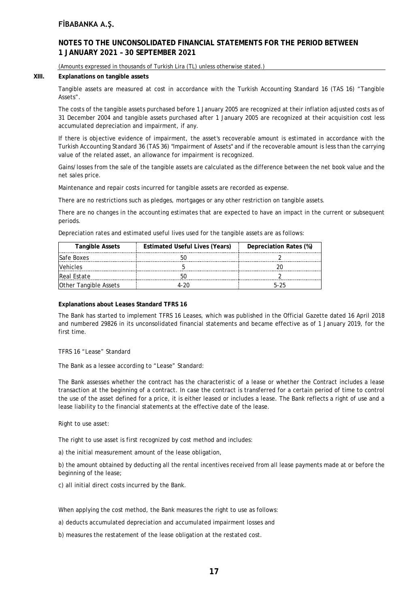### **NOTES TO THE UNCONSOLIDATED FINANCIAL STATEMENTS FOR THE PERIOD BETWEEN 1 JANUARY 2021 – 30 SEPTEMBER 2021**

#### (Amounts expressed in thousands of Turkish Lira (TL) unless otherwise stated.)

#### **XIII. Explanations on tangible assets**

Tangible assets are measured at cost in accordance with the Turkish Accounting Standard 16 (TAS 16) "Tangible Assets".

The costs of the tangible assets purchased before 1 January 2005 are recognized at their inflation adjusted costs as of 31 December 2004 and tangible assets purchased after 1 January 2005 are recognized at their acquisition cost less accumulated depreciation and impairment, if any.

If there is objective evidence of impairment, the asset's recoverable amount is estimated in accordance with the Turkish Accounting Standard 36 (TAS 36) "Impairment of Assets" and if the recoverable amount is less than the carrying value of the related asset, an allowance for impairment is recognized.

Gains/losses from the sale of the tangible assets are calculated as the difference between the net book value and the net sales price.

Maintenance and repair costs incurred for tangible assets are recorded as expense.

There are no restrictions such as pledges, mortgages or any other restriction on tangible assets.

There are no changes in the accounting estimates that are expected to have an impact in the current or subsequent periods.

Depreciation rates and estimated useful lives used for the tangible assets are as follows:

| <b>Tangible Assets</b>       | <b>Estimated Useful Lives (Years)</b> | Depreciation Rates (%) |
|------------------------------|---------------------------------------|------------------------|
| <b>Safe Boxes</b>            |                                       |                        |
| /ehicles                     |                                       |                        |
| <b>Real Estate</b>           |                                       |                        |
| <b>Other Tangible Assets</b> |                                       | トーント                   |

#### **Explanations about Leases Standard TFRS 16**

The Bank has started to implement TFRS 16 Leases, which was published in the Official Gazette dated 16 April 2018 and numbered 29826 in its unconsolidated financial statements and became effective as of 1 January 2019, for the first time.

#### TFRS 16 "Lease" Standard

The Bank as a lessee according to "Lease" Standard:

The Bank assesses whether the contract has the characteristic of a lease or whether the Contract includes a lease transaction at the beginning of a contract. In case the contract is transferred for a certain period of time to control the use of the asset defined for a price, it is either leased or includes a lease. The Bank reflects a right of use and a lease liability to the financial statements at the effective date of the lease.

#### Right to use asset:

The right to use asset is first recognized by cost method and includes:

a) the initial measurement amount of the lease obligation,

b) the amount obtained by deducting all the rental incentives received from all lease payments made at or before the beginning of the lease;

c) all initial direct costs incurred by the Bank.

When applying the cost method, the Bank measures the right to use as follows:

a) deducts accumulated depreciation and accumulated impairment losses and

b) measures the restatement of the lease obligation at the restated cost.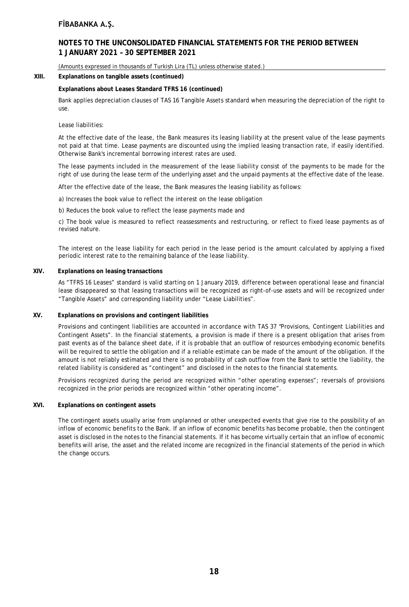### **NOTES TO THE UNCONSOLIDATED FINANCIAL STATEMENTS FOR THE PERIOD BETWEEN 1 JANUARY 2021 – 30 SEPTEMBER 2021**

(Amounts expressed in thousands of Turkish Lira (TL) unless otherwise stated.)

#### **XIII. Explanations on tangible assets (continued)**

#### **Explanations about Leases Standard TFRS 16 (continued)**

Bank applies depreciation clauses of TAS 16 Tangible Assets standard when measuring the depreciation of the right to use.

#### Lease liabilities:

At the effective date of the lease, the Bank measures its leasing liability at the present value of the lease payments not paid at that time. Lease payments are discounted using the implied leasing transaction rate, if easily identified. Otherwise Bank's incremental borrowing interest rates are used.

The lease payments included in the measurement of the lease liability consist of the payments to be made for the right of use during the lease term of the underlying asset and the unpaid payments at the effective date of the lease.

After the effective date of the lease, the Bank measures the leasing liability as follows:

- a) Increases the book value to reflect the interest on the lease obligation
- b) Reduces the book value to reflect the lease payments made and

c) The book value is measured to reflect reassessments and restructuring, or reflect to fixed lease payments as of revised nature.

The interest on the lease liability for each period in the lease period is the amount calculated by applying a fixed periodic interest rate to the remaining balance of the lease liability.

#### **XIV. Explanations on leasing transactions**

As "TFRS 16 Leases" standard is valid starting on 1 January 2019, difference between operational lease and financial lease disappeared so that leasing transactions will be recognized as right-of-use assets and will be recognized under "Tangible Assets" and corresponding liability under "Lease Liabilities".

#### **XV. Explanations on provisions and contingent liabilities**

Provisions and contingent liabilities are accounted in accordance with TAS 37 "Provisions, Contingent Liabilities and Contingent Assets". In the financial statements, a provision is made if there is a present obligation that arises from past events as of the balance sheet date, if it is probable that an outflow of resources embodying economic benefits will be required to settle the obligation and if a reliable estimate can be made of the amount of the obligation. If the amount is not reliably estimated and there is no probability of cash outflow from the Bank to settle the liability, the related liability is considered as "contingent" and disclosed in the notes to the financial statements.

Provisions recognized during the period are recognized within "other operating expenses"; reversals of provisions recognized in the prior periods are recognized within "other operating income".

#### **XVI. Explanations on contingent assets**

The contingent assets usually arise from unplanned or other unexpected events that give rise to the possibility of an inflow of economic benefits to the Bank. If an inflow of economic benefits has become probable, then the contingent asset is disclosed in the notes to the financial statements. If it has become virtually certain that an inflow of economic benefits will arise, the asset and the related income are recognized in the financial statements of the period in which the change occurs.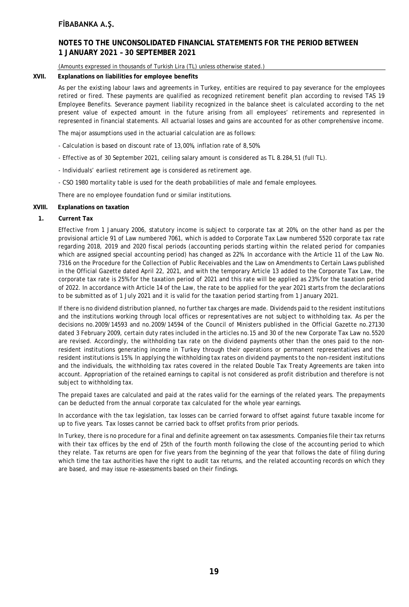### **NOTES TO THE UNCONSOLIDATED FINANCIAL STATEMENTS FOR THE PERIOD BETWEEN 1 JANUARY 2021 – 30 SEPTEMBER 2021**

#### (Amounts expressed in thousands of Turkish Lira (TL) unless otherwise stated.)

#### **XVII. Explanations on liabilities for employee benefits**

As per the existing labour laws and agreements in Turkey, entities are required to pay severance for the employees retired or fired. These payments are qualified as recognized retirement benefit plan according to revised TAS 19 Employee Benefits. Severance payment liability recognized in the balance sheet is calculated according to the net present value of expected amount in the future arising from all employees' retirements and represented in represented in financial statements. All actuarial losses and gains are accounted for as other comprehensive income.

The major assumptions used in the actuarial calculation are as follows:

- Calculation is based on discount rate of 13,00%, inflation rate of 8,50%.
- Effective as of 30 September 2021, ceiling salary amount is considered as TL 8.284,51 (full TL).
- Individuals' earliest retirement age is considered as retirement age.
- CSO 1980 mortality table is used for the death probabilities of male and female employees.

There are no employee foundation fund or similar institutions.

#### **XVIII. Explanations on taxation**

#### **1. Current Tax**

Effective from 1 January 2006, statutory income is subject to corporate tax at 20%, on the other hand as per the provisional article 91 of Law numbered 7061, which is added to Corporate Tax Law numbered 5520 corporate tax rate regarding 2018, 2019 and 2020 fiscal periods (accounting periods starting within the related period for companies which are assigned special accounting period) has changed as 22%. In accordance with the Article 11 of the Law No. 7316 on the Procedure for the Collection of Public Receivables and the Law on Amendments to Certain Laws published in the Official Gazette dated April 22, 2021, and with the temporary Article 13 added to the Corporate Tax Law, the corporate tax rate is 25% for the taxation period of 2021 and this rate will be applied as 23% for the taxation period of 2022. In accordance with Article 14 of the Law, the rate to be applied for the year 2021 starts from the declarations to be submitted as of 1 July 2021 and it is valid for the taxation period starting from 1 January 2021.

If there is no dividend distribution planned, no further tax charges are made. Dividends paid to the resident institutions and the institutions working through local offices or representatives are not subject to withholding tax. As per the decisions no.2009/14593 and no.2009/14594 of the Council of Ministers published in the Official Gazette no.27130 dated 3 February 2009, certain duty rates included in the articles no.15 and 30 of the new Corporate Tax Law no.5520 are revised. Accordingly, the withholding tax rate on the dividend payments other than the ones paid to the nonresident institutions generating income in Turkey through their operations or permanent representatives and the resident institutions is 15%. In applying the withholding tax rates on dividend payments to the non-resident institutions and the individuals, the withholding tax rates covered in the related Double Tax Treaty Agreements are taken into account. Appropriation of the retained earnings to capital is not considered as profit distribution and therefore is not subject to withholding tax.

The prepaid taxes are calculated and paid at the rates valid for the earnings of the related years. The prepayments can be deducted from the annual corporate tax calculated for the whole year earnings.

In accordance with the tax legislation, tax losses can be carried forward to offset against future taxable income for up to five years. Tax losses cannot be carried back to offset profits from prior periods.

In Turkey, there is no procedure for a final and definite agreement on tax assessments. Companies file their tax returns with their tax offices by the end of 25th of the fourth month following the close of the accounting period to which they relate. Tax returns are open for five years from the beginning of the year that follows the date of filing during which time the tax authorities have the right to audit tax returns, and the related accounting records on which they are based, and may issue re-assessments based on their findings.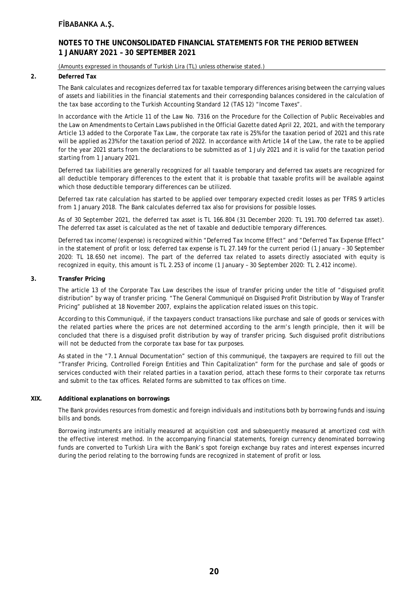### **NOTES TO THE UNCONSOLIDATED FINANCIAL STATEMENTS FOR THE PERIOD BETWEEN 1 JANUARY 2021 – 30 SEPTEMBER 2021**

#### (Amounts expressed in thousands of Turkish Lira (TL) unless otherwise stated.)

#### **2. Deferred Tax**

The Bank calculates and recognizes deferred tax for taxable temporary differences arising between the carrying values of assets and liabilities in the financial statements and their corresponding balances considered in the calculation of the tax base according to the Turkish Accounting Standard 12 (TAS 12) "Income Taxes".

In accordance with the Article 11 of the Law No. 7316 on the Procedure for the Collection of Public Receivables and the Law on Amendments to Certain Laws published in the Official Gazette dated April 22, 2021, and with the temporary Article 13 added to the Corporate Tax Law, the corporate tax rate is 25% for the taxation period of 2021 and this rate will be applied as 23% for the taxation period of 2022. In accordance with Article 14 of the Law, the rate to be applied for the year 2021 starts from the declarations to be submitted as of 1 July 2021 and it is valid for the taxation period starting from 1 January 2021.

Deferred tax liabilities are generally recognized for all taxable temporary and deferred tax assets are recognized for all deductible temporary differences to the extent that it is probable that taxable profits will be available against which those deductible temporary differences can be utilized.

Deferred tax rate calculation has started to be applied over temporary expected credit losses as per TFRS 9 articles from 1 January 2018. The Bank calculates deferred tax also for provisions for possible losses.

As of 30 September 2021, the deferred tax asset is TL 166.804 (31 December 2020: TL 191.700 deferred tax asset). The deferred tax asset is calculated as the net of taxable and deductible temporary differences.

Deferred tax income/(expense) is recognized within "Deferred Tax Income Effect" and "Deferred Tax Expense Effect" in the statement of profit or loss; deferred tax expense is TL 27.149 for the current period (1 January – 30 September 2020: TL 18.650 net income). The part of the deferred tax related to assets directly associated with equity is recognized in equity, this amount is TL 2.253 of income (1 January – 30 September 2020: TL 2.412 income).

#### **3. Transfer Pricing**

The article 13 of the Corporate Tax Law describes the issue of transfer pricing under the title of "disguised profit distribution" by way of transfer pricing. "The General Communiqué on Disguised Profit Distribution by Way of Transfer Pricing" published at 18 November 2007, explains the application related issues on this topic.

According to this Communiqué, if the taxpayers conduct transactions like purchase and sale of goods or services with the related parties where the prices are not determined according to the arm's length principle, then it will be concluded that there is a disguised profit distribution by way of transfer pricing. Such disguised profit distributions will not be deducted from the corporate tax base for tax purposes.

As stated in the "7.1 Annual Documentation" section of this communiqué, the taxpayers are required to fill out the "Transfer Pricing, Controlled Foreign Entities and Thin Capitalization" form for the purchase and sale of goods or services conducted with their related parties in a taxation period, attach these forms to their corporate tax returns and submit to the tax offices. Related forms are submitted to tax offices on time.

#### **XIX. Additional explanations on borrowings**

The Bank provides resources from domestic and foreign individuals and institutions both by borrowing funds and issuing bills and bonds.

Borrowing instruments are initially measured at acquisition cost and subsequently measured at amortized cost with the effective interest method. In the accompanying financial statements, foreign currency denominated borrowing funds are converted to Turkish Lira with the Bank's spot foreign exchange buy rates and interest expenses incurred during the period relating to the borrowing funds are recognized in statement of profit or loss.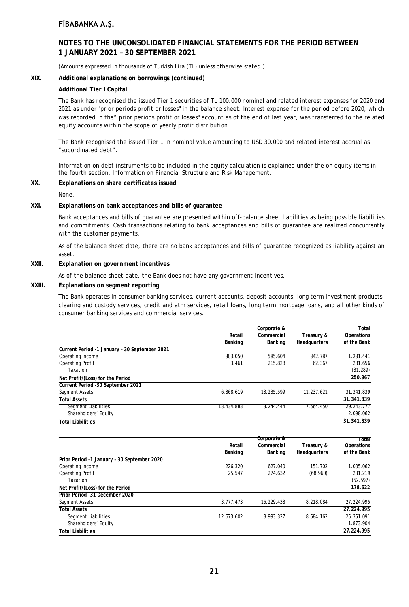### **NOTES TO THE UNCONSOLIDATED FINANCIAL STATEMENTS FOR THE PERIOD BETWEEN 1 JANUARY 2021 – 30 SEPTEMBER 2021**

(Amounts expressed in thousands of Turkish Lira (TL) unless otherwise stated.)

#### **XIX. Additional explanations on borrowings (continued)**

#### **Additional Tier I Capital**

The Bank has recognised the issued Tier 1 securities of TL 100.000 nominal and related interest expenses for 2020 and 2021 as under "prior periods profit or losses" in the balance sheet. Interest expense for the period before 2020, which was recorded in the" prior periods profit or losses" account as of the end of last year, was transferred to the related equity accounts within the scope of yearly profit distribution.

The Bank recognised the issued Tier 1 in nominal value amounting to USD 30.000 and related interest accrual as "subordinated debt".

Information on debt instruments to be included in the equity calculation is explained under the on equity items in the fourth section, Information on Financial Structure and Risk Management.

#### **XX. Explanations on share certificates issued**

None.

#### **XXI. Explanations on bank acceptances and bills of guarantee**

Bank acceptances and bills of guarantee are presented within off-balance sheet liabilities as being possible liabilities and commitments. Cash transactions relating to bank acceptances and bills of guarantee are realized concurrently with the customer payments.

As of the balance sheet date, there are no bank acceptances and bills of guarantee recognized as liability against an asset.

#### **XXII. Explanation on government incentives**

As of the balance sheet date, the Bank does not have any government incentives.

#### **XXIII. Explanations on segment reporting**

The Bank operates in consumer banking services, current accounts, deposit accounts, long term investment products, clearing and custody services, credit and atm services, retail loans, long term mortgage loans, and all other kinds of consumer banking services and commercial services.

|                                               |            | Corporate & |              | Total       |
|-----------------------------------------------|------------|-------------|--------------|-------------|
|                                               | Retail     | Commercial  | Treasury &   | Operations  |
|                                               | Banking    | Banking     | Headquarters | of the Bank |
| Current Period -1 January - 30 September 2021 |            |             |              |             |
| Operating Income                              | 303.050    | 585.604     | 342.787      | 1.231.441   |
| <b>Operating Profit</b>                       | 3.461      | 215.828     | 62.367       | 281.656     |
| Taxation                                      |            |             |              | (31.289)    |
| Net Profit/(Loss) for the Period              |            |             |              | 250.367     |
| Current Period -30 September 2021             |            |             |              |             |
| Segment Assets                                | 6.868.619  | 13.235.599  | 11.237.621   | 31.341.839  |
| <b>Total Assets</b>                           |            |             |              | 31.341.839  |
| Segment Liabilities                           | 18.434.883 | 3.244.444   | 7.564.450    | 29.243.777  |
| Shareholders' Equity                          |            |             |              | 2.098.062   |
| <b>Total Liabilities</b>                      |            |             |              | 31.341.839  |

|                                             |            | Corporate & |              | Total       |
|---------------------------------------------|------------|-------------|--------------|-------------|
|                                             | Retail     | Commercial  | Treasury &   | Operations  |
|                                             | Banking    | Banking     | Headquarters | of the Bank |
| Prior Period -1 January - 30 September 2020 |            |             |              |             |
| Operating Income                            | 226.320    | 627.040     | 151.702      | 1.005.062   |
| <b>Operating Profit</b>                     | 25.547     | 274.632     | (68.960)     | 231.219     |
| Taxation                                    |            |             |              | (52.597)    |
| Net Profit/(Loss) for the Period            |            |             |              | 178.622     |
| Prior Period -31 December 2020              |            |             |              |             |
| Segment Assets                              | 3.777.473  | 15.229.438  | 8.218.084    | 27.224.995  |
| <b>Total Assets</b>                         |            |             |              | 27.224.995  |
| <b>Segment Liabilities</b>                  | 12.673.602 | 3.993.327   | 8.684.162    | 25.351.091  |
| Shareholders' Equity                        |            |             |              | 1.873.904   |
| <b>Total Liabilities</b>                    |            |             |              | 27.224.995  |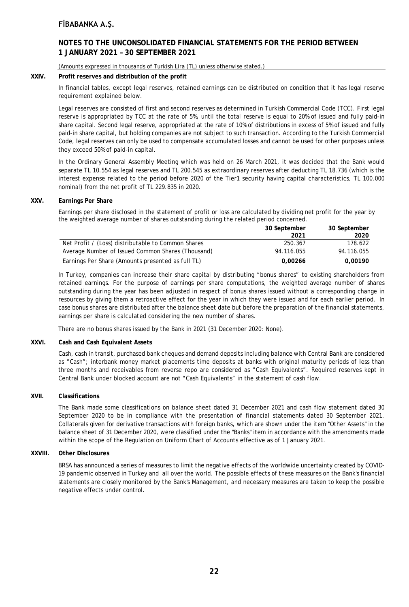### **NOTES TO THE UNCONSOLIDATED FINANCIAL STATEMENTS FOR THE PERIOD BETWEEN 1 JANUARY 2021 – 30 SEPTEMBER 2021**

#### (Amounts expressed in thousands of Turkish Lira (TL) unless otherwise stated.)

#### **XXIV. Profit reserves and distribution of the profit**

In financial tables, except legal reserves, retained earnings can be distributed on condition that it has legal reserve requirement explained below.

Legal reserves are consisted of first and second reserves as determined in Turkish Commercial Code (TCC). First legal reserve is appropriated by TCC at the rate of 5%, until the total reserve is equal to 20% of issued and fully paid-in share capital. Second legal reserve, appropriated at the rate of 10% of distributions in excess of 5% of issued and fully paid-in share capital, but holding companies are not subject to such transaction. According to the Turkish Commercial Code, legal reserves can only be used to compensate accumulated losses and cannot be used for other purposes unless they exceed 50% of paid-in capital.

In the Ordinary General Assembly Meeting which was held on 26 March 2021, it was decided that the Bank would separate TL 10.554 as legal reserves and TL 200.545 as extraordinary reserves after deducting TL 18.736 (which is the interest expense related to the period before 2020 of the Tier1 security having capital characteristics, TL 100.000 nominal) from the net profit of TL 229.835 in 2020.

#### **XXV. Earnings Per Share**

Earnings per share disclosed in the statement of profit or loss are calculated by dividing net profit for the year by the weighted average number of shares outstanding during the related period concerned.

|                                                    | 30 September | 30 September |
|----------------------------------------------------|--------------|--------------|
|                                                    | 2021         | 2020         |
| Net Profit / (Loss) distributable to Common Shares | 250.367      | 178.622      |
| Average Number of Issued Common Shares (Thousand)  | 94.116.055   | 94.116.055   |
| Earnings Per Share (Amounts presented as full TL)  | 0.00266      | 0.00190      |

In Turkey, companies can increase their share capital by distributing "bonus shares" to existing shareholders from retained earnings. For the purpose of earnings per share computations, the weighted average number of shares outstanding during the year has been adjusted in respect of bonus shares issued without a corresponding change in resources by giving them a retroactive effect for the year in which they were issued and for each earlier period. In case bonus shares are distributed after the balance sheet date but before the preparation of the financial statements, earnings per share is calculated considering the new number of shares.

There are no bonus shares issued by the Bank in 2021 (31 December 2020: None).

#### **XXVI. Cash and Cash Equivalent Assets**

Cash, cash in transit, purchased bank cheques and demand deposits including balance with Central Bank are considered as "Cash"; interbank money market placements time deposits at banks with original maturity periods of less than three months and receivables from reverse repo are considered as "Cash Equivalents". Required reserves kept in Central Bank under blocked account are not "Cash Equivalents" in the statement of cash flow.

#### **XVII. Classifications**

The Bank made some classifications on balance sheet dated 31 December 2021 and cash flow statement dated 30 September 2020 to be in compliance with the presentation of financial statements dated 30 September 2021. Collaterals given for derivative transactions with foreign banks, which are shown under the item "Other Assets" in the balance sheet of 31 December 2020, were classified under the "Banks" item in accordance with the amendments made within the scope of the Regulation on Uniform Chart of Accounts effective as of 1 January 2021.

#### **XXVIII. Other Disclosures**

BRSA has announced a series of measures to limit the negative effects of the worldwide uncertainty created by COVID-19 pandemic observed in Turkey and all over the world. The possible effects of these measures on the Bank's financial statements are closely monitored by the Bank's Management, and necessary measures are taken to keep the possible negative effects under control.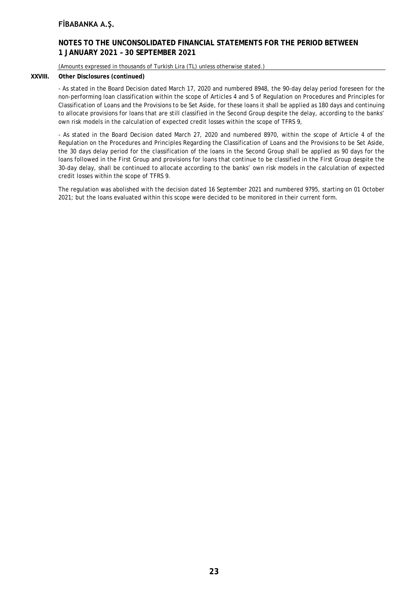### **NOTES TO THE UNCONSOLIDATED FINANCIAL STATEMENTS FOR THE PERIOD BETWEEN 1 JANUARY 2021 – 30 SEPTEMBER 2021**

(Amounts expressed in thousands of Turkish Lira (TL) unless otherwise stated.)

### **XXVIII. Other Disclosures (continued)**

- As stated in the Board Decision dated March 17, 2020 and numbered 8948, the 90-day delay period foreseen for the non-performing loan classification within the scope of Articles 4 and 5 of Regulation on Procedures and Principles for Classification of Loans and the Provisions to be Set Aside, for these loans it shall be applied as 180 days and continuing to allocate provisions for loans that are still classified in the Second Group despite the delay, according to the banks' own risk models in the calculation of expected credit losses within the scope of TFRS 9,

- As stated in the Board Decision dated March 27, 2020 and numbered 8970, within the scope of Article 4 of the Regulation on the Procedures and Principles Regarding the Classification of Loans and the Provisions to be Set Aside, the 30 days delay period for the classification of the loans in the Second Group shall be applied as 90 days for the loans followed in the First Group and provisions for loans that continue to be classified in the First Group despite the 30-day delay, shall be continued to allocate according to the banks' own risk models in the calculation of expected credit losses within the scope of TFRS 9.

The regulation was abolished with the decision dated 16 September 2021 and numbered 9795, starting on 01 October 2021; but the loans evaluated within this scope were decided to be monitored in their current form.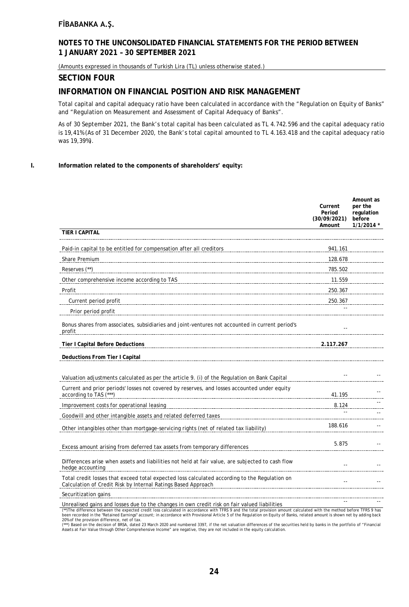### **NOTES TO THE UNCONSOLIDATED FINANCIAL STATEMENTS FOR THE PERIOD BETWEEN 1 JANUARY 2021 – 30 SEPTEMBER 2021**

(Amounts expressed in thousands of Turkish Lira (TL) unless otherwise stated.)

### **SECTION FOUR**

### **INFORMATION ON FINANCIAL POSITION AND RISK MANAGEMENT**

Total capital and capital adequacy ratio have been calculated in accordance with the "Regulation on Equity of Banks" and "Regulation on Measurement and Assessment of Capital Adequacy of Banks".

As of 30 September 2021, the Bank's total capital has been calculated as TL 4.742.596 and the capital adequacy ratio is 19,41% (As of 31 December 2020, the Bank's total capital amounted to TL 4.163.418 and the capital adequacy ratio was 19,39%).

#### **I. Information related to the components of shareholders' equity:**

|                                                                                                                                                                | Current<br>Period<br>(30/09/2021)<br>Amount | Amount as<br>per the<br>regulation<br>before<br>$1/1/2014$ * |
|----------------------------------------------------------------------------------------------------------------------------------------------------------------|---------------------------------------------|--------------------------------------------------------------|
| <b>TIER I CAPITAL</b>                                                                                                                                          |                                             |                                                              |
| Paid-in capital to be entitled for compensation after all creditors                                                                                            | 941.161                                     |                                                              |
| Share Premium                                                                                                                                                  | 128.678                                     |                                                              |
| Reserves (**)                                                                                                                                                  | 785.502                                     |                                                              |
| Other comprehensive income according to TAS                                                                                                                    | 11.559                                      |                                                              |
| Profit                                                                                                                                                         | 250.367                                     |                                                              |
| Current period profit                                                                                                                                          | 250.367                                     |                                                              |
| Prior period profit                                                                                                                                            |                                             |                                                              |
| Bonus shares from associates, subsidiaries and joint-ventures not accounted in current period's<br>profit                                                      |                                             |                                                              |
| <b>Tier I Capital Before Deductions</b>                                                                                                                        | 2.117.267                                   |                                                              |
| Deductions From Tier I Capital                                                                                                                                 |                                             |                                                              |
| Valuation adjustments calculated as per the article 9. (i) of the Regulation on Bank Capital                                                                   |                                             |                                                              |
| Current and prior periods' losses not covered by reserves, and losses accounted under equity<br>according to TAS (***)                                         | 41.195                                      |                                                              |
| Improvement costs for operational leasing                                                                                                                      | 8.124                                       |                                                              |
| Goodwill and other intangible assets and related deferred taxes                                                                                                |                                             |                                                              |
| Other intangibles other than mortgage-servicing rights (net of related tax liability)                                                                          | 188.616                                     |                                                              |
| Excess amount arising from deferred tax assets from temporary differences                                                                                      | 5.875                                       |                                                              |
| Differences arise when assets and liabilities not held at fair value, are subjected to cash flow<br>hedge accounting                                           |                                             |                                                              |
| Total credit losses that exceed total expected loss calculated according to the Regulation on<br>Calculation of Credit Risk by Internal Ratings Based Approach |                                             |                                                              |
| Securitization gains                                                                                                                                           |                                             |                                                              |
| Unrealised gains and losses due to the changes in own credit risk on fair valued liabilities                                                                   |                                             |                                                              |

(\*\*)The difference between the expected credit loss calculated in accordance with TFRS 9 and the total provision amount calculated with the method before TFRS 9 has been recorded in the "Retained Farnings" account: in accordance with Provisional Article 5 of the Regulation on Fquity of Banks, related amount is shown net by adding back

20% of the provision difference, net of tax.<br>(\*\*\*) Based on the decision of BRSA, dated 23 March 2020 and numbered 3397, if the net valuation differences of the securities held by banks in the portfolio of "Financial<br>Asset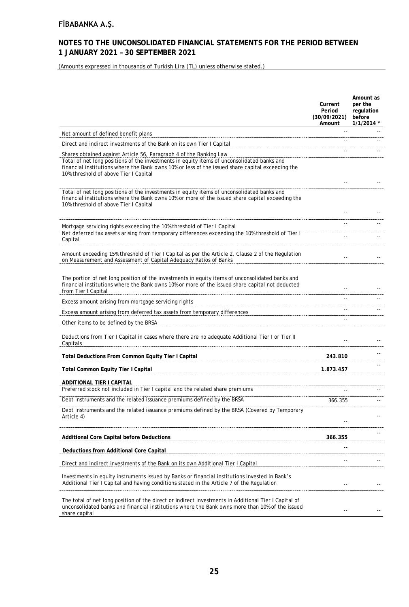# **NOTES TO THE UNCONSOLIDATED FINANCIAL STATEMENTS FOR THE PERIOD BETWEEN 1 JANUARY 2021 – 30 SEPTEMBER 2021**

(Amounts expressed in thousands of Turkish Lira (TL) unless otherwise stated.)

|                                                                                                                                                                                                                                                                                                               | Current<br>Period<br>(30/09/2021)<br>Amount | Amount as<br>per the<br>regulation<br>before<br>$1/1/2014$ * |
|---------------------------------------------------------------------------------------------------------------------------------------------------------------------------------------------------------------------------------------------------------------------------------------------------------------|---------------------------------------------|--------------------------------------------------------------|
| Net amount of defined benefit plans                                                                                                                                                                                                                                                                           |                                             |                                                              |
| Direct and indirect investments of the Bank on its own Tier I Capital                                                                                                                                                                                                                                         |                                             |                                                              |
| Shares obtained against Article 56, Paragraph 4 of the Banking Law<br>Total of net long positions of the investments in equity items of unconsolidated banks and<br>financial institutions where the Bank owns 10% or less of the issued share capital exceeding the<br>10% threshold of above Tier I Capital |                                             |                                                              |
| Total of net long positions of the investments in equity items of unconsolidated banks and<br>financial institutions where the Bank owns 10% or more of the issued share capital exceeding the<br>10% threshold of above Tier I Capital                                                                       |                                             |                                                              |
|                                                                                                                                                                                                                                                                                                               |                                             |                                                              |
| Mortgage servicing rights exceeding the 10% threshold of Tier I Capital<br>Net deferred tax assets arising from temporary differences exceeding the 10% threshold of Tier I<br>Capital                                                                                                                        | $\overline{\phantom{a}}$ .                  |                                                              |
| Amount exceeding 15% threshold of Tier I Capital as per the Article 2, Clause 2 of the Regulation<br>on Measurement and Assessment of Capital Adequacy Ratios of Banks                                                                                                                                        |                                             |                                                              |
| The portion of net long position of the investments in equity items of unconsolidated banks and<br>financial institutions where the Bank owns 10% or more of the issued share capital not deducted<br>from Tier I Capital                                                                                     |                                             |                                                              |
| Excess amount arising from mortgage servicing rights                                                                                                                                                                                                                                                          |                                             |                                                              |
| Excess amount arising from deferred tax assets from temporary differences                                                                                                                                                                                                                                     |                                             |                                                              |
| Other items to be defined by the BRSA                                                                                                                                                                                                                                                                         |                                             |                                                              |
| Deductions from Tier I Capital in cases where there are no adequate Additional Tier I or Tier II<br>Capitals                                                                                                                                                                                                  |                                             |                                                              |
| Total Deductions From Common Equity Tier I Capital                                                                                                                                                                                                                                                            | 243.810                                     |                                                              |
| <b>Total Common Equity Tier I Capital</b>                                                                                                                                                                                                                                                                     | 1.873.457                                   |                                                              |
| ADDITIONAL TIER I CAPITAL                                                                                                                                                                                                                                                                                     |                                             |                                                              |
| Preferred stock not included in Tier I capital and the related share premiums                                                                                                                                                                                                                                 |                                             |                                                              |
| Debt instruments and the related issuance premiums defined by the BRSA                                                                                                                                                                                                                                        | 366.355                                     |                                                              |
| Debt instruments and the related issuance premiums defined by the BRSA (Covered by Temporary<br>Article 4)                                                                                                                                                                                                    |                                             |                                                              |
| <b>Additional Core Capital before Deductions</b>                                                                                                                                                                                                                                                              | 366.355                                     |                                                              |
| Deductions from Additional Core Capital                                                                                                                                                                                                                                                                       |                                             |                                                              |
| Direct and indirect investments of the Bank on its own Additional Tier I Capital                                                                                                                                                                                                                              |                                             |                                                              |
| Investments in equity instruments issued by Banks or financial institutions invested in Bank's<br>Additional Tier I Capital and having conditions stated in the Article 7 of the Regulation                                                                                                                   |                                             |                                                              |
| The total of net long position of the direct or indirect investments in Additional Tier I Capital of<br>unconsolidated banks and financial institutions where the Bank owns more than 10% of the issued<br>share capital                                                                                      |                                             |                                                              |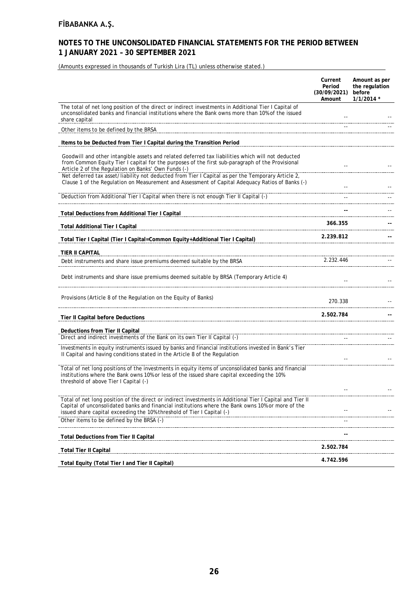# **NOTES TO THE UNCONSOLIDATED FINANCIAL STATEMENTS FOR THE PERIOD BETWEEN 1 JANUARY 2021 – 30 SEPTEMBER 2021**

(Amounts expressed in thousands of Turkish Lira (TL) unless otherwise stated.)

|                                                                                                                                                                                                                                                                                          | Current<br>Period<br>(30/09/2021)<br>Amount | Amount as per<br>the regulation<br>before<br>$1/1/2014$ * |
|------------------------------------------------------------------------------------------------------------------------------------------------------------------------------------------------------------------------------------------------------------------------------------------|---------------------------------------------|-----------------------------------------------------------|
| The total of net long position of the direct or indirect investments in Additional Tier I Capital of<br>unconsolidated banks and financial institutions where the Bank owns more than 10% of the issued<br>share capital                                                                 |                                             |                                                           |
| Other items to be defined by the BRSA                                                                                                                                                                                                                                                    |                                             |                                                           |
| Items to be Deducted from Tier I Capital during the Transition Period                                                                                                                                                                                                                    |                                             |                                                           |
| Goodwill and other intangible assets and related deferred tax liabilities which will not deducted<br>from Common Equity Tier I capital for the purposes of the first sub-paragraph of the Provisional<br>Article 2 of the Regulation on Banks' Own Funds (-)                             |                                             |                                                           |
| Net deferred tax asset/liability not deducted from Tier I Capital as per the Temporary Article 2,<br>Clause 1 of the Regulation on Measurement and Assessment of Capital Adequacy Ratios of Banks (-)                                                                                    |                                             |                                                           |
| Deduction from Additional Tier I Capital when there is not enough Tier II Capital (-)                                                                                                                                                                                                    | $\sim$ $\sim$                               |                                                           |
| Total Deductions from Additional Tier I Capital                                                                                                                                                                                                                                          |                                             |                                                           |
| <b>Total Additional Tier I Capital</b>                                                                                                                                                                                                                                                   | 366.355                                     |                                                           |
| Total Tier   Capital (Tier   Capital=Common Equity+Additional Tier   Capital)<br>The London Capital Common Capity+Additional Tier   Capital)                                                                                                                                             | 2.239.812                                   |                                                           |
| TIER II CAPITAL                                                                                                                                                                                                                                                                          |                                             |                                                           |
| Debt instruments and share issue premiums deemed suitable by the BRSA                                                                                                                                                                                                                    | 2.232.446                                   |                                                           |
| Debt instruments and share issue premiums deemed suitable by BRSA (Temporary Article 4)                                                                                                                                                                                                  |                                             |                                                           |
| Provisions (Article 8 of the Regulation on the Equity of Banks)                                                                                                                                                                                                                          | 270.338                                     |                                                           |
| Tier II Capital before Deductions                                                                                                                                                                                                                                                        | 2.502.784                                   |                                                           |
| Deductions from Tier II Capital                                                                                                                                                                                                                                                          |                                             |                                                           |
| Direct and indirect investments of the Bank on its own Tier II Capital (-)                                                                                                                                                                                                               |                                             |                                                           |
| Investments in equity instruments issued by banks and financial institutions invested in Bank's Tier<br>Il Capital and having conditions stated in the Article 8 of the Regulation                                                                                                       |                                             |                                                           |
| Total of net long positions of the investments in equity items of unconsolidated banks and financial<br>institutions where the Bank owns 10% or less of the issued share capital exceeding the 10%<br>threshold of above Tier I Capital (-)                                              |                                             |                                                           |
|                                                                                                                                                                                                                                                                                          |                                             |                                                           |
| Total of net long position of the direct or indirect investments in Additional Tier I Capital and Tier II<br>Capital of unconsolidated banks and financial institutions where the Bank owns 10% or more of the<br>issued share capital exceeding the 10% threshold of Tier I Capital (-) |                                             |                                                           |
| Other items to be defined by the BRSA (-)                                                                                                                                                                                                                                                |                                             |                                                           |
| <b>Total Deductions from Tier II Capital</b>                                                                                                                                                                                                                                             |                                             |                                                           |
| <b>Total Tier II Capital</b>                                                                                                                                                                                                                                                             | 2.502.784                                   |                                                           |
| Total Equity (Total Tier I and Tier II Capital)                                                                                                                                                                                                                                          | 4.742.596                                   |                                                           |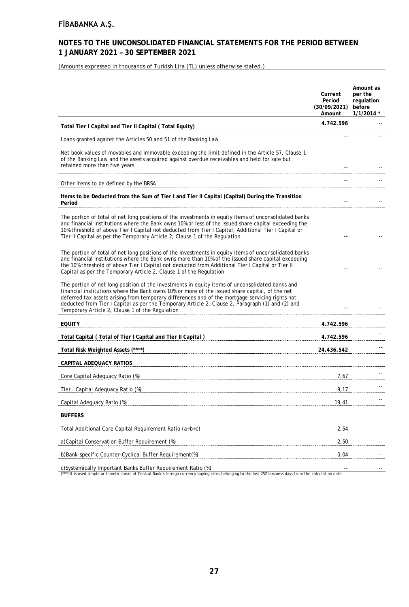### **NOTES TO THE UNCONSOLIDATED FINANCIAL STATEMENTS FOR THE PERIOD BETWEEN 1 JANUARY 2021 – 30 SEPTEMBER 2021**

(Amounts expressed in thousands of Turkish Lira (TL) unless otherwise stated.)

|                                                                                                                                                                                                                                                                                                                                                                                                                                                             | Current<br>Period<br>(30/09/2021)<br>Amount | Amount as<br>per the<br>regulation<br>before<br>$1/1/2014$ * |
|-------------------------------------------------------------------------------------------------------------------------------------------------------------------------------------------------------------------------------------------------------------------------------------------------------------------------------------------------------------------------------------------------------------------------------------------------------------|---------------------------------------------|--------------------------------------------------------------|
| Total Tier I Capital and Tier II Capital (Total Equity)                                                                                                                                                                                                                                                                                                                                                                                                     | 4.742.596                                   |                                                              |
| Loans granted against the Articles 50 and 51 of the Banking Law                                                                                                                                                                                                                                                                                                                                                                                             |                                             |                                                              |
| Net book values of movables and immovable exceeding the limit defined in the Article 57, Clause 1<br>of the Banking Law and the assets acquired against overdue receivables and held for sale but<br>retained more than five years                                                                                                                                                                                                                          |                                             |                                                              |
| Other items to be defined by the BRSA                                                                                                                                                                                                                                                                                                                                                                                                                       |                                             |                                                              |
| Items to be Deducted from the Sum of Tier I and Tier II Capital (Capital) During the Transition<br>Period                                                                                                                                                                                                                                                                                                                                                   |                                             |                                                              |
| The portion of total of net long positions of the investments in equity items of unconsolidated banks<br>and financial institutions where the Bank owns 10% or less of the issued share capital exceeding the<br>10% threshold of above Tier I Capital not deducted from Tier I Capital, Additional Tier I Capital or<br>Tier II Capital as per the Temporary Article 2, Clause 1 of the Regulation                                                         |                                             |                                                              |
| The portion of total of net long positions of the investments in equity items of unconsolidated banks<br>and financial institutions where the Bank owns more than 10% of the issued share capital exceeding<br>the 10% threshold of above Tier I Capital not deducted from Additional Tier I Capital or Tier II<br>Capital as per the Temporary Article 2, Clause 1 of the Regulation                                                                       |                                             |                                                              |
| The portion of net long position of the investments in equity items of unconsolidated banks and<br>financial institutions where the Bank owns 10% or more of the issued share capital, of the net<br>deferred tax assets arising from temporary differences and of the mortgage servicing rights not<br>deducted from Tier I Capital as per the Temporary Article 2, Clause 2, Paragraph (1) and (2) and<br>Temporary Article 2, Clause 1 of the Regulation |                                             |                                                              |
| <b>EQUITY</b>                                                                                                                                                                                                                                                                                                                                                                                                                                               | 4.742.596                                   |                                                              |
| Total Capital (Total of Tier I Capital and Tier II Capital)                                                                                                                                                                                                                                                                                                                                                                                                 | 4.742.596                                   |                                                              |
| Total Risk Weighted Assets (****)                                                                                                                                                                                                                                                                                                                                                                                                                           | 24.436.542                                  |                                                              |
| CAPITAL ADEQUACY RATIOS                                                                                                                                                                                                                                                                                                                                                                                                                                     |                                             |                                                              |
| Core Capital Adequacy Ratio (%)                                                                                                                                                                                                                                                                                                                                                                                                                             | 7,67                                        |                                                              |
| Tier I Capital Adequacy Ratio (%)                                                                                                                                                                                                                                                                                                                                                                                                                           | 9,17                                        |                                                              |
| Capital Adequacy Ratio (%)                                                                                                                                                                                                                                                                                                                                                                                                                                  | 19,41                                       |                                                              |
| <b>BUFFERS</b>                                                                                                                                                                                                                                                                                                                                                                                                                                              |                                             |                                                              |
| Total Additional Core Capital Requirement Ratio (a+b+c)                                                                                                                                                                                                                                                                                                                                                                                                     | 2,54                                        |                                                              |
| a) Capital Conservation Buffer Requirement (%)                                                                                                                                                                                                                                                                                                                                                                                                              | 2,50                                        |                                                              |
| b)Bank-specific Counter-Cyclical Buffer Requirement(%)                                                                                                                                                                                                                                                                                                                                                                                                      | 0,04                                        |                                                              |
| c)Systemically Important Banks Buffer Requirement Ratio (%)                                                                                                                                                                                                                                                                                                                                                                                                 |                                             |                                                              |

c)Systemically Important Banks Buffer Requirement Ratio (%)<br>(\*\*\*)It is used simple arithmetic mean of Central Bank's foreign currency buying rates belonging to the last 252 business days from the calculation date.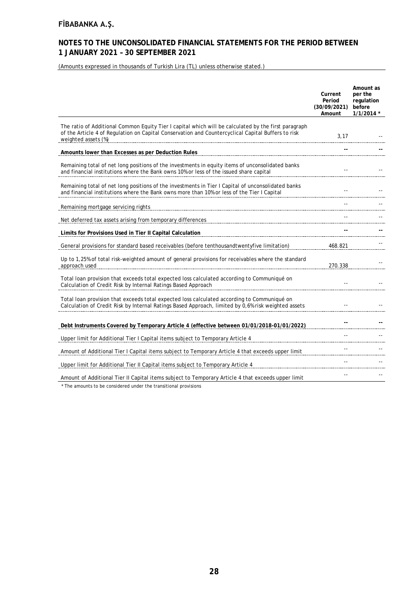### **NOTES TO THE UNCONSOLIDATED FINANCIAL STATEMENTS FOR THE PERIOD BETWEEN 1 JANUARY 2021 – 30 SEPTEMBER 2021**

(Amounts expressed in thousands of Turkish Lira (TL) unless otherwise stated.)

|                                                                                                                                                                                                                                   | Current<br>Period<br>(30/09/2021)<br>Amount | Amount as<br>per the<br>regulation<br>before<br>$1/1/2014$ * |
|-----------------------------------------------------------------------------------------------------------------------------------------------------------------------------------------------------------------------------------|---------------------------------------------|--------------------------------------------------------------|
| The ratio of Additional Common Equity Tier I capital which will be calculated by the first paragraph<br>of the Article 4 of Regulation on Capital Conservation and Countercyclical Capital Buffers to risk<br>weighted assets (%) | 3,17                                        |                                                              |
| Amounts lower than Excesses as per Deduction Rules                                                                                                                                                                                |                                             |                                                              |
| Remaining total of net long positions of the investments in equity items of unconsolidated banks<br>and financial institutions where the Bank owns 10% or less of the issued share capital                                        |                                             |                                                              |
| Remaining total of net long positions of the investments in Tier I Capital of unconsolidated banks<br>and financial institutions where the Bank owns more than 10% or less of the Tier I Capital                                  |                                             |                                                              |
| Remaining mortgage servicing rights                                                                                                                                                                                               |                                             |                                                              |
| Net deferred tax assets arising from temporary differences                                                                                                                                                                        |                                             |                                                              |
| Limits for Provisions Used in Tier II Capital Calculation                                                                                                                                                                         |                                             |                                                              |
| General provisions for standard based receivables (before tenthousandtwentyfive limitation)                                                                                                                                       | 468.821                                     |                                                              |
| Up to 1,25% of total risk-weighted amount of general provisions for receivables where the standard<br>approach used                                                                                                               | 270.338                                     |                                                              |
| Total loan provision that exceeds total expected loss calculated according to Communiqué on<br>Calculation of Credit Risk by Internal Ratings Based Approach                                                                      |                                             |                                                              |
| Total loan provision that exceeds total expected loss calculated according to Communiqué on<br>Calculation of Credit Risk by Internal Ratings Based Approach, limited by 0,6% risk weighted assets                                |                                             |                                                              |
| Debt Instruments Covered by Temporary Article 4 (effective between 01/01/2018-01/01/2022)                                                                                                                                         |                                             |                                                              |
| Upper limit for Additional Tier I Capital items subject to Temporary Article 4                                                                                                                                                    |                                             |                                                              |
| Amount of Additional Tier I Capital items subject to Temporary Article 4 that exceeds upper limit                                                                                                                                 |                                             |                                                              |
| Upper limit for Additional Tier II Capital items subject to Temporary Article 4                                                                                                                                                   |                                             |                                                              |
| Amount of Additional Tier II Capital items subject to Temporary Article 4 that exceeds upper limit                                                                                                                                |                                             |                                                              |

\* The amounts to be considered under the transitional provisions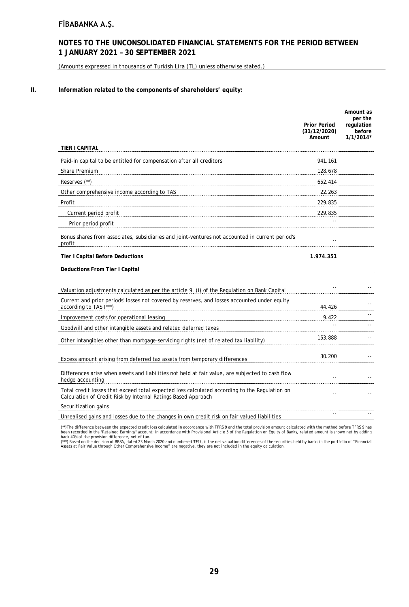### **NOTES TO THE UNCONSOLIDATED FINANCIAL STATEMENTS FOR THE PERIOD BETWEEN 1 JANUARY 2021 – 30 SEPTEMBER 2021**

(Amounts expressed in thousands of Turkish Lira (TL) unless otherwise stated.)

#### **II. Information related to the components of shareholders' equity:**

|                                                                                                                                                                | <b>Prior Period</b><br>(31/12/2020)<br>Amount | Amount as<br>per the<br>regulation<br>before<br>$1/1/2014*$ |
|----------------------------------------------------------------------------------------------------------------------------------------------------------------|-----------------------------------------------|-------------------------------------------------------------|
| <b>TIER I CAPITAL</b>                                                                                                                                          |                                               |                                                             |
| Paid-in capital to be entitled for compensation after all creditors                                                                                            | 941.161                                       |                                                             |
| Share Premium                                                                                                                                                  | 128.678                                       |                                                             |
| Reserves (**)                                                                                                                                                  | 652.414                                       |                                                             |
| Other comprehensive income according to TAS                                                                                                                    | 22.263                                        |                                                             |
| Profit                                                                                                                                                         | 229.835                                       |                                                             |
| Current period profit                                                                                                                                          | 229.835                                       |                                                             |
| Prior period profit                                                                                                                                            |                                               |                                                             |
| Bonus shares from associates, subsidiaries and joint-ventures not accounted in current period's<br>profit                                                      |                                               |                                                             |
| <b>Tier I Capital Before Deductions</b>                                                                                                                        | 1.974.351                                     |                                                             |
| Deductions From Tier I Capital                                                                                                                                 |                                               |                                                             |
|                                                                                                                                                                |                                               |                                                             |
| Valuation adjustments calculated as per the article 9. (i) of the Regulation on Bank Capital                                                                   |                                               |                                                             |
| Current and prior periods' losses not covered by reserves, and losses accounted under equity<br>according to TAS (***)                                         | 44.426                                        |                                                             |
| Improvement costs for operational leasing                                                                                                                      | 9.422                                         |                                                             |
| Goodwill and other intangible assets and related deferred taxes                                                                                                |                                               |                                                             |
| Other intangibles other than mortgage-servicing rights (net of related tax liability)                                                                          | 153.888                                       |                                                             |
| Excess amount arising from deferred tax assets from temporary differences                                                                                      | 30.200                                        |                                                             |
| Differences arise when assets and liabilities not held at fair value, are subjected to cash flow<br>hedge accounting                                           | $\overline{a}$                                |                                                             |
| Total credit losses that exceed total expected loss calculated according to the Regulation on<br>Calculation of Credit Risk by Internal Ratings Based Approach | $\overline{a}$                                |                                                             |
| Securitization gains                                                                                                                                           |                                               |                                                             |
| Unrealised gains and losses due to the changes in own credit risk on fair valued liabilities                                                                   |                                               |                                                             |

(\*\*)The difference between the expected credit loss calculated in accordance with TFRS 9 and the total provision amount calculated with the method before TFRS 9 has<br>been recorded in the "Retained Earnings" account; in acco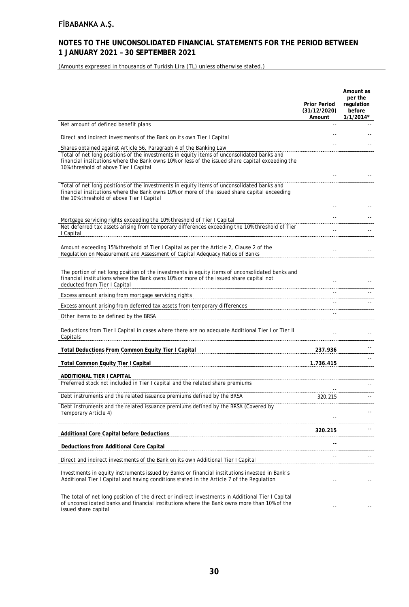### **NOTES TO THE UNCONSOLIDATED FINANCIAL STATEMENTS FOR THE PERIOD BETWEEN 1 JANUARY 2021 – 30 SEPTEMBER 2021**

(Amounts expressed in thousands of Turkish Lira (TL) unless otherwise stated.)

|                                                                                                                                                                                                                                                                                                               | <b>Prior Period</b><br>(31/12/2020)<br>Amount | Amount as<br>per the<br>regulation<br>before<br>$1/1/2014*$ |
|---------------------------------------------------------------------------------------------------------------------------------------------------------------------------------------------------------------------------------------------------------------------------------------------------------------|-----------------------------------------------|-------------------------------------------------------------|
| Net amount of defined benefit plans                                                                                                                                                                                                                                                                           |                                               |                                                             |
| Direct and indirect investments of the Bank on its own Tier I Capital                                                                                                                                                                                                                                         |                                               |                                                             |
| Shares obtained against Article 56, Paragraph 4 of the Banking Law<br>Total of net long positions of the investments in equity items of unconsolidated banks and<br>financial institutions where the Bank owns 10% or less of the issued share capital exceeding the<br>10% threshold of above Tier I Capital |                                               |                                                             |
| Total of net long positions of the investments in equity items of unconsolidated banks and<br>financial institutions where the Bank owns 10% or more of the issued share capital exceeding<br>the 10% threshold of above Tier I Capital                                                                       |                                               |                                                             |
|                                                                                                                                                                                                                                                                                                               |                                               |                                                             |
| Mortgage servicing rights exceeding the 10% threshold of Tier I Capital<br>Net deferred tax assets arising from temporary differences exceeding the 10% threshold of Tier<br>I Capital                                                                                                                        |                                               |                                                             |
| Amount exceeding 15% threshold of Tier I Capital as per the Article 2, Clause 2 of the<br>Regulation on Measurement and Assessment of Capital Adequacy Ratios of Banks                                                                                                                                        |                                               |                                                             |
| The portion of net long position of the investments in equity items of unconsolidated banks and<br>financial institutions where the Bank owns 10% or more of the issued share capital not<br>deducted from Tier I Capital                                                                                     |                                               |                                                             |
| Excess amount arising from mortgage servicing rights                                                                                                                                                                                                                                                          |                                               |                                                             |
| Excess amount arising from deferred tax assets from temporary differences                                                                                                                                                                                                                                     |                                               |                                                             |
| Other items to be defined by the BRSA                                                                                                                                                                                                                                                                         |                                               |                                                             |
| Deductions from Tier I Capital in cases where there are no adequate Additional Tier I or Tier II<br>Capitals                                                                                                                                                                                                  |                                               |                                                             |
| Total Deductions From Common Equity Tier I Capital                                                                                                                                                                                                                                                            | 237.936                                       |                                                             |
| <b>Total Common Equity Tier I Capital</b>                                                                                                                                                                                                                                                                     | 1.736.415                                     |                                                             |
| ADDITIONAL TIER I CAPITAL<br>Preferred stock not included in Tier I capital and the related share premiums                                                                                                                                                                                                    |                                               |                                                             |
| Debt instruments and the related issuance premiums defined by the BRSA                                                                                                                                                                                                                                        | 320.215                                       |                                                             |
| Debt instruments and the related issuance premiums defined by the BRSA (Covered by<br>Temporary Article 4)                                                                                                                                                                                                    |                                               |                                                             |
| <b>Additional Core Capital before Deductions</b>                                                                                                                                                                                                                                                              | 320.215                                       |                                                             |
| Deductions from Additional Core Capital                                                                                                                                                                                                                                                                       |                                               |                                                             |
| Direct and indirect investments of the Bank on its own Additional Tier I Capital                                                                                                                                                                                                                              |                                               |                                                             |
| Investments in equity instruments issued by Banks or financial institutions invested in Bank's<br>Additional Tier I Capital and having conditions stated in the Article 7 of the Regulation                                                                                                                   | $-$                                           |                                                             |
| The total of net long position of the direct or indirect investments in Additional Tier I Capital<br>of unconsolidated banks and financial institutions where the Bank owns more than 10% of the<br>issued share capital                                                                                      |                                               |                                                             |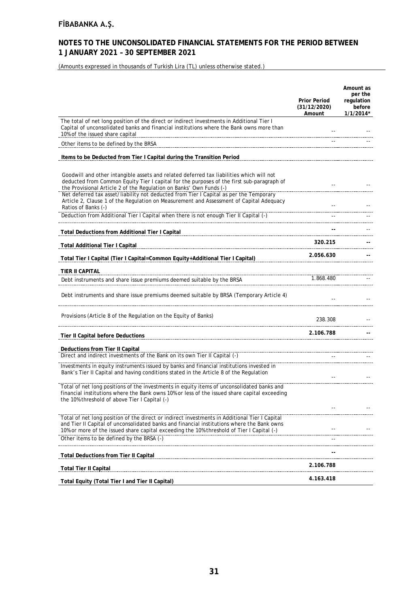# **NOTES TO THE UNCONSOLIDATED FINANCIAL STATEMENTS FOR THE PERIOD BETWEEN 1 JANUARY 2021 – 30 SEPTEMBER 2021**

(Amounts expressed in thousands of Turkish Lira (TL) unless otherwise stated.)

|                                                                                                                                                                                                                                                                                                                                                        | <b>Prior Period</b><br>(31/12/2020)<br>Amount | Amount as<br>per the<br>regulation<br>before<br>$1/1/2014*$ |
|--------------------------------------------------------------------------------------------------------------------------------------------------------------------------------------------------------------------------------------------------------------------------------------------------------------------------------------------------------|-----------------------------------------------|-------------------------------------------------------------|
| The total of net long position of the direct or indirect investments in Additional Tier I<br>Capital of unconsolidated banks and financial institutions where the Bank owns more than<br>10% of the issued share capital                                                                                                                               |                                               |                                                             |
| Other items to be defined by the BRSA                                                                                                                                                                                                                                                                                                                  |                                               |                                                             |
| Items to be Deducted from Tier I Capital during the Transition Period                                                                                                                                                                                                                                                                                  |                                               |                                                             |
| Goodwill and other intangible assets and related deferred tax liabilities which will not<br>deducted from Common Equity Tier I capital for the purposes of the first sub-paragraph of<br>the Provisional Article 2 of the Regulation on Banks' Own Funds (-)<br>Net deferred tax asset/liability not deducted from Tier I Capital as per the Temporary |                                               |                                                             |
| Article 2, Clause 1 of the Regulation on Measurement and Assessment of Capital Adequacy<br>Ratios of Banks (-)                                                                                                                                                                                                                                         |                                               |                                                             |
| Deduction from Additional Tier I Capital when there is not enough Tier II Capital (-)                                                                                                                                                                                                                                                                  |                                               |                                                             |
| <b>Total Deductions from Additional Tier I Capital</b>                                                                                                                                                                                                                                                                                                 |                                               |                                                             |
| <b>Total Additional Tier I Capital</b>                                                                                                                                                                                                                                                                                                                 | 320.215                                       |                                                             |
| Total Tier I Capital (Tier I Capital=Common Equity+Additional Tier I Capital)                                                                                                                                                                                                                                                                          | 2.056.630                                     |                                                             |
| TIER II CAPITAL                                                                                                                                                                                                                                                                                                                                        |                                               |                                                             |
| Debt instruments and share issue premiums deemed suitable by the BRSA                                                                                                                                                                                                                                                                                  | 1.868.480                                     |                                                             |
| Debt instruments and share issue premiums deemed suitable by BRSA (Temporary Article 4)                                                                                                                                                                                                                                                                |                                               |                                                             |
| Provisions (Article 8 of the Regulation on the Equity of Banks)                                                                                                                                                                                                                                                                                        | 238.308                                       |                                                             |
| Tier II Capital before Deductions                                                                                                                                                                                                                                                                                                                      | 2.106.788                                     |                                                             |
|                                                                                                                                                                                                                                                                                                                                                        |                                               |                                                             |
| Deductions from Tier II Capital<br>Direct and indirect investments of the Bank on its own Tier II Capital (-)                                                                                                                                                                                                                                          |                                               |                                                             |
| Investments in equity instruments issued by banks and financial institutions invested in<br>Bank's Tier II Capital and having conditions stated in the Article 8 of the Regulation                                                                                                                                                                     |                                               |                                                             |
| Total of net long positions of the investments in equity items of unconsolidated banks and<br>financial institutions where the Bank owns 10% or less of the issued share capital exceeding<br>the 10% threshold of above Tier I Capital (-)                                                                                                            |                                               |                                                             |
|                                                                                                                                                                                                                                                                                                                                                        |                                               |                                                             |
| Total of net long position of the direct or indirect investments in Additional Tier I Capital<br>and Tier II Capital of unconsolidated banks and financial institutions where the Bank owns<br>10% or more of the issued share capital exceeding the 10% threshold of Tier I Capital (-)                                                               |                                               |                                                             |
| Other items to be defined by the BRSA (-)                                                                                                                                                                                                                                                                                                              |                                               |                                                             |
| <b>Total Deductions from Tier II Capital</b>                                                                                                                                                                                                                                                                                                           |                                               |                                                             |
| <b>Total Tier II Capital</b>                                                                                                                                                                                                                                                                                                                           | 2.106.788                                     |                                                             |
| Total Equity (Total Tier I and Tier II Capital)                                                                                                                                                                                                                                                                                                        | 4.163.418                                     |                                                             |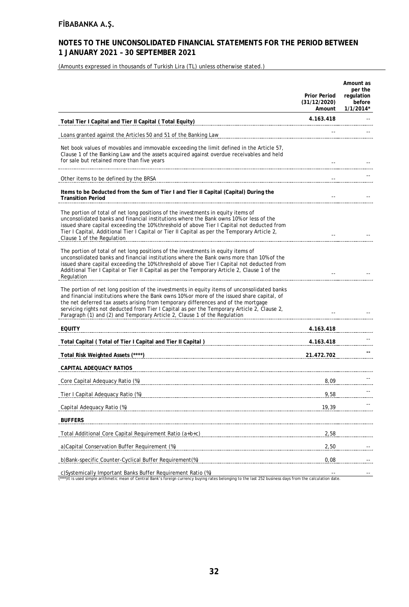# **NOTES TO THE UNCONSOLIDATED FINANCIAL STATEMENTS FOR THE PERIOD BETWEEN 1 JANUARY 2021 – 30 SEPTEMBER 2021**

(Amounts expressed in thousands of Turkish Lira (TL) unless otherwise stated.)

|                                                                                                                                                                                                                                                                                                                                                                                                                                                             | <b>Prior Period</b><br>(31/12/2020)<br>Amount | Amount as<br>per the<br>regulation<br>before<br>$1/1/2014*$ |
|-------------------------------------------------------------------------------------------------------------------------------------------------------------------------------------------------------------------------------------------------------------------------------------------------------------------------------------------------------------------------------------------------------------------------------------------------------------|-----------------------------------------------|-------------------------------------------------------------|
| Total Tier I Capital and Tier II Capital (Total Equity)                                                                                                                                                                                                                                                                                                                                                                                                     | 4.163.418                                     |                                                             |
| Loans granted against the Articles 50 and 51 of the Banking Law                                                                                                                                                                                                                                                                                                                                                                                             |                                               |                                                             |
| Net book values of movables and immovable exceeding the limit defined in the Article 57,<br>Clause 1 of the Banking Law and the assets acquired against overdue receivables and held<br>for sale but retained more than five years                                                                                                                                                                                                                          |                                               |                                                             |
| Other items to be defined by the BRSA                                                                                                                                                                                                                                                                                                                                                                                                                       |                                               |                                                             |
| Items to be Deducted from the Sum of Tier I and Tier II Capital (Capital) During the<br><b>Transition Period</b>                                                                                                                                                                                                                                                                                                                                            | $\overline{\phantom{a}}$ .                    |                                                             |
| The portion of total of net long positions of the investments in equity items of<br>unconsolidated banks and financial institutions where the Bank owns 10% or less of the<br>issued share capital exceeding the 10% threshold of above Tier I Capital not deducted from<br>Tier I Capital, Additional Tier I Capital or Tier II Capital as per the Temporary Article 2,<br>Clause 1 of the Regulation                                                      |                                               |                                                             |
| The portion of total of net long positions of the investments in equity items of<br>unconsolidated banks and financial institutions where the Bank owns more than 10% of the<br>issued share capital exceeding the 10% threshold of above Tier I Capital not deducted from<br>Additional Tier I Capital or Tier II Capital as per the Temporary Article 2, Clause 1 of the<br>Regulation                                                                    |                                               |                                                             |
| The portion of net long position of the investments in equity items of unconsolidated banks<br>and financial institutions where the Bank owns 10% or more of the issued share capital, of<br>the net deferred tax assets arising from temporary differences and of the mortgage<br>servicing rights not deducted from Tier I Capital as per the Temporary Article 2, Clause 2,<br>Paragraph (1) and (2) and Temporary Article 2, Clause 1 of the Requiation |                                               |                                                             |
| <b>EQUITY</b>                                                                                                                                                                                                                                                                                                                                                                                                                                               | 4.163.418                                     |                                                             |
| Total Capital (Total of Tier I Capital and Tier II Capital ) [1999] [1999] [1999] [1999] [1999] [1999] [1999] [1999] [1999] [1999] [1999] [1999] [1999] [1999] [1999] [1999] [1999] [1999] [1999] [1999] [1999] [1999] [1999]                                                                                                                                                                                                                               | 4.163.418                                     |                                                             |
| Total Risk Weighted Assets (****)                                                                                                                                                                                                                                                                                                                                                                                                                           | 21.472.702                                    |                                                             |
| CAPITAL ADEQUACY RATIOS                                                                                                                                                                                                                                                                                                                                                                                                                                     |                                               |                                                             |
| Core Capital Adequacy Ratio (%)                                                                                                                                                                                                                                                                                                                                                                                                                             | 8,09                                          |                                                             |
| Tier I Capital Adequacy Ratio (%)                                                                                                                                                                                                                                                                                                                                                                                                                           | 9,58                                          |                                                             |
| Capital Adequacy Ratio (%)                                                                                                                                                                                                                                                                                                                                                                                                                                  | 19,39                                         |                                                             |
| <b>BUFFERS</b>                                                                                                                                                                                                                                                                                                                                                                                                                                              |                                               |                                                             |
| Total Additional Core Capital Requirement Ratio (a+b+c)                                                                                                                                                                                                                                                                                                                                                                                                     | 2,58                                          |                                                             |
| a)Capital Conservation Buffer Requirement (%)                                                                                                                                                                                                                                                                                                                                                                                                               | 2,50                                          |                                                             |
| b)Bank-specific Counter-Cyclical Buffer Requirement(%)                                                                                                                                                                                                                                                                                                                                                                                                      | 0,08                                          |                                                             |
| c)Systemically Important Banks Buffer Requirement Ratio (%)                                                                                                                                                                                                                                                                                                                                                                                                 |                                               |                                                             |

c)Systemically Important Banks Buffer Requirement Ratio (%)<br>(\*\*\*\*)It is used simple arithmetic mean of Central Bank's foreign currency buying rates belonging to the last 252 business days from the calculation date.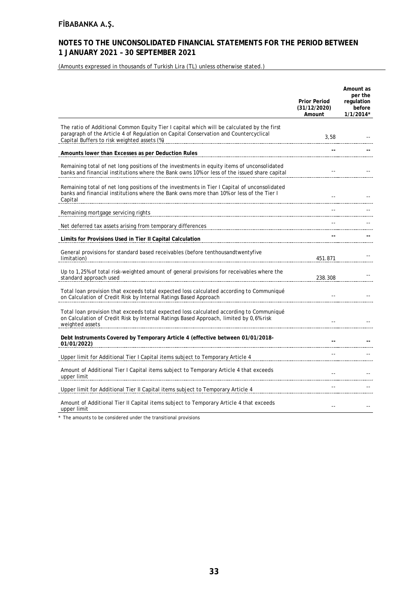# **NOTES TO THE UNCONSOLIDATED FINANCIAL STATEMENTS FOR THE PERIOD BETWEEN 1 JANUARY 2021 – 30 SEPTEMBER 2021**

(Amounts expressed in thousands of Turkish Lira (TL) unless otherwise stated.)

|                                                                                                                                                                                                                                                                                      | <b>Prior Period</b><br>(31/12/2020)<br>Amount | Amount as<br>per the<br>regulation<br>before<br>$1/1/2014*$ |
|--------------------------------------------------------------------------------------------------------------------------------------------------------------------------------------------------------------------------------------------------------------------------------------|-----------------------------------------------|-------------------------------------------------------------|
| The ratio of Additional Common Equity Tier I capital which will be calculated by the first<br>paragraph of the Article 4 of Regulation on Capital Conservation and Countercyclical<br>Capital Buffers to risk weighted assets (%) <b>Capital Buffers</b> to risk weighted assets (%) | 3,58                                          |                                                             |
| Amounts lower than Excesses as per Deduction Rules                                                                                                                                                                                                                                   |                                               |                                                             |
| Remaining total of net long positions of the investments in equity items of unconsolidated<br>banks and financial institutions where the Bank owns 10% or less of the issued share capital                                                                                           |                                               |                                                             |
| Remaining total of net long positions of the investments in Tier I Capital of unconsolidated<br>banks and financial institutions where the Bank owns more than 10% or less of the Tier I<br>Capital                                                                                  |                                               |                                                             |
| Remaining mortgage servicing rights                                                                                                                                                                                                                                                  |                                               |                                                             |
| Net deferred tax assets arising from temporary differences                                                                                                                                                                                                                           |                                               |                                                             |
| Limits for Provisions Used in Tier II Capital Calculation                                                                                                                                                                                                                            |                                               |                                                             |
| General provisions for standard based receivables (before tenthousandtwentyfive<br>limitation)                                                                                                                                                                                       | 451.871                                       |                                                             |
| Up to 1,25% of total risk-weighted amount of general provisions for receivables where the<br>standard approach used                                                                                                                                                                  | 238.308                                       |                                                             |
| Total loan provision that exceeds total expected loss calculated according to Communiqué<br>on Calculation of Credit Risk by Internal Ratings Based Approach                                                                                                                         |                                               |                                                             |
| Total loan provision that exceeds total expected loss calculated according to Communiqué<br>on Calculation of Credit Risk by Internal Ratings Based Approach, limited by 0,6% risk<br>weighted assets                                                                                |                                               |                                                             |
| Debt Instruments Covered by Temporary Article 4 (effective between 01/01/2018-<br>01/01/2022)                                                                                                                                                                                        |                                               |                                                             |
| Upper limit for Additional Tier I Capital items subject to Temporary Article 4                                                                                                                                                                                                       |                                               |                                                             |
| Amount of Additional Tier I Capital items subject to Temporary Article 4 that exceeds<br>upper limit                                                                                                                                                                                 |                                               |                                                             |
| Upper limit for Additional Tier II Capital items subject to Temporary Article 4                                                                                                                                                                                                      |                                               |                                                             |
| Amount of Additional Tier II Capital items subject to Temporary Article 4 that exceeds<br>upper limit                                                                                                                                                                                |                                               |                                                             |

\* The amounts to be considered under the transitional provisions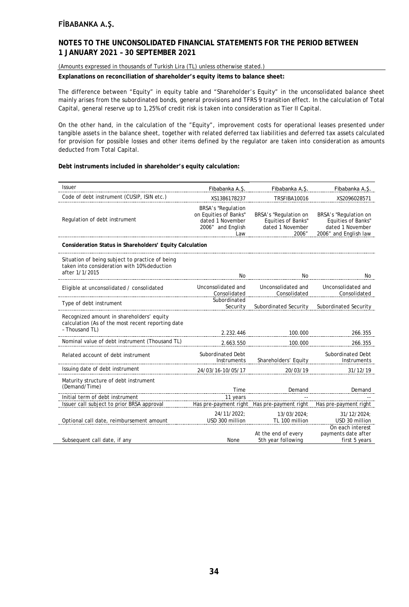### **NOTES TO THE UNCONSOLIDATED FINANCIAL STATEMENTS FOR THE PERIOD BETWEEN 1 JANUARY 2021 – 30 SEPTEMBER 2021**

(Amounts expressed in thousands of Turkish Lira (TL) unless otherwise stated.)

**Explanations on reconciliation of shareholder's equity items to balance sheet:**

The difference between "Equity" in equity table and "Shareholder's Equity" in the unconsolidated balance sheet mainly arises from the subordinated bonds, general provisions and TFRS 9 transition effect. In the calculation of Total Capital, general reserve up to 1,25% of credit risk is taken into consideration as Tier II Capital.

On the other hand, in the calculation of the "Equity", improvement costs for operational leases presented under tangible assets in the balance sheet, together with related deferred tax liabilities and deferred tax assets calculated for provision for possible losses and other items defined by the regulator are taken into consideration as amounts deducted from Total Capital.

### **Debt instruments included in shareholder's equity calculation:**

| <b>Issuer</b>                                                                                                    | Fibabanka A.S.                                                                                     | Fibabanka A.S.                                                           | Fibabanka A.Ş.                                                                           |
|------------------------------------------------------------------------------------------------------------------|----------------------------------------------------------------------------------------------------|--------------------------------------------------------------------------|------------------------------------------------------------------------------------------|
| Code of debt instrument (CUSIP, ISIN etc.)                                                                       | XS1386178237                                                                                       | TRSFIBA10016                                                             | XS2096028571                                                                             |
| Regulation of debt instrument                                                                                    | <b>BRSA's "Regulation</b><br>on Equities of Banks"<br>dated 1 November<br>2006" and English<br>Law | BRSA's "Regulation on<br>Equities of Banks"<br>dated 1 November<br>2006" | BRSA's "Regulation on<br>Equities of Banks"<br>dated 1 November<br>2006" and English law |
| Consideration Status in Shareholders' Equity Calculation                                                         |                                                                                                    |                                                                          |                                                                                          |
| Situation of being subject to practice of being<br>taken into consideration with 10% deduction<br>after 1/1/2015 | No                                                                                                 | No                                                                       | No                                                                                       |
| Eligible at unconsolidated / consolidated                                                                        | Unconsolidated and<br>Consolidated                                                                 | Unconsolidated and<br>Consolidated                                       | Unconsolidated and<br>Consolidated                                                       |
| Type of debt instrument                                                                                          | Subordinated<br>Security                                                                           | Subordinated Security                                                    | Subordinated Security                                                                    |
| Recognized amount in shareholders' equity<br>calculation (As of the most recent reporting date<br>- Thousand TL) | 2.232.446                                                                                          | 100.000                                                                  | 266.355                                                                                  |
| Nominal value of debt instrument (Thousand TL)                                                                   | 2.663.550                                                                                          | 100.000                                                                  | 266.355                                                                                  |
| Related account of debt instrument                                                                               | Subordinated Debt<br>Instruments                                                                   | Shareholders' Equity                                                     | Subordinated Debt<br>Instruments                                                         |
| Issuing date of debt instrument                                                                                  | 24/03/16-10/05/17                                                                                  | 20/03/19                                                                 | 31/12/19                                                                                 |
| Maturity structure of debt instrument<br>(Demand/Time)                                                           | Time                                                                                               | Demand                                                                   | Demand                                                                                   |
| Initial term of debt instrument                                                                                  | 11 years                                                                                           |                                                                          |                                                                                          |
| Issuer call subject to prior BRSA approval                                                                       | Has pre-payment right                                                                              | Has pre-payment right                                                    | Has pre-payment right                                                                    |
| Optional call date, reimbursement amount                                                                         | 24/11/2022:<br>USD 300 million                                                                     | 13/03/2024:<br>TL 100 million                                            | 31/12/2024;<br>USD 30 million                                                            |
| Subsequent call date, if any                                                                                     | <b>None</b>                                                                                        | At the end of every<br>5th year following                                | On each interest<br>payments date after<br>first 5 years                                 |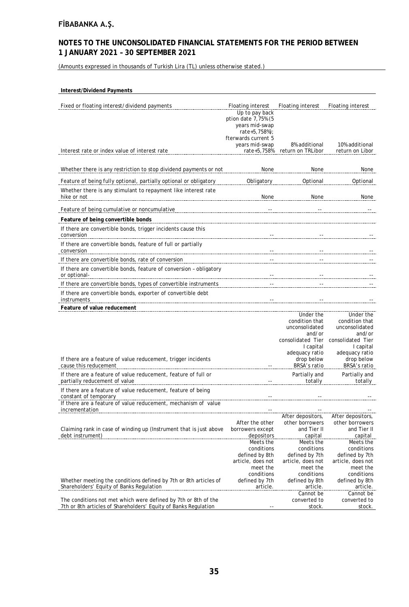# **NOTES TO THE UNCONSOLIDATED FINANCIAL STATEMENTS FOR THE PERIOD BETWEEN 1 JANUARY 2021 – 30 SEPTEMBER 2021**

(Amounts expressed in thousands of Turkish Lira (TL) unless otherwise stated.)

#### **Interest/Dividend Payments**

| Fixed or floating interest/dividend payments                                                                                        | Floating interest                                       | Floating interest                   | <b>Floating interest</b>            |
|-------------------------------------------------------------------------------------------------------------------------------------|---------------------------------------------------------|-------------------------------------|-------------------------------------|
|                                                                                                                                     | Up to pay back<br>ption date 7,75% (5<br>years mid-swap |                                     |                                     |
|                                                                                                                                     | rate+5,758%);<br>fterwards current 5                    |                                     |                                     |
| Interest rate or index value of interest rate                                                                                       | years mid-swap<br>rate+5,758%                           | 8% additional<br>return on TRLibor  | 10% additional<br>return on Libor   |
| Whether there is any restriction to stop dividend payments or not                                                                   | None                                                    | None                                |                                     |
|                                                                                                                                     |                                                         |                                     | None                                |
| Feature of being fully optional, partially optional or obligatory<br>Whether there is any stimulant to repayment like interest rate | Obligatory                                              | Optional                            | Optional                            |
| hike or not                                                                                                                         | None                                                    | None                                | None                                |
| Feature of being cumulative or noncumulative                                                                                        |                                                         |                                     |                                     |
| Feature of being convertible bonds                                                                                                  |                                                         |                                     |                                     |
| If there are convertible bonds, trigger incidents cause this<br>conversion                                                          |                                                         |                                     |                                     |
| If there are convertible bonds, feature of full or partially<br>conversion                                                          |                                                         |                                     |                                     |
| If there are convertible bonds, rate of conversion                                                                                  |                                                         |                                     |                                     |
| If there are convertible bonds, feature of conversion - obligatory<br>or optional-                                                  |                                                         |                                     |                                     |
| If there are convertible bonds, types of convertible instruments                                                                    |                                                         |                                     |                                     |
| If there are convertible bonds, exporter of convertible debt<br>instruments                                                         |                                                         |                                     |                                     |
| Feature of value reducement                                                                                                         |                                                         |                                     |                                     |
|                                                                                                                                     |                                                         | Under the<br>condition that         | Under the<br>condition that         |
|                                                                                                                                     |                                                         | unconsolidated<br>and/or            | unconsolidated<br>and/or            |
|                                                                                                                                     |                                                         | consolidated Tier                   | consolidated Tier                   |
|                                                                                                                                     |                                                         | I capital<br>adequacy ratio         | I capital<br>adequacy ratio         |
| If there are a feature of value reducement, trigger incidents                                                                       |                                                         | drop below                          | drop below                          |
| cause this reducement                                                                                                               |                                                         | BRSA's ratio                        | BRSA's ratio                        |
| If there are a feature of value reducement, feature of full or<br>partially reducement of value                                     |                                                         | Partially and<br>totally            | Partially and<br>totally            |
| If there are a feature of value reducement, feature of being<br>constant of temporary                                               |                                                         |                                     |                                     |
| If there are a feature of value reducement, mechanism of value                                                                      |                                                         |                                     |                                     |
| incrementation                                                                                                                      |                                                         | After depositors,                   | After depositors,                   |
|                                                                                                                                     | After the other                                         | other borrowers                     | other borrowers                     |
| Claiming rank in case of winding up (Instrument that is just above<br>debt instrument)                                              | borrowers except<br>depositors                          | and Tier II<br>capital              | and Tier II<br>capital              |
|                                                                                                                                     | Meets the                                               | Meets the                           | Meets the                           |
|                                                                                                                                     | conditions                                              | conditions                          | conditions                          |
|                                                                                                                                     | defined by 8th<br>article, does not                     | defined by 7th<br>article, does not | defined by 7th<br>article, does not |
|                                                                                                                                     | meet the                                                | meet the                            | meet the                            |
|                                                                                                                                     | conditions                                              | conditions                          | conditions                          |
| Whether meeting the conditions defined by 7th or 8th articles of<br>Shareholders' Equity of Banks Regulation                        | defined by 7th<br>article.                              | defined by 8th<br>article.          | defined by 8th<br>article.          |
|                                                                                                                                     |                                                         | Cannot be                           | Cannot be                           |
| The conditions not met which were defined by 7th or 8th of the<br>7th or 8th articles of Shareholders' Equity of Banks Regulation   |                                                         | converted to<br>stock.              | converted to<br>stock.              |
|                                                                                                                                     |                                                         |                                     |                                     |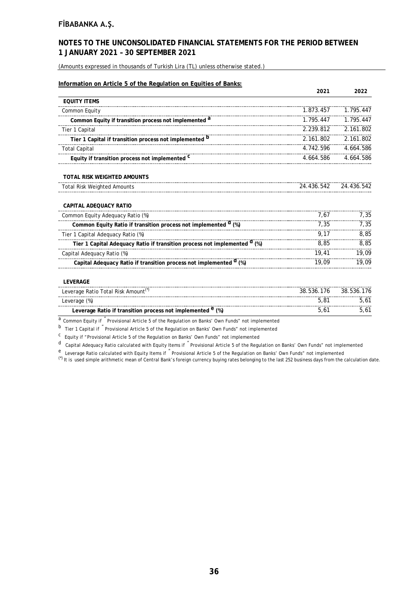# **NOTES TO THE UNCONSOLIDATED FINANCIAL STATEMENTS FOR THE PERIOD BETWEEN 1 JANUARY 2021 – 30 SEPTEMBER 2021**

(Amounts expressed in thousands of Turkish Lira (TL) unless otherwise stated.)

|                                                                                      | 2021       | 2022       |
|--------------------------------------------------------------------------------------|------------|------------|
| <b>EQUITY ITEMS</b>                                                                  |            |            |
| Common Equity                                                                        | 1.873.457  | 1.795.447  |
| Common Equity if transition process not implemented <sup>a</sup>                     | 1.795.447  | 1.795.447  |
| Tier 1 Capital                                                                       | 2.239.812  | 2.161.802  |
| Tier 1 Capital if transition process not implemented <sup>b</sup>                    | 2.161.802  | 2.161.802  |
| <b>Total Capital</b>                                                                 | 4.742.596  | 4.664.586  |
| Equity if transition process not implemented C                                       | 4.664.586  | 4.664.586  |
| <b>TOTAL RISK WEIGHTED AMOUNTS</b>                                                   |            |            |
| <b>Total Risk Weighted Amounts</b>                                                   | 24.436.542 | 24.436.542 |
| CAPITAL ADEQUACY RATIO                                                               |            |            |
| Common Equity Adequacy Ratio (%)                                                     | 7.67       | 7.35       |
| Common Equity Ratio if transition process not implemented <sup>d</sup> (%)           | 7.35       | 7.35       |
| Tier 1 Capital Adequacy Ratio (%)                                                    | 9.17       | 8,85       |
| Tier 1 Capital Adequacy Ratio if transition process not implemented <sup>d</sup> (%) | 8.85       | 8,85       |
| Capital Adequacy Ratio (%)                                                           | 19,41      | 19,09      |
| Capital Adequacy Ratio if transition process not implemented <sup>d</sup> (%)        | 19,09      | 19.09      |
| <b>LEVERAGE</b>                                                                      |            |            |
| Leverage Ratio Total Risk Amount(*)                                                  | 38.536.176 | 38.536.176 |
| Leverage (%)                                                                         | 5,81       | 5,61       |
| Leverage Ratio if transition process not implemented <sup>e</sup> (%)                | 5,61       | 5,61       |

a Common Equity if <sup>"</sup> Provisional Article 5 of the Regulation on Banks' Own Funds" not implemented

b Tier 1 Capital if " Provisional Article 5 of the Regulation on Banks' Own Funds" not implemented

c Equity if "Provisional Article 5 of the Regulation on Banks' Own Funds" not implemented

d Capital Adequacy Ratio calculated with Equity Items if " Provisional Article 5 of the Regulation on Banks' Own Funds" not implemented

e Leverage Ratio calculated with Equity Items if "Provisional Article 5 of the Regulation on Banks' Own Funds" not implemented

(\*) It is used simple arithmetic mean of Central Bank's foreign currency buying rates belonging to the last 252 business days from the calculation date.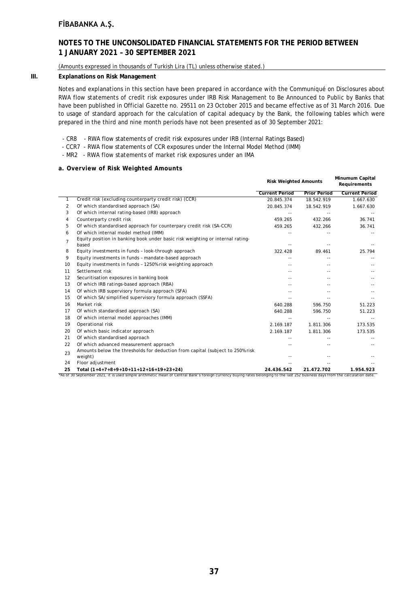### **NOTES TO THE UNCONSOLIDATED FINANCIAL STATEMENTS FOR THE PERIOD BETWEEN 1 JANUARY 2021 – 30 SEPTEMBER 2021**

#### (Amounts expressed in thousands of Turkish Lira (TL) unless otherwise stated.)

#### **III. Explanations on Risk Management**

Notes and explanations in this section have been prepared in accordance with the Communiqué on Disclosures about RWA flow statements of credit risk exposures under IRB Risk Management to Be Announced to Public by Banks that have been published in Official Gazette no. 29511 on 23 October 2015 and became effective as of 31 March 2016. Due to usage of standard approach for the calculation of capital adequacy by the Bank, the following tables which were prepared in the third and nine month periods have not been presented as of 30 September 2021:

- CR8 RWA flow statements of credit risk exposures under IRB (Internal Ratings Based)
- CCR7 RWA flow statements of CCR exposures under the Internal Model Method (IMM)
- MR2 RWA flow statements of market risk exposures under an IMA

### **a. Overview of Risk Weighted Amounts**

|                |                                                                                                                                                                                | <b>Risk Weighted Amounts</b> | Minumum Capital<br>Requirements |                       |
|----------------|--------------------------------------------------------------------------------------------------------------------------------------------------------------------------------|------------------------------|---------------------------------|-----------------------|
|                |                                                                                                                                                                                | <b>Current Period</b>        | <b>Prior Period</b>             | <b>Current Period</b> |
| 1              | Credit risk (excluding counterparty credit risk) (CCR)                                                                                                                         | 20.845.374                   | 18.542.919                      | 1.667.630             |
| 2              | Of which standardised approach (SA)                                                                                                                                            | 20.845.374                   | 18.542.919                      | 1.667.630             |
| 3              | Of which internal rating-based (IRB) approach                                                                                                                                  |                              |                                 |                       |
| 4              | Counterparty credit risk                                                                                                                                                       | 459.265                      | 432.266                         | 36.741                |
| 5              | Of which standardised approach for counterpary credit risk (SA-CCR)                                                                                                            | 459.265                      | 432.266                         | 36.741                |
| 6              | Of which internal model method (IMM)                                                                                                                                           |                              |                                 |                       |
| $\overline{7}$ | Equity position in banking book under basic risk weighting or internal rating-<br>based                                                                                        |                              |                                 |                       |
| 8              | Equity investments in funds - look-through approach                                                                                                                            | 322.428                      | 89.461                          | 25.794                |
| 9              | Equity investments in funds - mandate-based approach                                                                                                                           |                              |                                 |                       |
| 10             | Equity investments in funds - 1250% risk weighting approach                                                                                                                    |                              |                                 |                       |
| 11             | Settlement risk                                                                                                                                                                |                              |                                 |                       |
| 12             | Securitisation exposures in banking book                                                                                                                                       |                              |                                 |                       |
| 13             | Of which IRB ratings-based approach (RBA)                                                                                                                                      |                              | $-$                             |                       |
| 14             | Of which IRB supervisory formula approach (SFA)                                                                                                                                |                              |                                 |                       |
| 15             | Of which SA/simplified supervisory formula approach (SSFA)                                                                                                                     |                              |                                 |                       |
| 16             | Market risk                                                                                                                                                                    | 640.288                      | 596.750                         | 51.223                |
| 17             | Of which standardised approach (SA)                                                                                                                                            | 640.288                      | 596.750                         | 51.223                |
| 18             | Of which internal model approaches (IMM)                                                                                                                                       |                              |                                 |                       |
| 19             | Operational risk                                                                                                                                                               | 2.169.187                    | 1.811.306                       | 173.535               |
| 20             | Of which basic indicator approach                                                                                                                                              | 2.169.187                    | 1.811.306                       | 173.535               |
| 21             | Of which standardised approach                                                                                                                                                 |                              |                                 |                       |
| 22             | Of which advanced measurement approach                                                                                                                                         |                              |                                 |                       |
| 23             | Amounts below the thresholds for deduction from capital (subject to 250% risk<br>weight)                                                                                       |                              |                                 |                       |
| 24             | Floor adjustment                                                                                                                                                               |                              |                                 |                       |
| 25             | Total (1+4+7+8+9+10+11+12+16+19+23+24)                                                                                                                                         | 24.436.542                   | 21.472.702                      | 1.954.923             |
|                | "As of 30 September 2021, it is used simple arithmetic mean of Central Bank's foreign currency buying rates belonging to the last 252 business days from the calculation date. |                              |                                 |                       |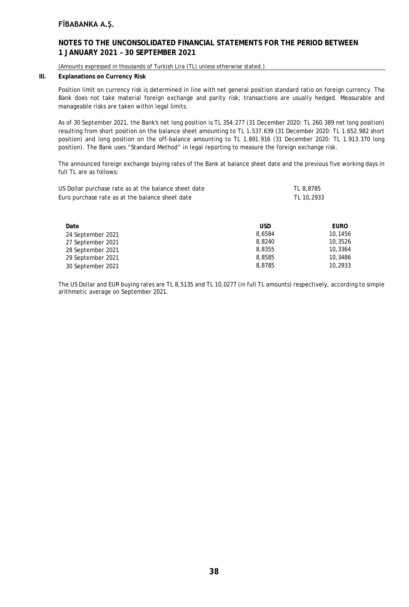### **NOTES TO THE UNCONSOLIDATED FINANCIAL STATEMENTS FOR THE PERIOD BETWEEN 1 JANUARY 2021 – 30 SEPTEMBER 2021**

(Amounts expressed in thousands of Turkish Lira (TL) unless otherwise stated.)

### **III. Explanations on Currency Risk**

Position limit on currency risk is determined in line with net general position standard ratio on foreign currency. The Bank does not take material foreign exchange and parity risk; transactions are usually hedged. Measurable and manageable risks are taken within legal limits.

As of 30 September 2021, the Bank's net long position is TL 354.277 (31 December 2020: TL 260.389 net long position) resulting from short position on the balance sheet amounting to TL 1.537.639 (31 December 2020: TL 1.652.982 short position) and long position on the off-balance amounting to TL 1.891.916 (31 December 2020: TL 1.913.370 long position). The Bank uses "Standard Method" in legal reporting to measure the foreign exchange risk.

The announced foreign exchange buying rates of the Bank at balance sheet date and the previous five working days in full TL are as follows:

| US Dollar purchase rate as at the balance sheet date<br>Euro purchase rate as at the balance sheet date |            | TL 8,8785<br>TL 10,2933 |
|---------------------------------------------------------------------------------------------------------|------------|-------------------------|
| Date                                                                                                    | <b>USD</b> | EURO                    |
| 24 September 2021                                                                                       | 8,6584     | 10.1456                 |
| 27 September 2021                                                                                       | 8,8240     | 10,3526                 |
| 28 September 2021                                                                                       | 8,8355     | 10,3364                 |
| 29 September 2021                                                                                       | 8,8585     | 10,3486                 |
| 30 September 2021                                                                                       | 8,8785     | 10,2933                 |

The US Dollar and EUR buying rates are TL 8,5135 and TL 10,0277 (in full TL amounts) respectively, according to simple arithmetic average on September 2021.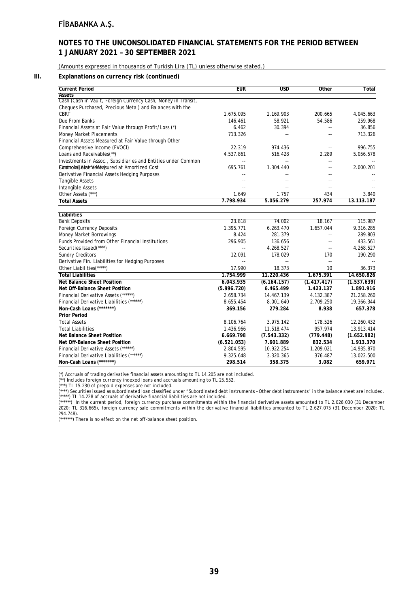# **NOTES TO THE UNCONSOLIDATED FINANCIAL STATEMENTS FOR THE PERIOD BETWEEN 1 JANUARY 2021 – 30 SEPTEMBER 2021**

(Amounts expressed in thousands of Turkish Lira (TL) unless otherwise stated.)

#### **III. Explanations on currency risk (continued)**

| <b>Current Period</b>                                         | <b>EUR</b>     | <b>USD</b>                 | Other                    | Total       |
|---------------------------------------------------------------|----------------|----------------------------|--------------------------|-------------|
| <b>Assets</b>                                                 |                |                            |                          |             |
| Cash (Cash in Vault, Foreign Currency Cash, Money in Transit, |                |                            |                          |             |
| Cheques Purchased, Precious Metal) and Balances with the      |                |                            |                          |             |
| <b>CBRT</b>                                                   | 1.675.095      | 2.169.903                  | 200.665                  | 4.045.663   |
| Due From Banks                                                | 146.461        | 58.921                     | 54.586                   | 259.968     |
| Financial Assets at Fair Value through Profit/Loss (*)        | 6.462          | 30.394                     | $\overline{a}$           | 36.856      |
| Money Market Placements                                       | 713.326        |                            | $\overline{\phantom{a}}$ | 713.326     |
| Financial Assets Measured at Fair Value through Other         |                |                            |                          |             |
| Comprehensive Income (FVOCI)                                  | 22.319         | 974.436                    | $\overline{a}$           | 996.755     |
| Loans and Receivables(**)                                     | 4.537.861      | 516.428                    | 2.289                    | 5.056.578   |
| Investments in Assoc., Subsidiaries and Entities under Common | $\sim$ $\sim$  | $\overline{\phantom{a}}$ . | ÷.                       |             |
| Eimatrola(JAsinetVeMeasured at Amortized Cost                 | 695.761        | 1.304.440                  | $\sim$                   | 2.000.201   |
| Derivative Financial Assets Hedging Purposes                  | $\overline{a}$ |                            | $-1$                     |             |
| <b>Tangible Assets</b>                                        |                |                            |                          |             |
| Intangible Assets                                             |                |                            |                          |             |
| Other Assets (***)                                            | 1.649          | 1.757                      | 434                      | 3.840       |
| <b>Total Assets</b>                                           | 7.798.934      | 5.056.279                  | 257.974                  | 13.113.187  |
| <b>Liabilities</b>                                            |                |                            |                          |             |
| <b>Bank Deposits</b>                                          | 23.818         | 74.002                     | 18.167                   | 115.987     |
| Foreign Currency Deposits                                     | 1.395.771      | 6.263.470                  | 1.657.044                | 9.316.285   |
| <b>Money Market Borrowings</b>                                | 8.424          | 281.379                    |                          | 289.803     |
| <b>Funds Provided from Other Financial Institutions</b>       |                |                            |                          |             |
|                                                               | 296.905        | 136.656                    |                          | 433.561     |
| Securities Issued(****)                                       | $\sim$         | 4.268.527                  | $\overline{a}$           | 4.268.527   |
| <b>Sundry Creditors</b>                                       | 12.091         | 178.029                    | 170                      | 190.290     |
| Derivative Fin. Liabilities for Hedging Purposes              | $\sim$ $\sim$  |                            |                          |             |
| Other Liabilities(*****)                                      | 17.990         | 18.373                     | 10                       | 36.373      |
| <b>Total Liabilities</b>                                      | 1.754.999      | 11.220.436                 | 1.675.391                | 14.650.826  |
| <b>Net Balance Sheet Position</b>                             | 6.043.935      | (6.164.157)                | (1.417.417)              | (1.537.639) |
| Net Off-Balance Sheet Position                                | (5.996.720)    | 6.465.499                  | 1.423.137                | 1.891.916   |
| Financial Derivative Assets (******)                          | 2.658.734      | 14.467.139                 | 4.132.387                | 21.258.260  |
| Financial Derivative Liabilities (******)                     | 8.655.454      | 8.001.640                  | 2.709.250                | 19.366.344  |
| Non-Cash Loans (*******)                                      | 369.156        | 279.284                    | 8.938                    | 657.378     |
| <b>Prior Period</b>                                           |                |                            |                          |             |
| <b>Total Assets</b>                                           | 8.106.764      | 3.975.142                  | 178.526                  | 12.260.432  |
| <b>Total Liabilities</b>                                      | 1.436.966      | 11.518.474                 | 957.974                  | 13.913.414  |
| <b>Net Balance Sheet Position</b>                             | 6.669.798      | (7.543.332)                | (779.448)                | (1.652.982) |
| Net Off-Balance Sheet Position                                | (6.521.053)    | 7.601.889                  | 832.534                  | 1.913.370   |
| Financial Derivative Assets (******)                          | 2.804.595      | 10.922.254                 | 1.209.021                | 14.935.870  |
| Financial Derivative Liabilities (******)                     | 9.325.648      | 3.320.365                  | 376.487                  | 13.022.500  |
| Non-Cash Loans (*******)                                      | 298.514        | 358.375                    | 3.082                    | 659.971     |

(\*) Accruals of trading derivative financial assets amounting to TL 14.205 are not included.

(\*\*) Includes foreign currency indexed loans and accruals amounting to TL 25.552.

(\*\*\*) TL 15.230 of prepaid expenses are not included.

(\*\*\*\*) Securities issued as subordinated loan classified under "Subordinated debt instruments – Other debt instruments" in the balance sheet are included. (\*\*\*\*\*) TL 14.228 of accruals of derivative financial liabilities are not included.

(\*\*\*\*\*\*) In the current period, foreign currency purchase commitments within the financial derivative assets amounted to TL 2.026.030 (31 December 2020: TL 316.665), foreign currency sale commitments within the derivative financial liabilities amounted to TL 2.627.075 (31 December 2020: TL 294.748).

(\*\*\*\*\*\*\*) There is no effect on the net off-balance sheet position.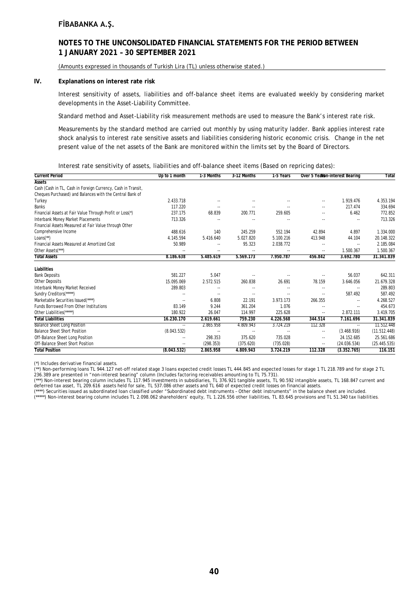### **NOTES TO THE UNCONSOLIDATED FINANCIAL STATEMENTS FOR THE PERIOD BETWEEN 1 JANUARY 2021 – 30 SEPTEMBER 2021**

(Amounts expressed in thousands of Turkish Lira (TL) unless otherwise stated.)

#### **IV. Explanations on interest rate risk**

Interest sensitivity of assets, liabilities and off-balance sheet items are evaluated weekly by considering market developments in the Asset-Liability Committee.

Standard method and Asset-Liability risk measurement methods are used to measure the Bank's interest rate risk.

Measurements by the standard method are carried out monthly by using maturity ladder. Bank applies interest rate shock analysis to interest rate sensitive assets and liabilities considering historic economic crisis. Change in the net present value of the net assets of the Bank are monitored within the limits set by the Board of Directors.

#### Interest rate sensitivity of assets, liabilities and off-balance sheet items (Based on repricing dates):

| <b>Current Period</b>                                        | Up to 1 month            | 1-3 Months               | 3-12 Months   | 1-5 Years                | Over 5 Yealdon-interest Bearing |                          | Total        |
|--------------------------------------------------------------|--------------------------|--------------------------|---------------|--------------------------|---------------------------------|--------------------------|--------------|
| <b>Assets</b>                                                |                          |                          |               |                          |                                 |                          |              |
| Cash (Cash in TL, Cash in Foreign Currency, Cash in Transit, |                          |                          |               |                          |                                 |                          |              |
| Cheques Purchased) and Balances with the Central Bank of     |                          |                          |               |                          |                                 |                          |              |
| Turkey                                                       | 2.433.718                |                          |               |                          |                                 | 1.919.476                | 4.353.194    |
| <b>Banks</b>                                                 | 117.220                  |                          | ۰.            | $\overline{\phantom{a}}$ | $\sim$ $\sim$                   | 217.474                  | 334.694      |
| Financial Assets at Fair Value Through Profit or Loss(*)     | 237.175                  | 68.839                   | 200.771       | 259.605                  |                                 | 6.462                    | 772.852      |
| Interbank Money Market Placements                            | 713.326                  | $\sim$                   | ۰.            | ٠.                       |                                 |                          | 713.326      |
| Financial Assets Measured at Fair Value through Other        |                          |                          |               |                          |                                 |                          |              |
| Comprehensive Income                                         | 488.616                  | 140                      | 245.259       | 552.194                  | 42.894                          | 4.897                    | 1.334.000    |
| $Loans(**)$                                                  | 4.145.594                | 5.416.640                | 5.027.820     | 5.100.216                | 413.948                         | 44.104                   | 20.148.322   |
| Financial Assets Measured at Amortized Cost                  | 50.989                   | $\sim$                   | 95.323        | 2.038.772                |                                 | $\sim$                   | 2.185.084    |
| Other Assets(***)                                            |                          | $\sim$ $-$               |               | $\overline{\phantom{a}}$ | $\sim$                          | 1.500.367                | 1.500.367    |
| <b>Total Assets</b>                                          | 8.186.638                | 5.485.619                | 5.569.173     | 7.950.787                | 456.842                         | 3.692.780                | 31.341.839   |
| Liabilities                                                  |                          |                          |               |                          |                                 |                          |              |
| <b>Bank Deposits</b>                                         | 581.227                  | 5.047                    | $\sim$ $\sim$ | ٠.                       |                                 | 56.037                   | 642.311      |
| <b>Other Deposits</b>                                        | 15.095.069               | 2.572.515                | 260.838       | 26.691                   | 78.159                          | 3.646.056                | 21.679.328   |
| Interbank Money Market Received                              | 289.803                  |                          | $-1$          | $\overline{\phantom{a}}$ |                                 | $\sim$                   | 289.803      |
| Sundry Creditors(*****)                                      | ٠.                       | $\sim$                   | ۰.            | ٠.                       |                                 | 587.492                  | 587.492      |
| Marketable Securities Issued(****)                           | ٠.                       | 6.808                    | 22.191        | 3.973.173                | 266.355                         | $\overline{\phantom{a}}$ | 4.268.527    |
| <b>Funds Borrowed From Other Institutions</b>                | 83.149                   | 9.244                    | 361.204       | 1.076                    |                                 | $\overline{\phantom{a}}$ | 454.673      |
| Other Liabilities(*****)                                     | 180.922                  | 26.047                   | 114.997       | 225.628                  | $\sim$                          | 2.872.111                | 3.419.705    |
| <b>Total Liabilities</b>                                     | 16.230.170               | 2.619.661                | 759.230       | 4.226.568                | 344.514                         | 7.161.696                | 31.341.839   |
| <b>Balance Sheet Long Position</b>                           | $\overline{\phantom{a}}$ | 2.865.958                | 4.809.943     | 3.724.219                | 112.328                         | $\sim$                   | 11.512.448   |
| <b>Balance Sheet Short Position</b>                          | (8.043.532)              | $\overline{\phantom{a}}$ | н.            | $\ddotsc$                | $\sim$                          | (3.468.916)              | (11.512.448) |
| Off-Balance Sheet Long Position                              | $\overline{\phantom{a}}$ | 298.353                  | 375.620       | 735.028                  | $\sim$                          | 24.152.685               | 25.561.686   |
| Off-Balance Sheet Short Position                             | ٠.                       | (298.353)                | (375.620)     | (735.028)                | $\sim$                          | (24.036.534)             | (25.445.535) |
| <b>Total Position</b>                                        | (8.043.532)              | 2.865.958                | 4.809.943     | 3.724.219                | 112.328                         | (3.352.765)              | 116.151      |

(\*) Includes derivative financial assets.

(\*\*) Non-performing loans TL 944.127 net-off related stage 3 loans expected credit losses TL 444.845 and expected losses for stage 1 TL 218.789 and for stage 2 TL 236.389 are presented in "non-interest bearing" column (Includes factoring receivables amounting to TL 75.731).

(\*\*\*) Non-interest bearing column includes TL 117.945 investments in subsidiaries, TL 376.921 tangible assets, TL 90.592 intangible assets, TL 168.847 current and deferred tax asset, TL 209.616 assets held for sale, TL 537.086 other assets and TL 640 of expected credit losses on financial assets.

(\*\*\*\*) Securities issued as subordinated loan classified under "Subordinated debt instruments – Other debt instruments" in the balance sheet are included.

(\*\*\*\*\*) Non-interest bearing column includes TL 2.098.062 shareholders' equity, TL 1.226.556 other liabilities, TL 83.645 provisions and TL 51.340 tax liabilities.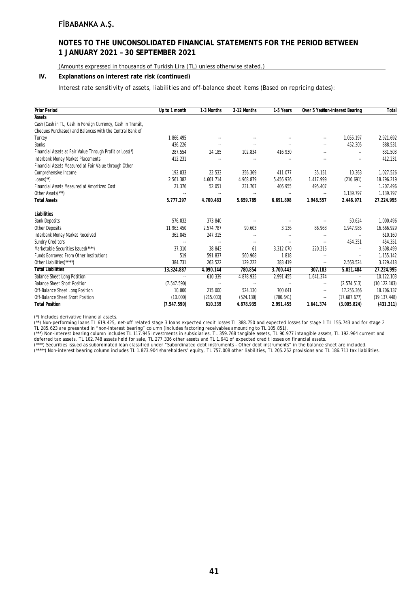### **NOTES TO THE UNCONSOLIDATED FINANCIAL STATEMENTS FOR THE PERIOD BETWEEN 1 JANUARY 2021 – 30 SEPTEMBER 2021**

(Amounts expressed in thousands of Turkish Lira (TL) unless otherwise stated.)

### **IV. Explanations on interest rate risk (continued)**

Interest rate sensitivity of assets, liabilities and off-balance sheet items (Based on repricing dates):

| <b>Prior Period</b>                                          | Up to 1 month            | 1-3 Months               | 3-12 Months              | 1-5 Years                | Over 5 Yearlon-interest Bearing |                            | Total        |
|--------------------------------------------------------------|--------------------------|--------------------------|--------------------------|--------------------------|---------------------------------|----------------------------|--------------|
| <b>Assets</b>                                                |                          |                          |                          |                          |                                 |                            |              |
| Cash (Cash in TL, Cash in Foreign Currency, Cash in Transit, |                          |                          |                          |                          |                                 |                            |              |
| Cheques Purchased) and Balances with the Central Bank of     |                          |                          |                          |                          |                                 |                            |              |
| Turkey                                                       | 1.866.495                |                          |                          |                          | $-$                             | 1.055.197                  | 2.921.692    |
| <b>Banks</b>                                                 | 436.226                  |                          | $\sim$                   |                          | $-$                             | 452.305                    | 888.531      |
| Financial Assets at Fair Value Through Profit or Loss(*)     | 287.554                  | 24.185                   | 102.834                  | 416.930                  |                                 | $\overline{\phantom{a}}$   | 831.503      |
| Interbank Money Market Placements                            | 412.231                  | $\overline{\phantom{a}}$ | $\overline{a}$           | ٠.                       |                                 | $\overline{a}$             | 412.231      |
| Financial Assets Measured at Fair Value through Other        |                          |                          |                          |                          |                                 |                            |              |
| Comprehensive Income                                         | 192.033                  | 22.533                   | 356.369                  | 411.077                  | 35.151                          | 10.363                     | 1.027.526    |
| $Loans(**)$                                                  | 2.561.382                | 4.601.714                | 4.968.879                | 5.456.936                | 1.417.999                       | (210.691)                  | 18.796.219   |
| Financial Assets Measured at Amortized Cost                  | 21.376                   | 52.051                   | 231.707                  | 406.955                  | 495.407                         | $\overline{\phantom{a}}$ . | 1.207.496    |
| Other Assets <sup>(***)</sup>                                | --                       |                          | ۰.                       | ٠.                       | ٠.                              | 1.139.797                  | 1.139.797    |
| <b>Total Assets</b>                                          | 5.777.297                | 4.700.483                | 5.659.789                | 6.691.898                | 1.948.557                       | 2.446.971                  | 27.224.995   |
| Liabilities                                                  |                          |                          |                          |                          |                                 |                            |              |
| <b>Bank Deposits</b>                                         | 576.032                  | 373.840                  | $\overline{\phantom{a}}$ |                          |                                 | 50.624                     | 1.000.496    |
| Other Deposits                                               | 11.963.450               | 2.574.787                | 90.603                   | 3.136                    | 86.968                          | 1.947.985                  | 16.666.929   |
| Interbank Money Market Received                              | 362.845                  | 247.315                  | $\overline{\phantom{a}}$ | $\overline{\phantom{a}}$ | $\overline{\phantom{a}}$        | $\overline{\phantom{a}}$   | 610.160      |
| <b>Sundry Creditors</b>                                      | --                       | $\overline{\phantom{a}}$ | $\overline{\phantom{a}}$ | ٠.                       |                                 | 454.351                    | 454.351      |
| Marketable Securities Issued(****)                           | 37.310                   | 38.843                   | 61                       | 3.312.070                | 220.215                         | $\overline{a}$             | 3.608.499    |
| Funds Borrowed From Other Institutions                       | 519                      | 591.837                  | 560.968                  | 1.818                    |                                 | $\overline{\phantom{a}}$   | 1.155.142    |
| Other Liabilities(*****)                                     | 384.731                  | 263.522                  | 129.222                  | 383.419                  | ۰.                              | 2.568.524                  | 3.729.418    |
| <b>Total Liabilities</b>                                     | 13.324.887               | 4.090.144                | 780.854                  | 3.700.443                | 307.183                         | 5.021.484                  | 27.224.995   |
| <b>Balance Sheet Long Position</b>                           | $\overline{\phantom{a}}$ | 610.339                  | 4.878.935                | 2.991.455                | 1.641.374                       | $\overline{\phantom{a}}$   | 10.122.103   |
| <b>Balance Sheet Short Position</b>                          | (7.547.590)              | $\overline{\phantom{a}}$ | $\overline{\phantom{a}}$ | ٠.                       | ۰.                              | (2.574.513)                | (10.122.103) |
| Off-Balance Sheet Long Position                              | 10.000                   | 215.000                  | 524.130                  | 700.641                  | $\overline{\phantom{a}}$        | 17.256.366                 | 18.706.137   |
| Off-Balance Sheet Short Position                             | (10.000)                 | (215.000)                | (524.130)                | (700.641)                | $\overline{\phantom{a}}$        | (17.687.677)               | (19.137.448) |
| <b>Total Position</b>                                        | (7.547.590)              | 610.339                  | 4.878.935                | 2.991.455                | 1.641.374                       | (3.005.824)                | (431.311)    |

(\*) Includes derivative financial assets.

(\*\*) Non-performing loans TL 619.425, net-off related stage 3 loans expected credit losses TL 388.750 and expected losses for stage 1 TL 155.743 and for stage 2 TL 285.623 are presented in "non-interest bearing" column (Includes factoring receivables amounting to TL 105.851).

(\*\*\*) Non-interest bearing column includes TL 117.945 investments in subsidiaries, TL 359.768 tangible assets, TL 90.977 intangible assets, TL 192.964 current and deferred tax assets, TL 102.748 assets held for sale, TL 277.336 other assets and TL 1.941 of expected credit losses on financial assets.

(\*\*\*\*) Securities issued as subordinated loan classified under "Subordinated debt instruments – Other debt instruments" in the balance sheet are included.

(\*\*\*\*\*) Non-interest bearing column includes TL 1.873.904 shareholders' equity, TL 757.008 other liabilities, TL 205.252 provisions and TL 186.711 tax liabilities.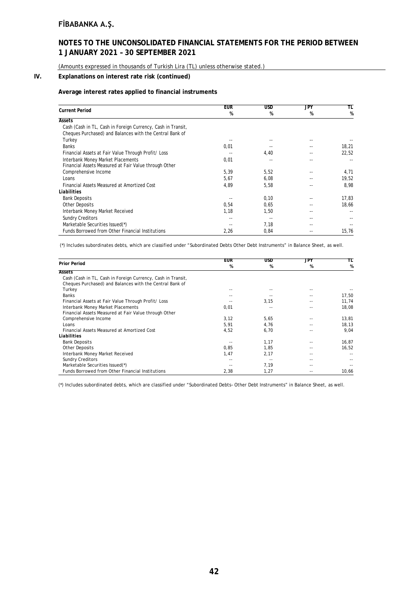### **NOTES TO THE UNCONSOLIDATED FINANCIAL STATEMENTS FOR THE PERIOD BETWEEN 1 JANUARY 2021 – 30 SEPTEMBER 2021**

(Amounts expressed in thousands of Turkish Lira (TL) unless otherwise stated.)

### **IV. Explanations on interest rate risk (continued)**

#### **Average interest rates applied to financial instruments**

|                                                              | <b>EUR</b> | <b>USD</b> | JPY | TL    |
|--------------------------------------------------------------|------------|------------|-----|-------|
| <b>Current Period</b>                                        | %          | %          | %   | %     |
| <b>Assets</b>                                                |            |            |     |       |
| Cash (Cash in TL, Cash in Foreign Currency, Cash in Transit, |            |            |     |       |
| Cheques Purchased) and Balances with the Central Bank of     |            |            |     |       |
| Turkey                                                       |            |            |     |       |
| <b>Banks</b>                                                 | 0,01       |            |     | 18,21 |
| Financial Assets at Fair Value Through Profit/ Loss          |            | 4,40       |     | 22,52 |
| Interbank Money Market Placements                            | 0,01       |            |     |       |
| Financial Assets Measured at Fair Value through Other        |            |            |     |       |
| Comprehensive Income                                         | 5,39       | 5,52       |     | 4,71  |
| Loans                                                        | 5,67       | 6,08       |     | 19,52 |
| Financial Assets Measured at Amortized Cost                  | 4,89       | 5,58       |     | 8,98  |
| Liabilities                                                  |            |            |     |       |
| <b>Bank Deposits</b>                                         |            | 0,10       |     | 17,83 |
| <b>Other Deposits</b>                                        | 0,54       | 0,65       |     | 18,66 |
| Interbank Money Market Received                              | 1,18       | 1,50       |     |       |
| <b>Sundry Creditors</b>                                      | --         |            |     |       |
| Marketable Securities Issued(*)                              |            | 7,18       |     |       |
| Funds Borrowed from Other Financial Institutions             | 2,26       | 0,84       |     | 15,76 |

(\*) Includes subordinates debts, which are classified under "Subordinated Debts Other Debt Instruments" in Balance Sheet, as well.

|                                                              | <b>EUR</b> | <b>USD</b> | JPY | TL    |
|--------------------------------------------------------------|------------|------------|-----|-------|
| <b>Prior Period</b>                                          | %          | %          | %   | %     |
| <b>Assets</b>                                                |            |            |     |       |
| Cash (Cash in TL, Cash in Foreign Currency, Cash in Transit, |            |            |     |       |
| Cheques Purchased) and Balances with the Central Bank of     |            |            |     |       |
| Turkey                                                       |            |            |     |       |
| Banks                                                        |            |            |     | 17,50 |
| Financial Assets at Fair Value Through Profit/ Loss          |            | 3,15       |     | 11,74 |
| Interbank Money Market Placements                            | 0,01       |            |     | 18.08 |
| Financial Assets Measured at Fair Value through Other        |            |            |     |       |
| Comprehensive Income                                         | 3,12       | 5,65       |     | 13,81 |
| Loans                                                        | 5,91       | 4,76       |     | 18,13 |
| Financial Assets Measured at Amortized Cost                  | 4,52       | 6,70       |     | 9,04  |
| Liabilities                                                  |            |            |     |       |
| <b>Bank Deposits</b>                                         |            | 1,17       |     | 16,87 |
| <b>Other Deposits</b>                                        | 0.85       | 1.85       |     | 16,52 |
| Interbank Money Market Received                              | 1,47       | 2,17       |     |       |
| <b>Sundry Creditors</b>                                      |            |            |     |       |
| Marketable Securities Issued(*)                              |            | 7,19       |     |       |
| Funds Borrowed from Other Financial Institutions             | 2,38       | 1,27       |     | 10,66 |

(\*) Includes subordinated debts, which are classified under "Subordinated Debts– Other Debt Instruments" in Balance Sheet, as well.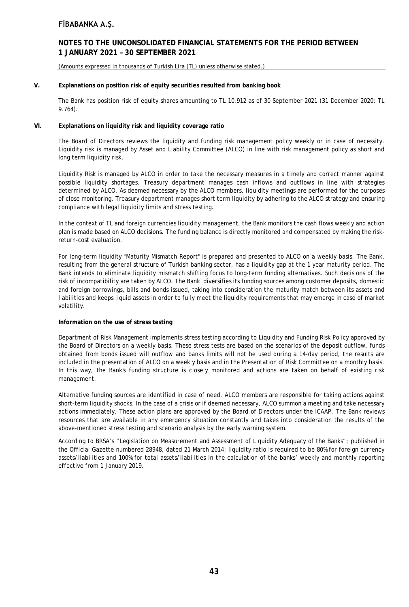### **NOTES TO THE UNCONSOLIDATED FINANCIAL STATEMENTS FOR THE PERIOD BETWEEN 1 JANUARY 2021 – 30 SEPTEMBER 2021**

(Amounts expressed in thousands of Turkish Lira (TL) unless otherwise stated.)

#### **V. Explanations on position risk of equity securities resulted from banking book**

The Bank has position risk of equity shares amounting to TL 10.912 as of 30 September 2021 (31 December 2020: TL 9.764).

### **VI. Explanations on liquidity risk and liquidity coverage ratio**

The Board of Directors reviews the liquidity and funding risk management policy weekly or in case of necessity. Liquidity risk is managed by Asset and Liability Committee (ALCO) in line with risk management policy as short and long term liquidity risk.

Liquidity Risk is managed by ALCO in order to take the necessary measures in a timely and correct manner against possible liquidity shortages. Treasury department manages cash inflows and outflows in line with strategies determined by ALCO. As deemed necessary by the ALCO members, liquidity meetings are performed for the purposes of close monitoring. Treasury department manages short term liquidity by adhering to the ALCO strategy and ensuring compliance with legal liquidity limits and stress testing.

In the context of TL and foreign currencies liquidity management, the Bank monitors the cash flows weekly and action plan is made based on ALCO decisions. The funding balance is directly monitored and compensated by making the riskreturn-cost evaluation.

For long-term liquidity "Maturity Mismatch Report" is prepared and presented to ALCO on a weekly basis. The Bank, resulting from the general structure of Turkish banking sector, has a liquidity gap at the 1 year maturity period. The Bank intends to eliminate liquidity mismatch shifting focus to long-term funding alternatives. Such decisions of the risk of incompatibility are taken by ALCO. The Bank diversifies its funding sources among customer deposits, domestic and foreign borrowings, bills and bonds issued, taking into consideration the maturity match between its assets and liabilities and keeps liquid assets in order to fully meet the liquidity requirements that may emerge in case of market volatility.

#### **Information on the use of stress testing**

Department of Risk Management implements stress testing according to Liquidity and Funding Risk Policy approved by the Board of Directors on a weekly basis. These stress tests are based on the scenarios of the deposit outflow, funds obtained from bonds issued will outflow and banks limits will not be used during a 14-day period, the results are included in the presentation of ALCO on a weekly basis and in the Presentation of Risk Committee on a monthly basis. In this way, the Bank's funding structure is closely monitored and actions are taken on behalf of existing risk management.

Alternative funding sources are identified in case of need. ALCO members are responsible for taking actions against short-term liquidity shocks. In the case of a crisis or if deemed necessary, ALCO summon a meeting and take necessary actions immediately. These action plans are approved by the Board of Directors under the ICAAP. The Bank reviews resources that are available in any emergency situation constantly and takes into consideration the results of the above-mentioned stress testing and scenario analysis by the early warning system.

According to BRSA's "Legislation on Measurement and Assessment of Liquidity Adequacy of the Banks"; published in the Official Gazette numbered 28948, dated 21 March 2014; liquidity ratio is required to be 80% for foreign currency assets/liabilities and 100% for total assets/liabilities in the calculation of the banks' weekly and monthly reporting effective from 1 January 2019.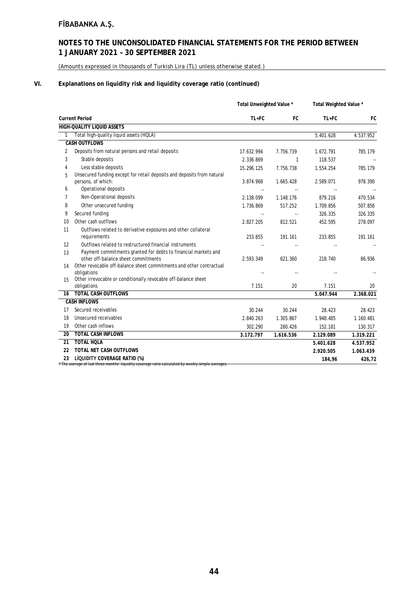# **NOTES TO THE UNCONSOLIDATED FINANCIAL STATEMENTS FOR THE PERIOD BETWEEN 1 JANUARY 2021 – 30 SEPTEMBER 2021**

(Amounts expressed in thousands of Turkish Lira (TL) unless otherwise stated.)

### **VI. Explanations on liquidity risk and liquidity coverage ratio (continued)**

|              |                                                                                                                                    | Total Unweighted Value * |              | Total Weighted Value * |           |
|--------------|------------------------------------------------------------------------------------------------------------------------------------|--------------------------|--------------|------------------------|-----------|
|              | <b>Current Period</b>                                                                                                              | $TL + FC$                | FC           | $TL+FC$                | <b>FC</b> |
|              | <b>HIGH-QUALITY LIQUID ASSETS</b>                                                                                                  |                          |              |                        |           |
| $\mathbf{1}$ | Total high-quality liquid assets (HQLA)                                                                                            |                          |              | 5.401.628              | 4.537.952 |
|              | <b>CASH OUTFLOWS</b>                                                                                                               |                          |              |                        |           |
| 2            | Deposits from natural persons and retail deposits                                                                                  | 17.632.994               | 7.756.739    | 1.672.791              | 785.179   |
| 3            | Stable deposits                                                                                                                    | 2.336.869                | $\mathbf{1}$ | 118.537                |           |
| 4            | Less stable deposits                                                                                                               | 15.296.125               | 7.756.738    | 1.554.254              | 785.179   |
| 5            | Unsecured funding except for retail deposits and deposits from natural<br>persons, of which:                                       | 3.874.968                | 1.665.428    | 2.589.071              | 978.390   |
| 6            | Operational deposits                                                                                                               |                          |              |                        |           |
| 7            | Non-Operational deposits                                                                                                           | 2.138.099                | 1.148.176    | 879.216                | 470.534   |
| 8            | Other unsecured funding                                                                                                            | 1.736.869                | 517.252      | 1.709.856              | 507.856   |
| 9            | Secured funding                                                                                                                    |                          | $\sim$       | 326.335                | 326.335   |
| 10           | Other cash outflows                                                                                                                | 2.827.205                | 812.521      | 452.595                | 278.097   |
| 11           | Outflows related to derivative exposures and other collateral                                                                      |                          |              |                        |           |
|              | requirements                                                                                                                       | 233.855                  | 191.161      | 233.855                | 191.161   |
| 12           | Outflows related to restructured financial instruments                                                                             |                          |              |                        |           |
| 13           | Payment commitments granted for debts to financial markets and                                                                     |                          |              |                        |           |
|              | other off-balance sheet commitments                                                                                                | 2.593.349                | 621.360      | 218.740                | 86.936    |
| 14           | Other revocable off-balance sheet commitments and other contractual                                                                |                          |              |                        |           |
|              | obligations<br>Other irrevocable or conditionally revocable off-balance sheet                                                      |                          |              |                        |           |
| 15           | obligations                                                                                                                        | 7.151                    | 20           | 7.151                  | 20        |
| 16           | <b>TOTAL CASH OUTFLOWS</b>                                                                                                         |                          |              | 5.047.944              | 2.368.021 |
|              | <b>CASH INFLOWS</b>                                                                                                                |                          |              |                        |           |
| 17           | Secured receivables                                                                                                                | 30.244                   | 30.244       | 28.423                 | 28.423    |
| 18           | Unsecured receivables                                                                                                              | 2.840.263                | 1.305.867    | 1.948.485              | 1.160.481 |
| 19           | Other cash inflows                                                                                                                 | 302.290                  | 280.426      | 152.181                | 130.317   |
| 20           | <b>TOTAL CASH INFLOWS</b>                                                                                                          | 3.172.797                | 1.616.536    | 2.129.089              | 1.319.221 |
| 21           | <b>TOTAL HOLA</b>                                                                                                                  |                          |              | 5.401.628              | 4.537.952 |
| 22           | <b>TOTAL NET CASH OUTFLOWS</b>                                                                                                     |                          |              | 2.920.505              | 1.063.439 |
| 23           | LİQUIDITY COVERAGE RATIO (%)<br>* The average of last three months' liquidity coverage ratio calculated by weekly simple averages. |                          |              | 184,96                 | 426,72    |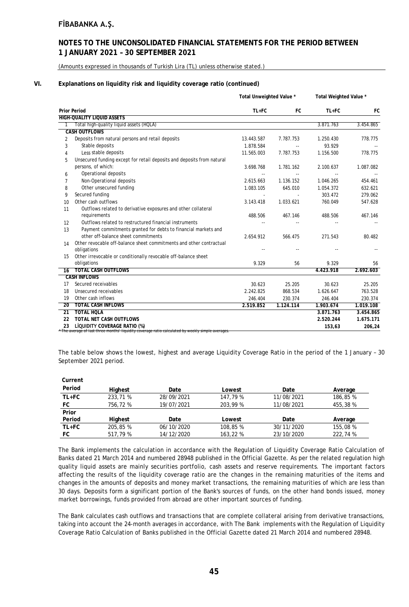### **NOTES TO THE UNCONSOLIDATED FINANCIAL STATEMENTS FOR THE PERIOD BETWEEN 1 JANUARY 2021 – 30 SEPTEMBER 2021**

(Amounts expressed in thousands of Turkish Lira (TL) unless otherwise stated.)

#### **VI. Explanations on liquidity risk and liquidity coverage ratio (continued)**

|                 |                                                                                                                                    | Total Unweighted Value * |           | Total Weighted Value * |           |
|-----------------|------------------------------------------------------------------------------------------------------------------------------------|--------------------------|-----------|------------------------|-----------|
|                 | <b>Prior Period</b>                                                                                                                | TL+FC                    | FC        | $TL+FC$                | FC        |
|                 | <b>HIGH-QUALITY LIQUID ASSETS</b>                                                                                                  |                          |           |                        |           |
|                 | Total high-quality liquid assets (HQLA)                                                                                            |                          |           | 3.871.763              | 3.454.865 |
|                 | <b>CASH OUTFLOWS</b>                                                                                                               |                          |           |                        |           |
| 2               | Deposits from natural persons and retail deposits                                                                                  | 13.443.587               | 7.787.753 | 1.250.430              | 778.775   |
| 3               | Stable deposits                                                                                                                    | 1.878.584                |           | 93.929                 |           |
| 4               | Less stable deposits                                                                                                               | 11.565.003               | 7.787.753 | 1.156.500              | 778.775   |
| 5               | Unsecured funding except for retail deposits and deposits from natural                                                             |                          |           |                        |           |
|                 | persons, of which:                                                                                                                 | 3.698.768                | 1.781.162 | 2.100.637              | 1.087.082 |
| 6               | Operational deposits                                                                                                               | $\sim$ $\sim$            |           |                        |           |
| 7               | Non-Operational deposits                                                                                                           | 2.615.663                | 1.136.152 | 1.046.265              | 454.461   |
| 8               | Other unsecured funding                                                                                                            | 1.083.105                | 645.010   | 1.054.372              | 632.621   |
| 9               | Secured funding                                                                                                                    |                          |           | 303.472                | 279.062   |
| 10              | Other cash outflows                                                                                                                | 3.143.418                | 1.033.621 | 760.049                | 547.628   |
| 11              | Outflows related to derivative exposures and other collateral                                                                      |                          |           |                        |           |
|                 | requirements                                                                                                                       | 488.506                  | 467.146   | 488.506                | 467.146   |
| 12              | Outflows related to restructured financial instruments                                                                             |                          |           |                        |           |
| 13              | Payment commitments granted for debts to financial markets and                                                                     |                          |           |                        |           |
|                 | other off-balance sheet commitments                                                                                                | 2.654.912                | 566.475   | 271.543                | 80.482    |
| 14              | Other revocable off-balance sheet commitments and other contractual                                                                |                          |           |                        |           |
|                 | obligations                                                                                                                        |                          | $\sim$    |                        |           |
| 15              | Other irrevocable or conditionally revocable off-balance sheet                                                                     |                          |           |                        |           |
|                 | obligations                                                                                                                        | 9.329                    | 56        | 9.329                  | 56        |
| 16              | <b>TOTAL CASH OUTFLOWS</b>                                                                                                         |                          |           | 4.423.918              | 2.692.603 |
|                 | <b>CASH INFLOWS</b>                                                                                                                |                          |           |                        |           |
| 17              | Secured receivables                                                                                                                | 30.623                   | 25.205    | 30.623                 | 25.205    |
| 18              | Unsecured receivables                                                                                                              | 2.242.825                | 868.534   | 1.626.647              | 763.528   |
| 19              | Other cash inflows                                                                                                                 | 246.404                  | 230.374   | 246.404                | 230.374   |
| 20              | <b>TOTAL CASH INFLOWS</b>                                                                                                          | 2.519.852                | 1.124.114 | 1.903.674              | 1.019.108 |
| $\overline{21}$ | <b>TOTAL HOLA</b>                                                                                                                  |                          |           | 3.871.763              | 3.454.865 |
| 22              | <b>TOTAL NET CASH OUTFLOWS</b>                                                                                                     |                          |           | 2.520.244              | 1.675.171 |
| 23              | LIQUIDITY COVERAGE RATIO (%)<br>* The average of last three months' liquidity coverage ratio calculated by weekly simple averages. |                          |           | 153,63                 | 206,24    |

The table below shows the lowest, highest and average Liquidity Coverage Ratio in the period of the 1 January – 30 September 2021 period.

| Current |          |            |          |            |          |
|---------|----------|------------|----------|------------|----------|
| Period  | Highest  | Date       | Lowest   | Date       | Average  |
| $TL+FC$ | 233,71 % | 28/09/2021 | 147.79 % | 11/08/2021 | 186.85 % |
| FC      | 756.72%  | 19/07/2021 | 203.99 % | 11/08/2021 | 455,38 % |
| Prior   |          |            |          |            |          |
| Period  | Highest  | Date       | Lowest   | Date       | Average  |
| $TL+FC$ | 205.85 % | 06/10/2020 | 108,85 % | 30/11/2020 | 155,08 % |
| FC      | 517.79 % | 14/12/2020 | 163.22 % | 23/10/2020 | 222.74 % |

The Bank implements the calculation in accordance with the Regulation of Liquidity Coverage Ratio Calculation of Banks dated 21 March 2014 and numbered 28948 published in the Official Gazette. As per the related regulation high quality liquid assets are mainly securities portfolio, cash assets and reserve requirements. The important factors affecting the results of the liquidity coverage ratio are the changes in the remaining maturities of the items and changes in the amounts of deposits and money market transactions, the remaining maturities of which are less than 30 days. Deposits form a significant portion of the Bank's sources of funds, on the other hand bonds issued, money market borrowings, funds provided from abroad are other important sources of funding.

The Bank calculates cash outflows and transactions that are complete collateral arising from derivative transactions, taking into account the 24-month averages in accordance, with The Bank implements with the Regulation of Liquidity Coverage Ratio Calculation of Banks published in the Official Gazette dated 21 March 2014 and numbered 28948.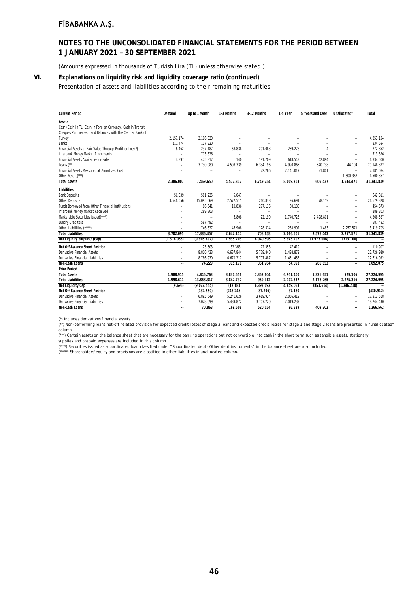# **NOTES TO THE UNCONSOLIDATED FINANCIAL STATEMENTS FOR THE PERIOD BETWEEN 1 JANUARY 2021 – 30 SEPTEMBER 2021**

(Amounts expressed in thousands of Turkish Lira (TL) unless otherwise stated.)

### **VI. Explanations on liquidity risk and liquidity coverage ratio (continued)**

Presentation of assets and liabilities according to their remaining maturities:

| <b>Current Period</b>                                        | Demand      | Up to 1 Month            | 1-3 Months               | 3-12 Months              | 1-5 Year                 | 5 Years and Over         | Unallocated*             | <b>Total</b> |
|--------------------------------------------------------------|-------------|--------------------------|--------------------------|--------------------------|--------------------------|--------------------------|--------------------------|--------------|
| Assets                                                       |             |                          |                          |                          |                          |                          |                          |              |
| Cash (Cash in TL, Cash in Foreign Currency, Cash in Transit, |             |                          |                          |                          |                          |                          |                          |              |
| Cheques Purcheased) and Balances with the Central Bank of    |             |                          |                          |                          |                          |                          |                          |              |
| Turkey                                                       | 2.157.174   | 2.196.020                | $\sim$                   | ٠.                       | $\overline{\phantom{a}}$ | ٠.                       | $\overline{\phantom{a}}$ | 4.353.194    |
| <b>Banks</b>                                                 | 217.474     | 117.220                  | $\ddotsc$                | ٠.                       | $\overline{a}$           | ٠.                       | $\overline{\phantom{a}}$ | 334.694      |
| Financial Assets at Fair Value Through Profit or Loss(*)     | 6.462       | 237.187                  | 68.838                   | 201.083                  | 259.278                  | $\overline{4}$           | $\overline{\phantom{a}}$ | 772.852      |
| Interbank Money Market Placements                            | ÷.          | 713.326                  | $\overline{\phantom{a}}$ | $\overline{\phantom{a}}$ | $\sim$                   | ٠.                       | $\overline{\phantom{a}}$ | 713.326      |
| Financial Assets Available-for-Sale                          | 4.897       | 475.817                  | 140                      | 191.709                  | 618.543                  | 42.894                   | $\overline{\phantom{a}}$ | 1.334.000    |
| Loans $(*")$                                                 | ٠.          | 3.730.080                | 4.508.339                | 6.334.196                | 4.990.865                | 540.738                  | 44.104                   | 20.148.322   |
| Financial Assets Measured at Amortized Cost                  | $\ddotsc$   | $\overline{\phantom{a}}$ |                          | 22.266                   | 2.141.017                | 21.801                   | $\overline{\phantom{a}}$ | 2.185.084    |
| Other Assets(***)                                            | ٠.          | $\overline{\phantom{a}}$ |                          |                          | u.                       | $\overline{\phantom{a}}$ | 1.500.367                | 1.500.367    |
| <b>Total Assets</b>                                          | 2.386.007   | 7.469.650                | 4.577.317                | 6.749.254                | 8.009.703                | 605.437                  | 1.544.471                | 31.341.839   |
| Liabilities                                                  |             |                          |                          |                          |                          |                          |                          |              |
| <b>Bank Deposits</b>                                         | 56.039      | 581.225                  | 5.047                    | $\overline{\phantom{a}}$ | $\overline{\phantom{a}}$ | ٠.                       | $\overline{\phantom{a}}$ | 642.311      |
| <b>Other Deposits</b>                                        | 3.646.056   | 15.095.069               | 2.572.515                | 260.838                  | 26.691                   | 78.159                   | $\overline{\phantom{a}}$ | 21.679.328   |
| Funds Borrowed from Other Financial Institutions             | ٠.          | 86.541                   | 10.836                   | 297.116                  | 60.180                   | $\overline{\phantom{a}}$ | $\overline{a}$           | 454.673      |
| Interbank Money Market Received                              | ٠.          | 289.803                  | $\overline{\phantom{a}}$ | $\ddotsc$                | $\overline{\phantom{a}}$ |                          | $\overline{\phantom{a}}$ | 289.803      |
| Marketable Securities Issued(****)                           | $\ddotsc$   | $\overline{\phantom{a}}$ | 6.808                    | 22.190                   | 1.740.728                | 2.498.801                | $\overline{\phantom{a}}$ | 4.268.527    |
| <b>Sundry Creditors</b>                                      | ٠.          | 587.492                  | $\overline{\phantom{a}}$ | $\overline{\phantom{a}}$ | $\overline{\phantom{a}}$ | $\overline{\phantom{a}}$ | $\overline{\phantom{a}}$ | 587.492      |
| Other Liabilities (*****)                                    | ٠.          | 746.327                  | 46.908                   | 128.514                  | 238.902                  | 1.483                    | 2.257.571                | 3.419.705    |
| <b>Total Liabilities</b>                                     | 3.702.095   | 17.386.457               | 2.642.114                | 708.658                  | 2.066.501                | 2.578.443                | 2.257.571                | 31.341.839   |
| Net Liqudity Surplus / (Gap)                                 | (1.316.088) | (9.916.807)              | 1.935.203                | 6.040.596                | 5.943.202                | (1.973.006)              | (713.100)                | $\sim$       |
| Net Off-Balance Sheet Position                               | ă.          | 23.503                   | (32.368)                 | 72.353                   | 47.419                   | Ω,                       | $\overline{\phantom{a}}$ | 110.907      |
| Derivative Financial Assets                                  | ٠.          | 8.810.433                | 6.637.844                | 5.779.840                | 1.498.872                | ٠.                       | $\overline{\phantom{a}}$ | 22.726.989   |
| <b>Derivative Financial Liabilities</b>                      | ٠.          | 8.786.930                | 6.670.212                | 5.707.487                | 1.451.453                | $\overline{\phantom{a}}$ | ٠.                       | 22.616.082   |
| Non-Cash Loans                                               | ä.          | 74.229                   | 315.171                  | 361.764                  | 54.058                   | 286.853                  | $\ddotsc$                | 1.092.075    |
| <b>Prior Period</b>                                          |             |                          |                          |                          |                          |                          |                          |              |
| <b>Total Assets</b>                                          | 1.988.915   | 4.845.763                | 3.830.556                | 7.352.604                | 6.951.400                | 1.326.651                | 929.106                  | 27.224.995   |
| <b>Total Liabilities</b>                                     | 1.998.611   | 13.868.317               | 3.842.737                | 959.412                  | 2.102.337                | 2.178.265                | 2.275.316                | 27.224.995   |
| <b>Net Liquidity Gap</b>                                     | (9.696)     | (9.022.554)              | (12.181)                 | 6.393.192                | 4.849.063                | (851.614)                | (1.346.210)              | $\ddotsc$    |
| Net Off-Balance Sheet Position                               | ä.          | (132.550)                | (248.246)                | (87.296)                 | 37.180                   | $\overline{\phantom{a}}$ | $\ddotsc$                | (430.912)    |
| Derivative Financial Assets                                  | ٠.          | 6.895.549                | 5.241.626                | 3.619.924                | 2.056.419                | ٠.                       | $\overline{\phantom{a}}$ | 17.813.518   |
| <b>Derivative Financial Liabilities</b>                      | ٠.          | 7.028.099                | 5.489.872                | 3.707.220                | 2.019.239                | $\overline{\phantom{a}}$ | ٠.                       | 18.244.430   |
| Non-Cash Loans                                               | ٠.          | 70.868                   | 169.508                  | 520.054                  | 96.829                   | 409.303                  | $\ddotsc$                | 1.266.562    |

(\*) Includes derivatives financial assets.

(\*\*) Non-performing loans net-off related provision for expected credit losses of stage 3 loans and expected credit losses for stage 1 and stage 2 loans are presented in "unallocated" column.

(\*\*\*) Certain assets on the balance sheet that are necessary for the banking operations but not convertible into cash in the short term such as tangible assets, stationary supplies and prepaid expenses are included in this column.

(\*\*\*\*) Securities issued as subordinated Ioan classified under "Subordinated debt- Other debt instruments" in the balance sheet are also included.<br>(\*\*\*\*\*) Shareholders' equity and provisions are classified in other liabili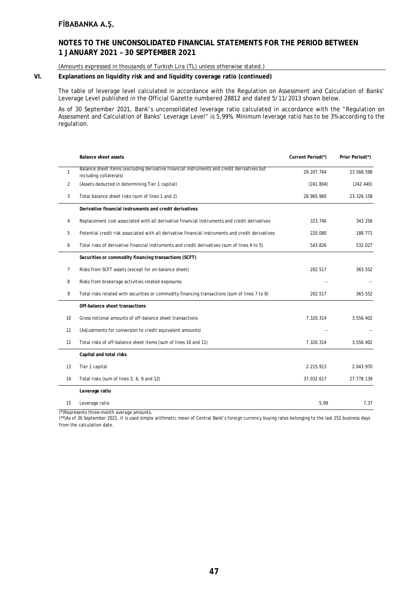$\overline{a}$ 

# **NOTES TO THE UNCONSOLIDATED FINANCIAL STATEMENTS FOR THE PERIOD BETWEEN 1 JANUARY 2021 – 30 SEPTEMBER 2021**

(Amounts expressed in thousands of Turkish Lira (TL) unless otherwise stated.)

### **VI. Explanations on liquidity risk and and liquidity coverage ratio (continued)**

The table of leverage level calculated in accordance with the Regulation on Assessment and Calculation of Banks' Leverage Level published in the Official Gazette numbered 28812 and dated 5/11/2013 shown below.

As of 30 September 2021, Bank's unconsolidated leverage ratio calculated in accordance with the "Regulation on Assessment and Calculation of Banks' Leverage Level" is 5,99%. Minimum leverage ratio has to be 3% according to the regulation.

|    | <b>Balance sheet assets</b>                                                                                          | Current Period(*) | Prior Period(*) |
|----|----------------------------------------------------------------------------------------------------------------------|-------------------|-----------------|
| 1  | Balance sheet items (excluding derivative financial instruments and credit derivatives but<br>including collaterals) | 29.207.764        | 23.568.598      |
| 2  | (Assets deducted in determining Tier 1 capital)                                                                      | (241.804)         | (242.440)       |
| 3  | Total balance sheet risks (sum of lines 1 and 2)                                                                     | 28.965.960        | 23.326.158      |
|    | Derivative financial instruments and credit derivatives                                                              |                   |                 |
| 4  | Replacement cost associated with all derivative financial instruments and credit derivatives                         | 323.746           | 343.256         |
| 5  | Potential credit risk associated with all derivative financial instruments and credit derivatives                    | 220.080           | 188.771         |
| 6  | Total risks of derivative financial instruments and credit derivatives (sum of lines 4 to 5)                         | 543.826           | 532.027         |
|    | Securities or commodity financing transactions (SCFT)                                                                |                   |                 |
| 7  | Risks from SCFT assets (except for on-balance sheet)                                                                 | 202.517           | 363.552         |
| 8  | Risks from brokerage activities related exposures                                                                    |                   |                 |
| 9  | Total risks related with securities or commodity financing transactions (sum of lines 7 to 8)                        | 202.517           | 363.552         |
|    | Off-balance sheet transactions                                                                                       |                   |                 |
| 10 | Gross notional amounts of off-balance sheet transactions                                                             | 7.320.314         | 3.556.402       |
| 11 | (Adjustments for conversion to credit equivalent amounts)                                                            |                   |                 |
| 12 | Total risks of off-balance sheet items (sum of lines 10 and 11)                                                      | 7.320.314         | 3.556.402       |
|    | Capital and total risks                                                                                              |                   |                 |
| 13 | Tier 1 capital                                                                                                       | 2.215.913         | 2.043.970       |
| 14 | Total risks (sum of lines 3, 6, 9 and 12)                                                                            | 37.032.617        | 27.778.139      |
|    | Leverage ratio                                                                                                       |                   |                 |
| 15 | Leverage ratio                                                                                                       | 5,99              | 7,37            |

(\*)Represents three-month average amounts. (\*\*)As of 30 September 2021, it is used simple arithmetic mean of Central Bank's foreign currency buying rates belonging to the last 252 business days from the calculation date.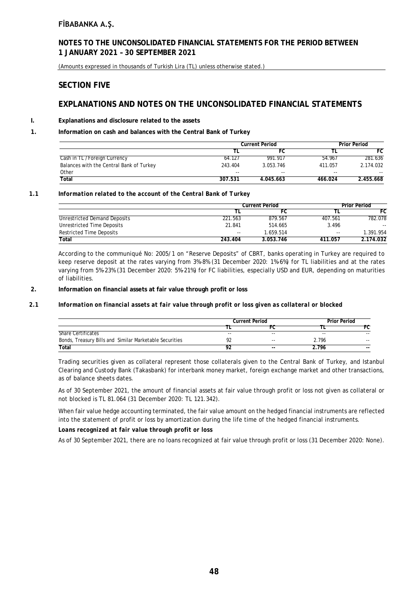### **NOTES TO THE UNCONSOLIDATED FINANCIAL STATEMENTS FOR THE PERIOD BETWEEN 1 JANUARY 2021 – 30 SEPTEMBER 2021**

(Amounts expressed in thousands of Turkish Lira (TL) unless otherwise stated.)

### **SECTION FIVE**

# **EXPLANATIONS AND NOTES ON THE UNCONSOLIDATED FINANCIAL STATEMENTS**

### **I. Explanations and disclosure related to the assets**

### **1. Information on cash and balances with the Central Bank of Turkey**

|                                          | <b>Current Period</b> |           | <b>Prior Period</b> |           |  |
|------------------------------------------|-----------------------|-----------|---------------------|-----------|--|
|                                          |                       | FC        |                     | FC        |  |
| Cash in TL / Foreign Currency            | 64.127                | 991.917   | 54.967              | 281.636   |  |
| Balances with the Central Bank of Turkey | 243.404               | 3.053.746 | 411.057             | 2.174.032 |  |
| Other                                    | $- -$                 | $- -$     | $- -$               | $- -$     |  |
| Total                                    | 307.531               | 4.045.663 | 466.024             | 2.455.668 |  |

#### *1.1 Information related to the account of the Central Bank of Turkey*

|                              | <b>Current Period</b>    |           | Prior Period  |           |
|------------------------------|--------------------------|-----------|---------------|-----------|
|                              |                          | FC        |               | FC        |
| Unrestricted Demand Deposits | 221.563                  | 879.567   | 407.561       | 782.078   |
| Unrestricted Time Deposits   | 21.841                   | 514.665   | 3.496         | $- -$     |
| Restricted Time Deposits     | $\overline{\phantom{a}}$ | 1.659.514 | $\sim$ $\sim$ | 1.391.954 |
| Total                        | 243.404                  | 3.053.746 | 411.057       | 2.174.032 |

According to the communiqué No: 2005/1 on "Reserve Deposits" of CBRT, banks operating in Turkey are required to keep reserve deposit at the rates varying from 3%-8% (31 December 2020: 1%-6%) for TL liabilities and at the rates varying from 5%-23% (31 December 2020: 5%-21%) for FC liabilities, especially USD and EUR, depending on maturities of liabilities.

#### **2. Information on financial assets at fair value through profit or loss**

#### *2.1 Information on financial assets at fair value through profit or loss given as collateral or blocked*

|                                                         | <b>Current Period</b> |       | <b>Prior Period</b> |               |
|---------------------------------------------------------|-----------------------|-------|---------------------|---------------|
|                                                         |                       |       |                     |               |
| <b>Share Certificates</b>                               | $- -$                 | $-$   | $\sim$ $\sim$       | $\sim$ $\sim$ |
| Bonds, Treasury Bills and Similar Marketable Securities | o٦                    | $- -$ | 2.796               | $- -$         |
| Total                                                   | ٥٢                    | $- -$ | 2.796               | $- -$         |

Trading securities given as collateral represent those collaterals given to the Central Bank of Turkey, and Istanbul Clearing and Custody Bank (Takasbank) for interbank money market, foreign exchange market and other transactions, as of balance sheets dates.

As of 30 September 2021, the amount of financial assets at fair value through profit or loss not given as collateral or not blocked is TL 81.064 (31 December 2020: TL 121.342).

When fair value hedge accounting terminated, the fair value amount on the hedged financial instruments are reflected into the statement of profit or loss by amortization during the life time of the hedged financial instruments.

### *Loans recognized at fair value through profit or loss*

As of 30 September 2021, there are no loans recognized at fair value through profit or loss (31 December 2020: None).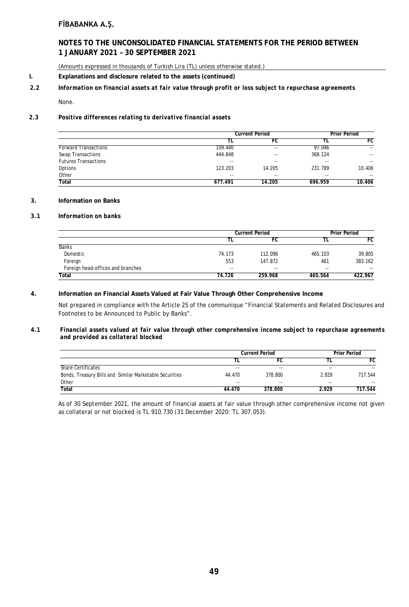# **NOTES TO THE UNCONSOLIDATED FINANCIAL STATEMENTS FOR THE PERIOD BETWEEN 1 JANUARY 2021 – 30 SEPTEMBER 2021**

(Amounts expressed in thousands of Turkish Lira (TL) unless otherwise stated.)

**I. Explanations and disclosure related to the assets (continued)**

### *2.2 Information on financial assets at fair value through profit or loss subject to repurchase agreements*

None.

#### *2.3 Positive differences relating to derivative financial assets*

|                             |         | <b>Current Period</b> |         | <b>Prior Period</b>      |
|-----------------------------|---------|-----------------------|---------|--------------------------|
|                             |         | FC                    |         | FC                       |
| <b>Forward Transactions</b> | 109.440 | $\sim$ $\sim$         | 97.046  | $\sim$ $\sim$            |
| <b>Swap Transactions</b>    | 444.848 | $- -$                 | 368.124 | $\overline{\phantom{a}}$ |
| <b>Futures Transactions</b> | $- -$   | $- -$                 | $- -$   | $\sim$ $\sim$            |
| Options                     | 123.203 | 14.205                | 231.789 | 10.406                   |
| Other                       | $- -$   | $- -$                 | $- -$   | $\sim$ $\sim$            |
| <b>Total</b>                | 677.491 | 14.205                | 696.959 | 10.406                   |

### **3. Information on Banks**

#### *3.1 Information on banks*

|                                   | <b>Current Period</b> |         | <b>Prior Period</b> |         |
|-----------------------------------|-----------------------|---------|---------------------|---------|
|                                   |                       | FC.     |                     | FC      |
| <b>Banks</b>                      |                       |         |                     |         |
| Domestic                          | 74.173                | 112.096 | 465.103             | 39.805  |
| Foreign                           | 553                   | 147.872 | 461                 | 383.162 |
| Foreign head-offices and branches | $- -$                 | $-$     | $- -$               | $- -$   |
| Total                             | 74.726                | 259.968 | 465.564             | 422.967 |

#### **4. Information on Financial Assets Valued at Fair Value Through Other Comprehensive Income**

Not prepared in compliance with the Article 25 of the communique "Financial Statements and Related Disclosures and Footnotes to be Announced to Public by Banks".

#### *4.1 Financial assets valued at fair value through other comprehensive income subject to repurchase agreements and provided as collateral blocked*

|                                                         | <b>Current Period</b> |         | <b>Prior Period</b> |         |
|---------------------------------------------------------|-----------------------|---------|---------------------|---------|
|                                                         |                       | FC      |                     | FC      |
| <b>Share Certificates</b>                               | $- -$                 | $- -$   | $- -$               | $- -$   |
| Bonds, Treasury Bills and Similar Marketable Securities | 44.470                | 378.800 | 2.929               | 717.544 |
| Other                                                   | $- -$                 | $-$     | $- -$               | $- -$   |
| Total                                                   | 44.470                | 378.800 | 2.929               | 717.544 |

As of 30 September 2021, the amount of financial assets at fair value through other comprehensive income not given as collateral or not blocked is TL 910.730 (31 December 2020: TL 307.053).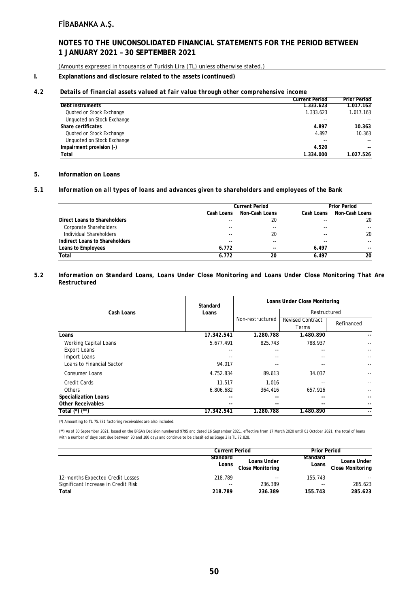# **NOTES TO THE UNCONSOLIDATED FINANCIAL STATEMENTS FOR THE PERIOD BETWEEN 1 JANUARY 2021 – 30 SEPTEMBER 2021**

(Amounts expressed in thousands of Turkish Lira (TL) unless otherwise stated.)

### **I. Explanations and disclosure related to the assets (continued)**

#### *4.2 Details of financial assets valued at fair value through other comprehensive income*

|                            | Current Period | <b>Prior Period</b> |
|----------------------------|----------------|---------------------|
| Debt instruments           | 1.333.623      | 1.017.163           |
| Quoted on Stock Exchange   | 1.333.623      | 1.017.163           |
| Unquoted on Stock Exchange | --             |                     |
| Share certificates         | 4.897          | 10.363              |
| Quoted on Stock Exchange   | 4.897          | 10.363              |
| Unquoted on Stock Exchange | --             | $\sim$ $\sim$       |
| Impairment provision (-)   | 4.520          | --                  |
| Total                      | 1.334.000      | 1.027.526           |

#### **5. Information on Loans**

#### **5.1** *Information on all types of loans and advances given to shareholders and employees of the Bank*

|                                |            | <b>Current Period</b> |            | <b>Prior Period</b>      |
|--------------------------------|------------|-----------------------|------------|--------------------------|
|                                | Cash Loans | Non-Cash Loans        | Cash Loans | Non-Cash Loans           |
| Direct Loans to Shareholders   | $- -$      | 20                    | $-$        | 20                       |
| Corporate Shareholders         | --         | $- -$                 | --         |                          |
| Individual Shareholders        | $- -$      | 20                    | $- -$      | 20                       |
| Indirect Loans to Shareholders | $- -$      | $- -$                 | $-$        | $\overline{\phantom{a}}$ |
| Loans to Employees             | 6.772      | $- -$                 | 6.497      | $- -$                    |
| Total                          | 6.772      | 20                    | 6.497      | 20                       |

#### *5.2 Information on Standard Loans, Loans Under Close Monitoring and Loans Under Close Monitoring That Are Restructured*

| Cash Loans                  | Standard   | Loans Under Close Monitoring |                                  |            |
|-----------------------------|------------|------------------------------|----------------------------------|------------|
|                             | Loans      |                              | Restructured                     |            |
|                             |            | Non-restructured             | <b>Revised Contract</b><br>Terms | Refinanced |
| Loans                       | 17.342.541 | 1.280.788                    | 1.480.890                        |            |
| Working Capital Loans       | 5.677.491  | 825.743                      | 788.937                          |            |
| <b>Export Loans</b>         |            |                              |                                  |            |
| Import Loans                |            | --                           |                                  |            |
| Loans to Financial Sector   | 94.017     | --                           | --                               |            |
| <b>Consumer Loans</b>       | 4.752.834  | 89.613                       | 34.037                           |            |
| <b>Credit Cards</b>         | 11.517     | 1.016                        |                                  |            |
| Others                      | 6.806.682  | 364.416                      | 657.916                          |            |
| <b>Specialization Loans</b> | --         | --                           | --                               |            |
| <b>Other Receivables</b>    | $- -$      | --                           | --                               |            |
| Total (*) (**)              | 17.342.541 | 1.280.788                    | 1.480.890                        | --         |

(\*) Amounting to TL 75.731 factoring receivables are also included.

(\*\*) As of 30 September 2021, based on the BRSA's Decision numbered 9795 and dated 16 September 2021, effective from 17 March 2020 until 01 October 2021, the total of loans with a number of days past due between 90 and 180 days and continue to be classified as Stage 2 is TL 72.828.

|                                         | <b>Current Period</b> |                                        | <b>Prior Period</b> |                                        |
|-----------------------------------------|-----------------------|----------------------------------------|---------------------|----------------------------------------|
|                                         | Standard<br>Loans     | Loans Under<br><b>Close Monitoring</b> | Standard<br>Loans   | Loans Under<br><b>Close Monitoring</b> |
| <b>12-months Expected Credit Losses</b> | 218.789               | $- -$                                  | 155.743             | $- -$                                  |
| Significant Increase in Credit Risk     | $- -$                 | 236.389                                | $- -$               | 285.623                                |
| Total                                   | 218.789               | 236.389                                | 155.743             | 285.623                                |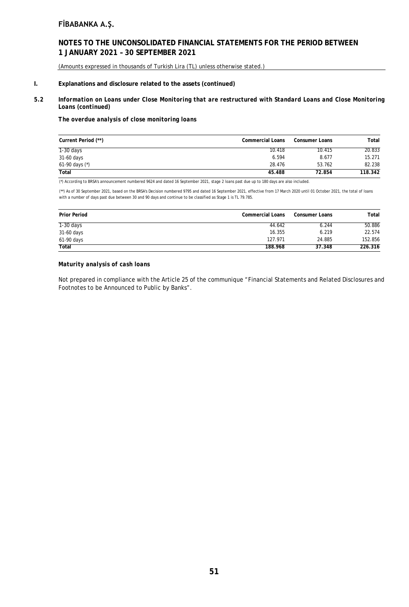### **NOTES TO THE UNCONSOLIDATED FINANCIAL STATEMENTS FOR THE PERIOD BETWEEN 1 JANUARY 2021 – 30 SEPTEMBER 2021**

(Amounts expressed in thousands of Turkish Lira (TL) unless otherwise stated.)

#### **I. Explanations and disclosure related to the assets (continued)**

#### *5.2 Information on Loans under Close Monitoring that are restructured with Standard Loans and Close Monitoring Loans (continued)*

*The overdue analysis of close monitoring loans*

| Current Period (**) | <b>Commercial Loans</b> | Consumer Loans | Total   |
|---------------------|-------------------------|----------------|---------|
| $1-30$ days         | 10.418                  | 10.415         | 20.833  |
| 31-60 days          | 6.594                   | 8.677          | 15.271  |
| 61-90 days $(*)$    | 28.476                  | 53.762         | 82.238  |
| Total               | 45.488                  | 72.854         | 118.342 |

(\*) According to BRSA's announcement numbered 9624 and dated 16 September 2021, stage 2 loans past due up to 180 days are also included.

(\*\*) As of 30 September 2021, based on the BRSA's Decision numbered 9795 and dated 16 September 2021, effective from 17 March 2020 until 01 October 2021, the total of loans with a number of days past due between 30 and 90 days and continue to be classified as Stage 1 is TL 79.785.

| <b>Prior Period</b> | <b>Commercial Loans</b> | <b>Consumer Loans</b> | Total   |
|---------------------|-------------------------|-----------------------|---------|
| $1-30$ days         | 44.642                  | 6.244                 | 50.886  |
| 31-60 days          | 16.355                  | 6.219                 | 22.574  |
| 61-90 days          | 127.971                 | 24.885                | 152.856 |
| <b>Total</b>        | 188.968                 | 37.348                | 226.316 |

#### *Maturity analysis of cash loans*

Not prepared in compliance with the Article 25 of the communique "Financial Statements and Related Disclosures and Footnotes to be Announced to Public by Banks".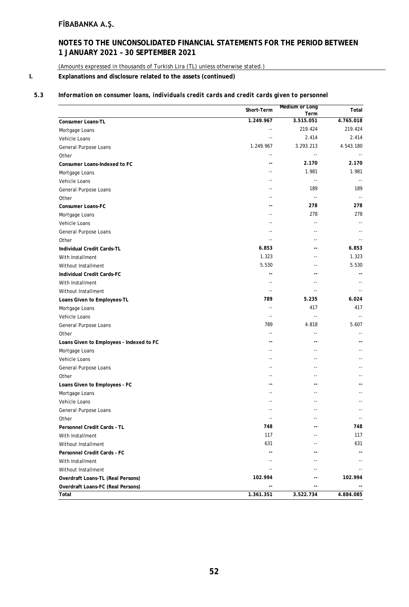# **NOTES TO THE UNCONSOLIDATED FINANCIAL STATEMENTS FOR THE PERIOD BETWEEN 1 JANUARY 2021 – 30 SEPTEMBER 2021**

(Amounts expressed in thousands of Turkish Lira (TL) unless otherwise stated.)

### **I. Explanations and disclosure related to the assets (continued)**

### *5.3 Information on consumer loans, individuals credit cards and credit cards given to personnel*

|                                            | Short-Term     | <b>Medium or Long</b>      | Total                    |
|--------------------------------------------|----------------|----------------------------|--------------------------|
|                                            | 1.249.967      | Term<br>3.515.051          | 4.765.018                |
| Consumer Loans-TL                          | --             | 219.424                    | 219.424                  |
| Mortgage Loans                             | $\overline{a}$ | 2.414                      | 2.414                    |
| Vehicle Loans                              | 1.249.967      |                            | 4.543.180                |
| General Purpose Loans                      |                | 3.293.213                  |                          |
| Other                                      | $-$            | $\overline{\phantom{a}}$   |                          |
| Consumer Loans-Indexed to FC               | --             | 2.170                      | 2.170                    |
| Mortgage Loans                             | ٠.             | 1.981                      | 1.981                    |
| Vehicle Loans                              | $-$            | $\sim$                     | $\overline{\phantom{a}}$ |
| General Purpose Loans                      | --             | 189                        | 189                      |
| Other                                      | --             | $\overline{\phantom{a}}$   | $\sim$ $-$               |
| Consumer Loans-FC                          | --             | 278                        | 278                      |
| Mortgage Loans                             | $-$            | 278                        | 278                      |
| Vehicle Loans                              | --             | $\sim$                     |                          |
| General Purpose Loans                      |                | $\overline{a}$             |                          |
| Other                                      | $-1$           | $\overline{a}$             |                          |
| Individual Credit Cards-TL                 | 6.853          | $-$                        | 6.853                    |
| With Installment                           | 1.323          | $\overline{\phantom{a}}$   | 1.323                    |
| Without Installment                        | 5.530          | $-$                        | 5.530                    |
| Individual Credit Cards-FC                 | $\overline{a}$ | $-$                        |                          |
| With Installment                           | --             | $-$                        |                          |
| Without Installment                        | $\sim$         | $\sim$                     |                          |
| Loans Given to Employees-TL                | 789            | 5.235                      | 6.024                    |
| Mortgage Loans                             |                | 417                        | 417                      |
| Vehicle Loans                              | $-$            | $\overline{\phantom{a}}$ . |                          |
| General Purpose Loans                      | 789            | 4.818                      | 5.607                    |
| Other                                      |                | --                         |                          |
| Loans Given to Employees - Indexed to FC   | --             | $\overline{\phantom{a}}$   | $-$                      |
| Mortgage Loans                             | $-$            | $-$                        |                          |
| Vehicle Loans                              | ٠.             | $\overline{a}$             |                          |
| General Purpose Loans                      | ٠.             | $\overline{\phantom{a}}$   |                          |
| Other                                      | --             | $\overline{\phantom{a}}$   | $-$                      |
| Loans Given to Employees - FC              | --             | $-$                        |                          |
| Mortgage Loans                             |                | $-$                        | $-$                      |
| Vehicle Loans                              |                |                            |                          |
| General Purpose Loans                      | $-$            | $\sim$                     |                          |
| Other                                      | $\sim$ $-$     | $-$                        | $\sim$ $\sim$            |
| Personnel Credit Cards - TL                | 748            |                            | 748                      |
| With Installment                           | 117            |                            | 117                      |
| Without Installment                        | 631            |                            | 631                      |
| Personnel Credit Cards - FC                |                |                            |                          |
| With Installment                           |                |                            |                          |
| Without Installment                        |                |                            |                          |
| Overdraft Loans-TL (Real Persons)          | 102.994        | --                         | 102.994                  |
|                                            |                | $\overline{a}$             |                          |
| Overdraft Loans-FC (Real Persons)<br>Total | 1.361.351      | 3.522.734                  | 4.884.085                |
|                                            |                |                            |                          |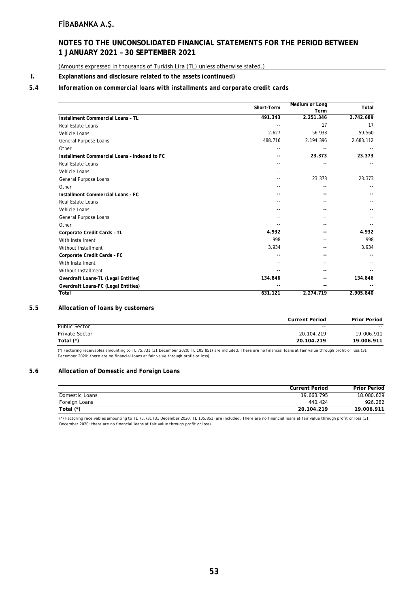## **NOTES TO THE UNCONSOLIDATED FINANCIAL STATEMENTS FOR THE PERIOD BETWEEN 1 JANUARY 2021 – 30 SEPTEMBER 2021**

(Amounts expressed in thousands of Turkish Lira (TL) unless otherwise stated.)

#### **I. Explanations and disclosure related to the assets (continued)**

### *5.4 Information on commercial loans with installments and corporate credit cards*

|                                              | Short-Term | Medium or Long<br>Term | Total     |
|----------------------------------------------|------------|------------------------|-----------|
| <b>Installment Commercial Loans - TL</b>     | 491.343    | 2.251.346              | 2.742.689 |
| Real Estate Loans                            |            | 17                     | 17        |
| Vehicle Loans                                | 2.627      | 56.933                 | 59.560    |
| General Purpose Loans                        | 488.716    | 2.194.396              | 2.683.112 |
| Other                                        | --         |                        |           |
| Installment Commercial Loans - Indexed to FC | $-$        | 23.373                 | 23.373    |
| <b>Real Estate Loans</b>                     | $-$        |                        |           |
| Vehicle Loans                                |            |                        |           |
| General Purpose Loans                        | --         | 23.373                 | 23.373    |
| Other                                        |            | --                     |           |
| Installment Commercial Loans - FC            |            |                        |           |
| <b>Real Estate Loans</b>                     |            |                        |           |
| Vehicle Loans                                |            |                        |           |
| General Purpose Loans                        |            |                        |           |
| Other                                        |            |                        |           |
| Corporate Credit Cards - TL                  | 4.932      |                        | 4.932     |
| With Installment                             | 998        |                        | 998       |
| Without Installment                          | 3.934      |                        | 3.934     |
| Corporate Credit Cards - FC                  | --         | --                     |           |
| With Installment                             | $-$        |                        |           |
| Without Installment                          |            |                        |           |
| Overdraft Loans-TL (Legal Entities)          | 134.846    |                        | 134.846   |
| Overdraft Loans-FC (Legal Entities)          |            |                        |           |
| Total                                        | 631.121    | 2.274.719              | 2.905.840 |

### *5.5 Allocation of loans by customers*

|                      | <b>Current Period</b> | <b>Prior Period</b> |
|----------------------|-----------------------|---------------------|
| <b>Public Sector</b> | $- -$                 | $- -$               |
| Private Sector       | 20.104.219            | 19.006.911          |
| Total $(*)$          | 20.104.219            | 19.006.911          |

(\*) Factoring receivables amounting to TL 75.731 (31 December 2020: TL 105.851) are included. There are no financial loans at fair value through profit or loss (31 December 2020: there are no financial loans at fair value through profit or loss).

### *5.6 Allocation of Domestic and Foreign Loans*

|                | <b>Current Period</b> | <b>Prior Period</b> |
|----------------|-----------------------|---------------------|
| Domestic Loans | 19.663.795            | 18.080.629          |
| Foreign Loans  | 440.424               | 926.282             |
| Total $(*)$    | 20.104.219            | 19.006.911          |

(\*) Factoring receivables amounting to TL 75.731 (31 December 2020: TL 105.851) are included. There are no financial loans at fair value through profit or loss (31 December 2020: there are no financial loans at fair value through profit or loss).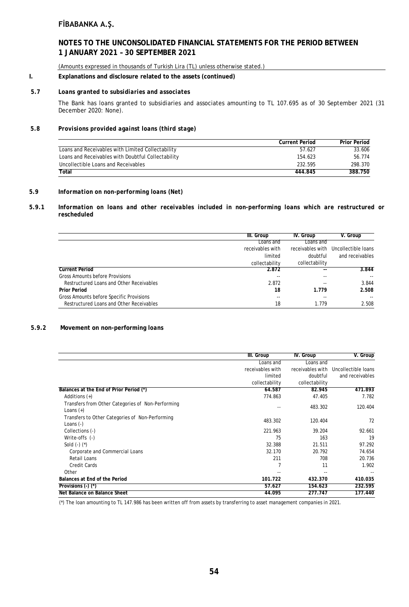### **NOTES TO THE UNCONSOLIDATED FINANCIAL STATEMENTS FOR THE PERIOD BETWEEN 1 JANUARY 2021 – 30 SEPTEMBER 2021**

(Amounts expressed in thousands of Turkish Lira (TL) unless otherwise stated.)

#### **I. Explanations and disclosure related to the assets (continued)**

#### *5.7 Loans granted to subsidiaries and associates*

The Bank has loans granted to subsidiaries and associates amounting to TL 107.695 as of 30 September 2021 (31 December 2020: None).

### *5.8 Provisions provided against loans (third stage)*

|                                                    | <b>Current Period</b> | <b>Prior Period</b> |
|----------------------------------------------------|-----------------------|---------------------|
| Loans and Receivables with Limited Collectability  | 57.627                | 33.606              |
| Loans and Receivables with Doubtful Collectability | 154.623               | 56.774              |
| Uncollectible Loans and Receivables                | 232.595               | 298.370             |
| Total                                              | 444.845               | 388.750             |

#### *5.9 Information on non-performing loans (Net)*

#### *5.9.1 Information on loans and other receivables included in non-performing loans which are restructured or rescheduled*

|                                          | III. Group       | IV. Group        | V. Group            |
|------------------------------------------|------------------|------------------|---------------------|
|                                          | Loans and        | Loans and        |                     |
|                                          | receivables with | receivables with | Uncollectible loans |
|                                          | limited          | doubtful         | and receivables     |
|                                          | collectability   | collectability   |                     |
| <b>Current Period</b>                    | 2.872            | --               | 3.844               |
| Gross Amounts before Provisions          | --               |                  |                     |
| Restructured Loans and Other Receivables | 2.872            |                  | 3.844               |
| <b>Prior Period</b>                      | 18               | 1.779            | 2.508               |
| Gross Amounts before Specific Provisions | $- -$            | --               | $- -$               |
| Restructured Loans and Other Receivables | 18               | 1.779            | 2.508               |

#### *5.9.2* **Movement on non-performing** *loans*

|                                                                  | III. Group       | IV. Group        | V. Group            |
|------------------------------------------------------------------|------------------|------------------|---------------------|
|                                                                  | Loans and        | Loans and        |                     |
|                                                                  | receivables with | receivables with | Uncollectible loans |
|                                                                  | limited          | doubtful         | and receivables     |
|                                                                  | collectability   | collectability   |                     |
| Balances at the End of Prior Period (*)                          | 64.587           | 82.945           | 471.893             |
| Additions $(+)$                                                  | 774.863          | 47.405           | 7.782               |
| Transfers from Other Categories of Non-Performing<br>Loans $(+)$ |                  | 483.302          | 120.404             |
| Transfers to Other Categories of Non-Performing<br>Loans $(-)$   | 483.302          | 120.404          | 72                  |
| Collections (-)                                                  | 221.963          | 39.204           | 92.661              |
| Write-offs (-)                                                   | 75               | 163              | 19                  |
| Sold $(-)$ $(*)$                                                 | 32.388           | 21.511           | 97.292              |
| Corporate and Commercial Loans                                   | 32.170           | 20.792           | 74.654              |
| Retail Loans                                                     | 211              | 708              | 20.736              |
| <b>Credit Cards</b>                                              |                  | 11               | 1.902               |
| Other                                                            |                  | --               |                     |
| Balances at End of the Period                                    | 101.722          | 432.370          | 410.035             |
| Provisions $($ - $)$ $($ <sup>*</sup> $)$                        | 57.627           | 154.623          | 232.595             |
| Net Balance on Balance Sheet                                     | 44.095           | 277.747          | 177.440             |

(\*) The loan amounting to TL 147.986 has been written off from assets by transferring to asset management companies in 2021.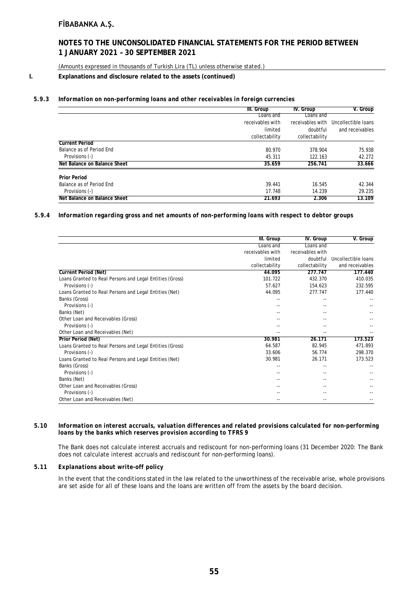### **NOTES TO THE UNCONSOLIDATED FINANCIAL STATEMENTS FOR THE PERIOD BETWEEN 1 JANUARY 2021 – 30 SEPTEMBER 2021**

(Amounts expressed in thousands of Turkish Lira (TL) unless otherwise stated.)

### **I. Explanations and disclosure related to the assets (continued)**

#### *5.9.3 Information on non-performing loans and other receivables in foreign currencies*

|                              | III. Group       | IV. Group        | V. Group            |
|------------------------------|------------------|------------------|---------------------|
|                              | Loans and        | Loans and        |                     |
|                              | receivables with | receivables with | Uncollectible loans |
|                              | limited          | doubtful         | and receivables     |
|                              | collectability   | collectability   |                     |
| <b>Current Period</b>        |                  |                  |                     |
| Balance as of Period End     | 80.970           | 378.904          | 75.938              |
| Provisions (-)               | 45.311           | 122.163          | 42.272              |
| Net Balance on Balance Sheet | 35.659           | 256.741          | 33.666              |
| <b>Prior Period</b>          |                  |                  |                     |
| Balance as of Period End     | 39.441           | 16.545           | 42.344              |
| Provisions (-)               | 17.748           | 14.239           | 29.235              |
| Net Balance on Balance Sheet | 21.693           | 2.306            | 13.109              |

#### *5.9.4 Information regarding gross and net amounts of non-performing loans with respect to debtor groups*

|                                                          | III. Group       | IV. Group        | V. Group            |
|----------------------------------------------------------|------------------|------------------|---------------------|
|                                                          | Loans and        | Loans and        |                     |
|                                                          | receivables with | receivables with |                     |
|                                                          | limited          | doubtful         | Uncollectible loans |
|                                                          | collectability   | collectability   | and receivables     |
| <b>Current Period (Net)</b>                              | 44.095           | 277.747          | 177.440             |
| Loans Granted to Real Persons and Legal Entities (Gross) | 101.722          | 432.370          | 410.035             |
| Provisions (-)                                           | 57.627           | 154.623          | 232.595             |
| Loans Granted to Real Persons and Legal Entities (Net)   | 44.095           | 277.747          | 177.440             |
| Banks (Gross)                                            |                  | --               |                     |
| Provisions (-)                                           |                  |                  |                     |
| Banks (Net)                                              |                  |                  |                     |
| Other Loan and Receivables (Gross)                       |                  |                  |                     |
| Provisions (-)                                           |                  |                  |                     |
| Other Loan and Receivables (Net)                         |                  |                  |                     |
| <b>Prior Period (Net)</b>                                | 30.981           | 26.171           | 173.523             |
| Loans Granted to Real Persons and Legal Entities (Gross) | 64.587           | 82.945           | 471.893             |
| Provisions (-)                                           | 33.606           | 56.774           | 298.370             |
| Loans Granted to Real Persons and Legal Entities (Net)   | 30.981           | 26.171           | 173.523             |
| Banks (Gross)                                            | ٠.               | --               |                     |
| Provisions (-)                                           |                  |                  |                     |
| Banks (Net)                                              |                  |                  |                     |
| Other Loan and Receivables (Gross)                       |                  |                  |                     |
| Provisions (-)                                           |                  |                  |                     |
| Other Loan and Receivables (Net)                         |                  |                  |                     |

#### *5.10 Information on interest accruals, valuation differences and related provisions calculated for non-performing loans by the banks which reserves provision according to TFRS 9*

The Bank does not calculate interest accruals and rediscount for non-performing loans (31 December 2020: The Bank does not calculate interest accruals and rediscount for non-performing loans).

#### *5.11 Explanations about write-off policy*

In the event that the conditions stated in the law related to the unworthiness of the receivable arise, whole provisions are set aside for all of these loans and the loans are written off from the assets by the board decision.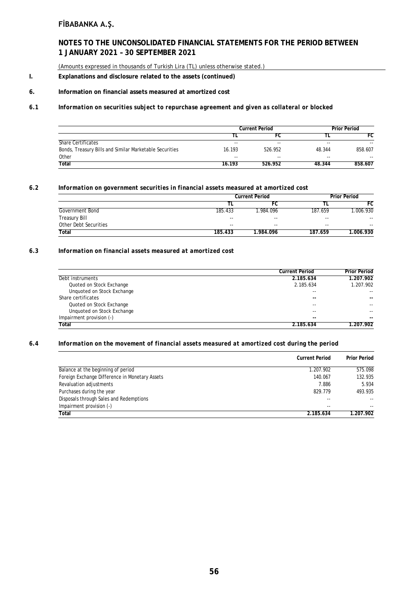# **NOTES TO THE UNCONSOLIDATED FINANCIAL STATEMENTS FOR THE PERIOD BETWEEN 1 JANUARY 2021 – 30 SEPTEMBER 2021**

(Amounts expressed in thousands of Turkish Lira (TL) unless otherwise stated.)

### **I. Explanations and disclosure related to the assets (continued)**

#### **6. Information on financial assets measured at amortized cost**

### *6.1 Information on securities subject to repurchase agreement and given as collateral or blocked*

|                                                         | <b>Current Period</b> |               | <b>Prior Period</b> |         |
|---------------------------------------------------------|-----------------------|---------------|---------------------|---------|
|                                                         |                       | FC            |                     | FC      |
| <b>Share Certificates</b>                               | $- -$                 | $- -$         | $-$                 | $- -$   |
| Bonds, Treasury Bills and Similar Marketable Securities | 16.193                | 526.952       | 48.344              | 858.607 |
| Other                                                   | $-$                   | $\sim$ $\sim$ | $-$                 | $-$     |
| Total                                                   | 16.193                | 526.952       | 48.344              | 858.607 |

#### *6.2 Information on government securities in financial assets measured at amortized cost*

|                       |         | <b>Current Period</b>    |         | Prior Period |  |
|-----------------------|---------|--------------------------|---------|--------------|--|
|                       |         | FC                       |         | FC           |  |
| Government Bond       | 185.433 | .984.096                 | 187.659 | 006.930      |  |
| Treasury Bill         | $- -$   | $\overline{\phantom{a}}$ | $- -$   | $- -$        |  |
| Other Debt Securities | $- -$   | $- -$                    | $- -$   | --           |  |
| Total                 | 185.433 | 1.984.096                | 187.659 | 1.006.930    |  |

### *6.3 Information on financial assets measured at amortized cost*

|                            | <b>Current Period</b> | <b>Prior Period</b> |
|----------------------------|-----------------------|---------------------|
| Debt instruments           | 2.185.634             | 1.207.902           |
| Quoted on Stock Exchange   | 2.185.634             | 1.207.902           |
| Unquoted on Stock Exchange | $ -$                  | $- -$               |
| Share certificates         | $- -$                 | --                  |
| Quoted on Stock Exchange   | $ -$                  | $- -$               |
| Unquoted on Stock Exchange | $ -$                  | --                  |
| Impairment provision (-)   | $- -$                 | --                  |
| <b>Total</b>               | 2.185.634             | 1.207.902           |

#### *6.4 Information on the movement of financial assets measured at amortized cost during the period*

|                                                | <b>Current Period</b> | <b>Prior Period</b>      |
|------------------------------------------------|-----------------------|--------------------------|
| Balance at the beginning of period             | 1.207.902             | 575.098                  |
| Foreign Exchange Difference in Monetary Assets | 140.067               | 132.935                  |
| Revaluation adjustments                        | 7.886                 | 5.934                    |
| Purchases during the year                      | 829.779               | 493.935                  |
| Disposals through Sales and Redemptions        | --                    | $\overline{\phantom{a}}$ |
| Impairment provision (-)                       | --                    | $- -$                    |
| Total                                          | 2.185.634             | 1.207.902                |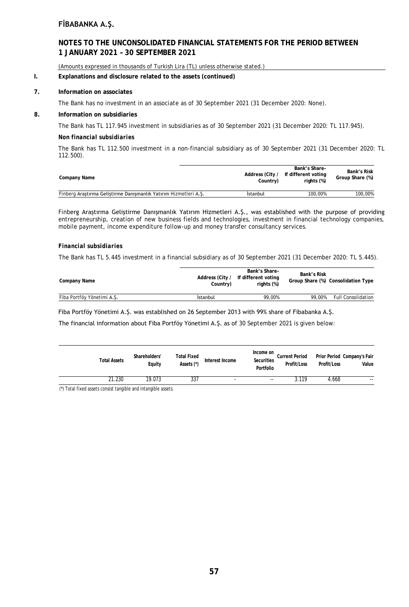### **NOTES TO THE UNCONSOLIDATED FINANCIAL STATEMENTS FOR THE PERIOD BETWEEN 1 JANUARY 2021 – 30 SEPTEMBER 2021**

(Amounts expressed in thousands of Turkish Lira (TL) unless otherwise stated.)

#### **I. Explanations and disclosure related to the assets (continued)**

#### **7. Information on associates**

The Bank has no investment in an associate as of 30 September 2021 (31 December 2020: None).

### **8. Information on subsidiaries**

The Bank has TL 117.945 investment in subsidiaries as of 30 September 2021 (31 December 2020: TL 117.945).

#### *Non financial subsidiaries*

The Bank has TL 112.500 investment in a non-financial subsidiary as of 30 September 2021 (31 December 2020: TL 112.500).

| Company Name                                                     | Address (City /<br>Country) | Bank's Share-<br>If different voting<br>rights (%) | Bank's Risk<br>Group Share (%) |
|------------------------------------------------------------------|-----------------------------|----------------------------------------------------|--------------------------------|
| Finberg Araştırma Geliştirme Danışmanlık Yatırım Hizmetleri A.Ş. | Istanbul                    | 100.00%                                            | 100,00%                        |

Finberg Araştırma Geliştirme Danışmanlık Yatırım Hizmetleri A.Ş., was established with the purpose of providing entrepreneurship, creation of new business fields and technologies, investment in financial technology companies, mobile payment, income expenditure follow-up and money transfer consultancy services.

#### *Financial subsidiaries*

The Bank has TL 5.445 investment in a financial subsidiary as of 30 September 2021 (31 December 2020: TL 5.445).

| Company Name               | Address (City /<br>Country) | Bank's Share-<br>If different voting<br>rights (%) | Bank's Risk | Group Share (%) Consolidation Type |
|----------------------------|-----------------------------|----------------------------------------------------|-------------|------------------------------------|
| Fiba Portföy Yönetimi A.S. | Istanbul                    | 99.00%                                             | 99.00%      | <b>Full Consolidation</b>          |

Fiba Portföy Yönetimi A.Ş. was established on 26 September 2013 with 99% share of Fibabanka A.Ş.

The financial information about Fiba Portföy Yönetimi A.Ş. as of 30 September 2021 is given below:

| <b>Total Assets</b> | Shareholders'<br>Equity | Total Fixed<br>Assets (*) | Interest Income          | Income on<br>Securities<br>Portfolio | <b>Current Period</b><br>Profit/Loss | Profit/Loss | Prior Period Company's Fair<br>Value |
|---------------------|-------------------------|---------------------------|--------------------------|--------------------------------------|--------------------------------------|-------------|--------------------------------------|
| 21.230              | 19.073                  | 337                       | $\overline{\phantom{a}}$ | --                                   | 3.119                                | 4.668       | $- -$                                |

(\*) Total fixed assets consist tangible and intangible assets.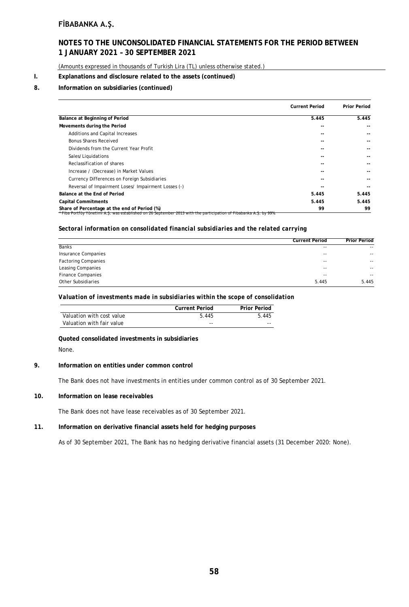### **NOTES TO THE UNCONSOLIDATED FINANCIAL STATEMENTS FOR THE PERIOD BETWEEN 1 JANUARY 2021 – 30 SEPTEMBER 2021**

(Amounts expressed in thousands of Turkish Lira (TL) unless otherwise stated.)

#### **I. Explanations and disclosure related to the assets (continued)**

### **8. Information on subsidiaries (continued)**

|                                                                                                                                                                    | <b>Current Period</b> | <b>Prior Period</b> |
|--------------------------------------------------------------------------------------------------------------------------------------------------------------------|-----------------------|---------------------|
| Balance at Beginning of Period                                                                                                                                     | 5.445                 | 5.445               |
| Movements during the Period                                                                                                                                        |                       |                     |
| Additions and Capital Increases                                                                                                                                    |                       |                     |
| Bonus Shares Received                                                                                                                                              |                       |                     |
| Dividends from the Current Year Profit                                                                                                                             |                       |                     |
| Sales/Liquidations                                                                                                                                                 |                       |                     |
| Reclassification of shares                                                                                                                                         |                       |                     |
| Increase / (Decrease) in Market Values                                                                                                                             |                       |                     |
| Currency Differences on Foreign Subsidiaries                                                                                                                       |                       |                     |
| Reversal of Impairment Loses/ Impairment Losses (-)                                                                                                                |                       |                     |
| Balance at the End of Period                                                                                                                                       | 5.445                 | 5.445               |
| Capital Commitments                                                                                                                                                | 5.445                 | 5.445               |
| Share of Percentage at the end of Period (%)<br>* Fiba Portföy Yönetimi A.S. was established on 26 September 2013 with the participation of Fibabanka A.S. by 99%. | 99                    | 99                  |

### *Sectoral information on consolidated financial subsidiaries and the related carrying*

|                            | <b>Current Period</b> | <b>Prior Period</b> |
|----------------------------|-----------------------|---------------------|
| <b>Banks</b>               | $- -$                 | $- -$               |
| Insurance Companies        | $- -$                 | $- -$               |
| <b>Factoring Companies</b> | $- -$                 | $- -$               |
| Leasing Companies          | $- -$                 | $- -$               |
| <b>Finance Companies</b>   | $- -$                 | $- -$               |
| Other Subsidiaries         | 5.445                 | 5.445               |

#### *Valuation of investments made in subsidiaries within the scope of consolidation*

|                           | <b>Current Period</b> | <b>Prior Period</b> |
|---------------------------|-----------------------|---------------------|
| Valuation with cost value | 5.445                 | 5.445               |
| Valuation with fair value | $- -$                 | $- -$               |

### **Quoted consolidated investments in subsidiaries**

None.

#### **9. Information on entities under common control**

The Bank does not have investments in entities under common control as of 30 September 2021.

#### **10. Information on lease receivables**

The Bank does not have lease receivables as of 30 September 2021.

#### **11. Information on derivative financial assets held for hedging purposes**

As of 30 September 2021, The Bank has no hedging derivative financial assets (31 December 2020: None).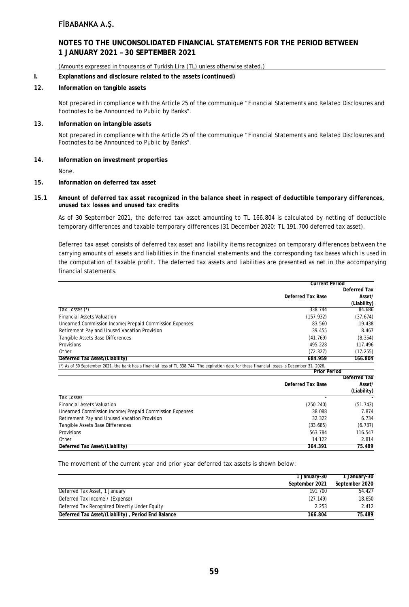### **NOTES TO THE UNCONSOLIDATED FINANCIAL STATEMENTS FOR THE PERIOD BETWEEN 1 JANUARY 2021 – 30 SEPTEMBER 2021**

(Amounts expressed in thousands of Turkish Lira (TL) unless otherwise stated.)

#### **I. Explanations and disclosure related to the assets (continued)**

### **12. Information on tangible assets**

Not prepared in compliance with the Article 25 of the communique "Financial Statements and Related Disclosures and Footnotes to be Announced to Public by Banks".

#### **13. Information on intangible assets**

Not prepared in compliance with the Article 25 of the communique "Financial Statements and Related Disclosures and Footnotes to be Announced to Public by Banks".

#### **14. Information on investment properties**

None.

#### **15. Information on deferred tax asset**

#### *15.1 Amount of deferred tax asset recognized in the balance sheet in respect of deductible temporary differences, unused tax losses and unused tax credits*

As of 30 September 2021, the deferred tax asset amounting to TL 166.804 is calculated by netting of deductible temporary differences and taxable temporary differences (31 December 2020: TL 191.700 deferred tax asset).

Deferred tax asset consists of deferred tax asset and liability items recognized on temporary differences between the carrying amounts of assets and liabilities in the financial statements and the corresponding tax bases which is used in the computation of taxable profit. The deferred tax assets and liabilities are presented as net in the accompanying financial statements.

|                                                                                                                                                | <b>Current Period</b>    |                     |
|------------------------------------------------------------------------------------------------------------------------------------------------|--------------------------|---------------------|
|                                                                                                                                                |                          | <b>Deferred Tax</b> |
|                                                                                                                                                | <b>Deferred Tax Base</b> | Asset/              |
|                                                                                                                                                |                          | (Liability)         |
| Tax Losses (*)                                                                                                                                 | 338.744                  | 84.686              |
| <b>Financial Assets Valuation</b>                                                                                                              | (157.932)                | (37.674)            |
| Unearned Commission Income/Prepaid Commission Expenses                                                                                         | 83.560                   | 19.438              |
| Retirement Pay and Unused Vacation Provision                                                                                                   | 39.455                   | 8.467               |
| Tangible Assets Base Differences                                                                                                               | (41.769)                 | (8.354)             |
| <b>Provisions</b>                                                                                                                              | 495.228                  | 117.496             |
| Other                                                                                                                                          | (72.327)                 | (17.255)            |
| Deferred Tax Asset/(Liability)                                                                                                                 | 684.959                  | 166.804             |
| (*) As of 30 September 2021, the bank has a financial loss of TL 338.744. The expiration date for these financial losses is December 31, 2026. |                          |                     |
|                                                                                                                                                | <b>Prior Period</b>      |                     |

|                                                        |                          | Deferred Tax |
|--------------------------------------------------------|--------------------------|--------------|
|                                                        | <b>Deferred Tax Base</b> | Asset/       |
|                                                        |                          | (Liability)  |
| <b>Tax Losses</b>                                      |                          |              |
| <b>Financial Assets Valuation</b>                      | (250.240)                | (51.743)     |
| Unearned Commission Income/Prepaid Commission Expenses | 38.088                   | 7.874        |
| Retirement Pay and Unused Vacation Provision           | 32.322                   | 6.734        |
| Tangible Assets Base Differences                       | (33.685)                 | (6.737)      |
| <b>Provisions</b>                                      | 563.784                  | 116.547      |
| Other                                                  | 14.122                   | 2.814        |
| Deferred Tax Asset/(Liability)                         | 364.391                  | 75.489       |

The movement of the current year and prior year deferred tax assets is shown below:

|                                                    | 1 January-30   | 1 January-30   |  |
|----------------------------------------------------|----------------|----------------|--|
|                                                    | September 2021 | September 2020 |  |
| Deferred Tax Asset, 1 January                      | 191.700        | 54.427         |  |
| Deferred Tax Income / (Expense)                    | (27.149)       | 18.650         |  |
| Deferred Tax Recognized Directly Under Equity      | 2.253          | 2.412          |  |
| Deferred Tax Asset/(Liability), Period End Balance | 166.804        | 75.489         |  |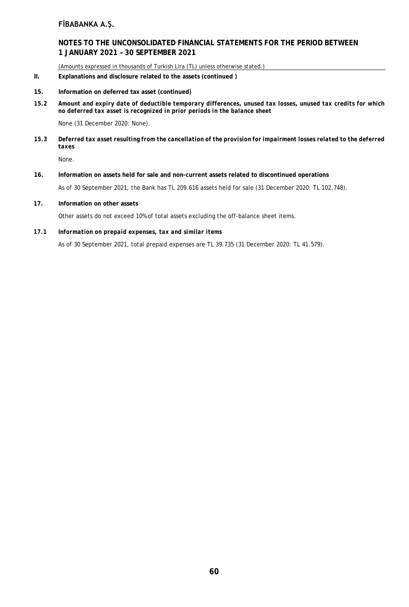### **NOTES TO THE UNCONSOLIDATED FINANCIAL STATEMENTS FOR THE PERIOD BETWEEN 1 JANUARY 2021 – 30 SEPTEMBER 2021**

(Amounts expressed in thousands of Turkish Lira (TL) unless otherwise stated.)

- **II. Explanations and disclosure related to the assets (continued )**
- **15. Information on deferred tax asset (continued)**
- *15.2 Amount and expiry date of deductible temporary differences, unused tax losses, unused tax credits for which no deferred tax asset is recognized in prior periods in the balance sheet*

None (31 December 2020: None).

*15.3 Deferred tax asset resulting from the cancellation of the provision for impairment losses related to the deferred taxes*

None.

**16. Information on assets held for sale and non-current assets related to discontinued operations**

As of 30 September 2021, the Bank has TL 209.616 assets held for sale (31 December 2020: TL 102.748).

**17. Information on other assets**

Other assets do not exceed 10% of total assets excluding the off-balance sheet items.

*17.1 Information on prepaid expenses, tax and similar items*

As of 30 September 2021, total prepaid expenses are TL 39.735 (31 December 2020: TL 41.579).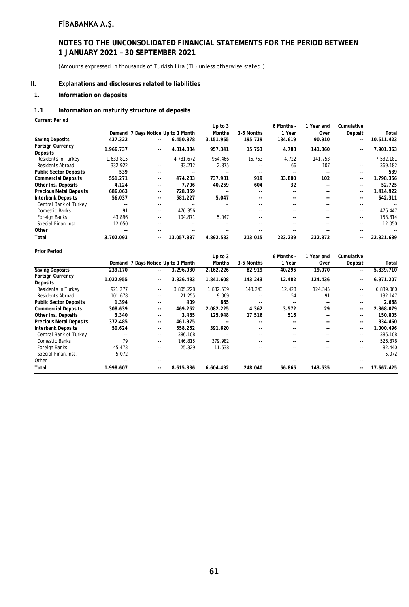### **NOTES TO THE UNCONSOLIDATED FINANCIAL STATEMENTS FOR THE PERIOD BETWEEN 1 JANUARY 2021 – 30 SEPTEMBER 2021**

(Amounts expressed in thousands of Turkish Lira (TL) unless otherwise stated.)

### **II. Explanations and disclosures related to liabilities**

### **1. Information on deposits**

### *1.1* **Information on maturity structure of deposits**

**Current Period**

|                                            |                |                                    |               | Up to 3       |            | 6 Months - | ∣Year and     | Cumulative |            |
|--------------------------------------------|----------------|------------------------------------|---------------|---------------|------------|------------|---------------|------------|------------|
|                                            |                | Demand 7 Days Notice Up to 1 Month |               | <b>Months</b> | 3-6 Months | 1 Year     | Over          | Deposit    | Total      |
| <b>Saving Deposits</b>                     | 437.322        | $\sim$ $\sim$                      | 6.450.878     | 3.151.955     | 195.739    | 184.619    | 90.910        | --         | 10.511.423 |
| <b>Foreign Currency</b><br><b>Deposits</b> | 1.966.737      | $\sim$ $\sim$                      | 4.814.884     | 957.341       | 15.753     | 4.788      | 141.860       | $-1$       | 7.901.363  |
| <b>Residents in Turkey</b>                 | 1.633.815      | $\sim$ $\sim$                      | 4.781.672     | 954.466       | 15.753     | 4.722      | 141.753       | $- -$      | 7.532.181  |
| <b>Residents Abroad</b>                    | 332.922        | $- -$                              | 33.212        | 2.875         | $-$        | 66         | 107           | $- -$      | 369.182    |
| <b>Public Sector Deposits</b>              | 539            | $\sim$ $\sim$                      | $\sim$ $\sim$ | $-$           | $- -$      | $- -$      | $\sim$ $\sim$ | $- -$      | 539        |
| <b>Commercial Deposits</b>                 | 551.271        | $\sim$ $\sim$                      | 474.283       | 737.981       | 919        | 33.800     | 102           | $-1$       | 1.798.356  |
| Other Ins. Deposits                        | 4.124          | $\sim$ $\sim$                      | 7.706         | 40.259        | 604        | 32         | --            | $-1$       | 52.725     |
| <b>Precious Metal Deposits</b>             | 686.063        | $\sim$ $\sim$                      | 728.859       |               | --         | --         | --            | $-1$       | 1.414.922  |
| <b>Interbank Deposits</b>                  | 56.037         | $\sim$ $\sim$                      | 581.227       | 5.047         | --         | --         | --            | $- -$      | 642.311    |
| Central Bank of Turkey                     | $- -$          | $\sim$ $\sim$                      |               |               | --         | $-1$       | $- -$         | $- -$      |            |
| Domestic Banks                             | 91             | $- -$                              | 476.356       |               | --         | $-1$       | $- -$         | $- -$      | 476.447    |
| Foreign Banks                              | 43.896         | $- -$                              | 104.871       | 5.047         | --         | $-1$       | $- -$         | $- -$      | 153.814    |
| Special Finan.Inst.                        | 12.050         |                                    | $-1$          |               |            | $-$        |               | $- -$      | 12.050     |
| Other                                      | $\overline{a}$ |                                    |               |               | --         | --         |               | $- -$      |            |
| Total                                      | 3.702.093      | $\sim$ $\sim$                      | 13.057.837    | 4.892.583     | 213.015    | 223.239    | 232.872       | $-1$       | 22.321.639 |

#### **Prior Period**

| <b>Prior Period</b>            |           |                                    |           | Up to 3       |            | 6 Months - | 1 Year and    | Cumulative    |               |
|--------------------------------|-----------|------------------------------------|-----------|---------------|------------|------------|---------------|---------------|---------------|
|                                |           | Demand 7 Days Notice Up to 1 Month |           | <b>Months</b> | 3-6 Months | 1 Year     | Over          | Deposit       | Total         |
| <b>Saving Deposits</b>         | 239.170   | $-1$                               | 3.296.030 | 2.162.226     | 82.919     | 40.295     | 19.070        | --            | 5.839.710     |
| Foreign Currency<br>Deposits   | 1.022.955 | $\sim$ $\sim$                      | 3.826.483 | 1.841.608     | 143.243    | 12.482     | 124.436       | $\sim$ $\sim$ | 6.971.207     |
| <b>Residents in Turkey</b>     | 921.277   | $\sim$ $\sim$                      | 3.805.228 | 1.832.539     | 143.243    | 12.428     | 124.345       | $-$           | 6.839.060     |
| <b>Residents Abroad</b>        | 101.678   | $- -$                              | 21.255    | 9.069         | $- -$      | 54         | 91            | $- -$         | 132.147       |
| <b>Public Sector Deposits</b>  | 1.394     | --                                 | 409       | 865           |            |            | $-$           | $-1$          | 2.668         |
| <b>Commercial Deposits</b>     | 308.639   | $- -$                              | 469.252   | 2.082.225     | 4.362      | 3.572      | 29            | $-1$          | 2.868.079     |
| Other Ins. Deposits            | 3.340     | --                                 | 3.485     | 125.948       | 17.516     | 516        | $-$           | $-1$          | 150.805       |
| <b>Precious Metal Deposits</b> | 372.485   | $- -$                              | 461.975   |               | --         | --         | $- -$         | $- -$         | 834.460       |
| <b>Interbank Deposits</b>      | 50.624    | $- -$                              | 558.252   | 391.620       | --         | --         | $\sim$ $\sim$ | $-1$          | 1.000.496     |
| Central Bank of Turkey         |           | $- -$                              | 386.108   |               | $-$        | $-$        | $-$           | $-$           | 386.108       |
| Domestic Banks                 | 79        | $- -$                              | 146.815   | 379.982       |            | $-$        | $-$           | $-$           | 526.876       |
| Foreign Banks                  | 45.473    | $- -$                              | 25.329    | 11.638        | $-$        | $-$        | $-$           | $- -$         | 82.440        |
| Special Finan.Inst.            | 5.072     | --                                 |           |               | $- -$      | --         | $- -$         | $- -$         | 5.072         |
| Other                          | $- -$     | $- -$                              | $\cdots$  | $- -$         | $- -$      | --         | $- -$         | $- -$         | $\frac{1}{2}$ |
| Total                          | 1.998.607 | $-1$                               | 8.615.886 | 6.604.492     | 248.040    | 56.865     | 143.535       | $-1$          | 17.667.425    |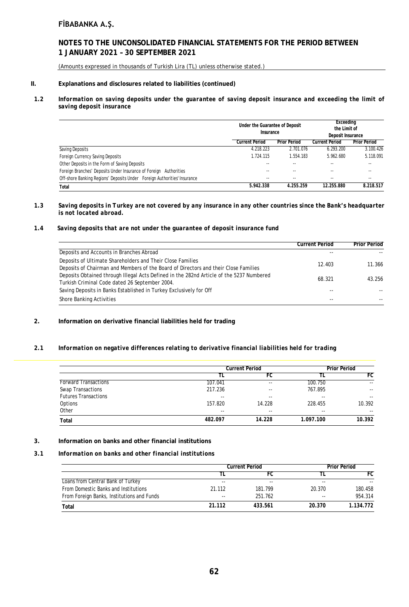### **NOTES TO THE UNCONSOLIDATED FINANCIAL STATEMENTS FOR THE PERIOD BETWEEN 1 JANUARY 2021 – 30 SEPTEMBER 2021**

(Amounts expressed in thousands of Turkish Lira (TL) unless otherwise stated.)

### **II. Explanations and disclosures related to liabilities (continued)**

#### *1.2 Information on saving deposits under the guarantee of saving deposit insurance and exceeding the limit of saving deposit insurance*

|                                                                          | Under the Guarantee of Deposit<br>Insurance |                     | Exceeding<br>the Limit of<br>Deposit Insurance |                     |
|--------------------------------------------------------------------------|---------------------------------------------|---------------------|------------------------------------------------|---------------------|
|                                                                          | <b>Current Period</b>                       | <b>Prior Period</b> | <b>Current Period</b>                          | <b>Prior Period</b> |
| Saving Deposits                                                          | 4.218.223                                   | 2.701.076           | 6.293.200                                      | 3.100.426           |
| Foreign Currency Saving Deposits                                         | 1.724.115                                   | 1.554.183           | 5.962.680                                      | 5.118.091           |
| Other Deposits in the Form of Saving Deposits                            |                                             |                     |                                                |                     |
| Foreign Branches' Deposits Under Insurance of Foreign Authorities        |                                             | $-$                 | --                                             | --                  |
| Off-shore Banking Regions' Deposits Under Foreign Authorities' Insurance |                                             | $- -$               | $-$                                            | $- -$               |
| Total                                                                    | 5.942.338                                   | 4.255.259           | 12.255.880                                     | 8.218.517           |

#### *1.3 Saving deposits in Turkey are not covered by any insurance in any other countries since the Bank's headquarter is not located abroad.*

#### *1.4 Saving deposits that are not under the guarantee of deposit insurance fund*

|                                                                                                                                                   | <b>Current Period</b> | <b>Prior Period</b> |
|---------------------------------------------------------------------------------------------------------------------------------------------------|-----------------------|---------------------|
| Deposits and Accounts in Branches Abroad                                                                                                          |                       |                     |
| Deposits of Ultimate Shareholders and Their Close Families<br>Deposits of Chairman and Members of the Board of Directors and their Close Families | 12.403                | 11.366              |
| Deposits Obtained through Illegal Acts Defined in the 282nd Article of the 5237 Numbered<br>Turkish Criminal Code dated 26 September 2004.        | 68.321                | 43.256              |
| Saving Deposits in Banks Established in Turkey Exclusively for Off                                                                                | $- -$                 |                     |
| Shore Banking Activities                                                                                                                          | $- -$                 |                     |

### **2. Information on derivative financial liabilities held for trading**

#### *2.1 Information on negative differences relating to derivative financial liabilities held for trading*

|                             |         | <b>Current Period</b> |           |                          |
|-----------------------------|---------|-----------------------|-----------|--------------------------|
|                             |         | FC                    |           | FC                       |
| <b>Forward Transactions</b> | 107.041 | $- -$                 | 100.750   | $- -$                    |
| <b>Swap Transactions</b>    | 217.236 | --                    | 767.895   | --                       |
| <b>Futures Transactions</b> | $- -$   | $- -$                 | $- -$     | $\overline{\phantom{m}}$ |
| Options                     | 157.820 | 14.228                | 228.455   | 10.392                   |
| Other                       | $- -$   | $- -$                 | $- -$     | $- -$                    |
| Total                       | 482.097 | 14.228                | 1.097.100 | 10.392                   |

### **3. Information on banks and other financial institutions**

#### *3.1 Information on banks and other financial institutions*

|                                            | <b>Current Period</b> |         | <b>Prior Period</b> |           |
|--------------------------------------------|-----------------------|---------|---------------------|-----------|
|                                            |                       |         |                     | FC.       |
| Loans from Central Bank of Turkey          | $- -$                 | $- -$   | $-$                 |           |
| From Domestic Banks and Institutions       | 21.112                | 181.799 | 20.370              | 180.458   |
| From Foreign Banks, Institutions and Funds | $\sim$                | 251.762 | $-$                 | 954.314   |
| Total                                      | 21.112                | 433.561 | 20.370              | 1.134.772 |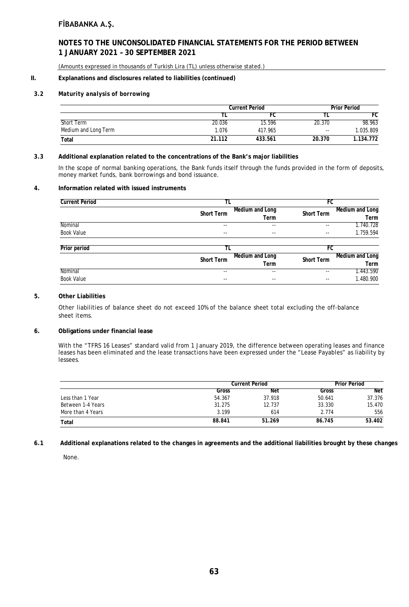### **NOTES TO THE UNCONSOLIDATED FINANCIAL STATEMENTS FOR THE PERIOD BETWEEN 1 JANUARY 2021 – 30 SEPTEMBER 2021**

(Amounts expressed in thousands of Turkish Lira (TL) unless otherwise stated.)

### **II. Explanations and disclosures related to liabilities (continued)**

### *3.2 Maturity analysis of borrowing*

|                      |        | <b>Current Period</b> |               |           |
|----------------------|--------|-----------------------|---------------|-----------|
|                      |        | FU.                   |               | FC        |
| Short Term           | 20.036 | 15.596                | 20.370        | 98.963    |
| Medium and Long Term | 1.076  | 417.965               | $\sim$ $\sim$ | 1.035.809 |
| Total                | 21.112 | 433.561               | 20.370        | 1.134.772 |

### *3.3* **Additional explanation related to the concentrations of the Bank's major liabilities**

In the scope of normal banking operations, the Bank funds itself through the funds provided in the form of deposits, money market funds, bank borrowings and bond issuance.

#### **4. Information related with issued instruments**

| <b>Current Period</b> |                   |                         | FC                       |                         |
|-----------------------|-------------------|-------------------------|--------------------------|-------------------------|
|                       | Short Term        | Medium and Long<br>Term | Short Term               | Medium and Long<br>Term |
| Nominal               | $-$               | --                      | $-$                      | 1.740.728               |
| Book Value            | $- -$             | --                      | $\overline{\phantom{a}}$ | 1.759.594               |
| Prior period          | TL                |                         | FC                       |                         |
|                       | <b>Short Term</b> | Medium and Long         | Short Term               | Medium and Long         |
|                       |                   | Term                    |                          | Term                    |
| Nominal               | --                | --                      | --                       | 1.443.590               |
| <b>Book Value</b>     | $- -$             | --                      | $- -$                    | 1.480.900               |

#### **5. Other Liabilities**

Other liabilities of balance sheet do not exceed 10% of the balance sheet total excluding the off-balance sheet items.

#### **6. Obligations under financial lease**

With the "TFRS 16 Leases" standard valid from 1 January 2019, the difference between operating leases and finance leases has been eliminated and the lease transactions have been expressed under the "Lease Payables" as liability by lessees.

|                   | <b>Current Period</b> |        | <b>Prior Period</b> |            |
|-------------------|-----------------------|--------|---------------------|------------|
|                   | Gross                 | Net    | Gross               | <b>Net</b> |
| Less than 1 Year  | 54.367                | 37.918 | 50.641              | 37.376     |
| Between 1-4 Years | 31.275                | 12.737 | 33.330              | 15.470     |
| More than 4 Years | 3.199                 | 614    | 2.774               | 556        |
| Total             | 88.841                | 51.269 | 86.745              | 53.402     |

**6.1 Additional explanations related to the changes in agreements and the additional liabilities brought by these changes**

None.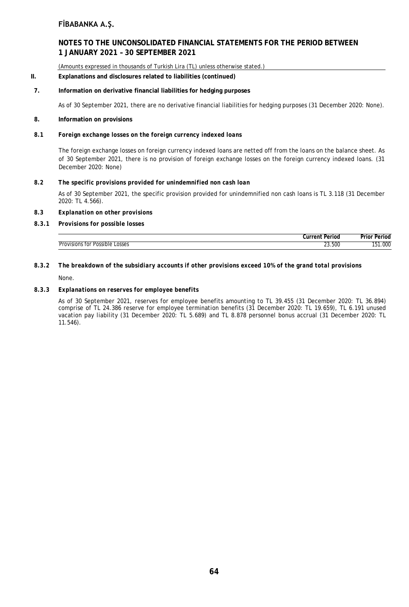### **NOTES TO THE UNCONSOLIDATED FINANCIAL STATEMENTS FOR THE PERIOD BETWEEN 1 JANUARY 2021 – 30 SEPTEMBER 2021**

(Amounts expressed in thousands of Turkish Lira (TL) unless otherwise stated.)

#### **II. Explanations and disclosures related to liabilities (continued)**

#### **7. Information on derivative financial liabilities for hedging purposes**

As of 30 September 2021, there are no derivative financial liabilities for hedging purposes (31 December 2020: None).

#### **8. Information on provisions**

#### *8.1 Foreign exchange losses on the foreign currency indexed loans*

The foreign exchange losses on foreign currency indexed loans are netted off from the loans on the balance sheet. As of 30 September 2021, there is no provision of foreign exchange losses on the foreign currency indexed loans. (31 December 2020: None)

#### *8.2 The specific provisions provided for unindemnified non cash loan*

As of 30 September 2021, the specific provision provided for unindemnified non cash loans is TL 3.118 (31 December 2020: TL 4.566).

#### *8.3 Explanation on other provisions*

#### *8.3.1 Provisions for possible losses*

|                                                               | ∴urren†<br>Period     | $\cdots$<br>. 100<br>יטו ז |
|---------------------------------------------------------------|-----------------------|----------------------------|
| tor<br>Provision<br>.osses<br>Possible.<br>$\mathbf{L}$<br>__ | 23.500<br>$\sim$<br>. | .000                       |

# *8.3.2 The breakdown of the subsidiary accounts if other provisions exceed 10% of the grand total provisions*

None.

### *8.3.3 Explanations on reserves for employee benefits*

As of 30 September 2021, reserves for employee benefits amounting to TL 39.455 (31 December 2020: TL 36.894) comprise of TL 24.386 reserve for employee termination benefits (31 December 2020: TL 19.659), TL 6.191 unused vacation pay liability (31 December 2020: TL 5.689) and TL 8.878 personnel bonus accrual (31 December 2020: TL 11.546).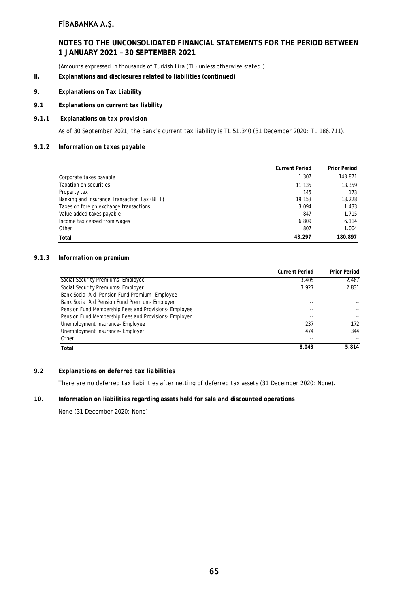### **NOTES TO THE UNCONSOLIDATED FINANCIAL STATEMENTS FOR THE PERIOD BETWEEN 1 JANUARY 2021 – 30 SEPTEMBER 2021**

(Amounts expressed in thousands of Turkish Lira (TL) unless otherwise stated.)

### **II. Explanations and disclosures related to liabilities (continued)**

### **9. Explanations on Tax Liability**

### *9.1* **Explanations on current tax liability**

### *9.1.1* **Explanations on** *tax provision*

As of 30 September 2021, the Bank's current tax liability is TL 51.340 (31 December 2020: TL 186.711).

#### *9.1.2 Information on taxes payable*

|                                              | <b>Current Period</b> | <b>Prior Period</b> |
|----------------------------------------------|-----------------------|---------------------|
| Corporate taxes payable                      | 1.307                 | 143.871             |
| Taxation on securities                       | 11.135                | 13.359              |
| Property tax                                 | 145                   | 173                 |
| Banking and Insurance Transaction Tax (BITT) | 19.153                | 13.228              |
| Taxes on foreign exchange transactions       | 3.094                 | 1.433               |
| Value added taxes payable                    | 847                   | 1.715               |
| Income tax ceased from wages                 | 6.809                 | 6.114               |
| Other                                        | 807                   | 1.004               |
| Total                                        | 43.297                | 180.897             |

#### *9.1.3 Information on premium*

|                                                       | <b>Current Period</b> | <b>Prior Period</b> |
|-------------------------------------------------------|-----------------------|---------------------|
| Social Security Premiums- Employee                    | 3.405                 | 2.467               |
| Social Security Premiums- Employer                    | 3.927                 | 2.831               |
| Bank Social Aid Pension Fund Premium- Employee        |                       |                     |
| Bank Social Aid Pension Fund Premium- Employer        |                       |                     |
| Pension Fund Membership Fees and Provisions-Employee  |                       |                     |
| Pension Fund Membership Fees and Provisions- Employer |                       |                     |
| Unemployment Insurance-Employee                       | 237                   | 172                 |
| Unemployment Insurance-Employer                       | 474                   | 344                 |
| Other                                                 |                       |                     |
| Total                                                 | 8.043                 | 5.814               |

### *9.2 Explanations on deferred tax liabilities*

There are no deferred tax liabilities after netting of deferred tax assets (31 December 2020: None).

### **10. Information on liabilities regarding assets held for sale and discounted operations**

None (31 December 2020: None).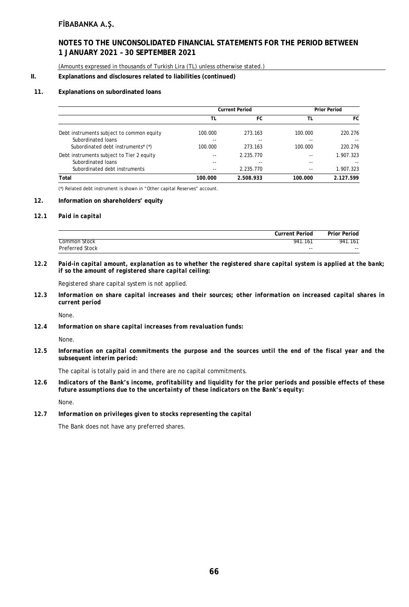### **NOTES TO THE UNCONSOLIDATED FINANCIAL STATEMENTS FOR THE PERIOD BETWEEN 1 JANUARY 2021 – 30 SEPTEMBER 2021**

(Amounts expressed in thousands of Turkish Lira (TL) unless otherwise stated.)

#### **II. Explanations and disclosures related to liabilities (continued)**

#### **11. Explanations on subordinated loans**

|                                                | <b>Current Period</b> |           | <b>Prior Period</b> |           |
|------------------------------------------------|-----------------------|-----------|---------------------|-----------|
|                                                | TL                    | FC        | ΤL                  | FC        |
| Debt instruments subject to common equity      | 100.000               | 273.163   | 100.000             | 220.276   |
| Subordinated Ioans                             | --                    | $- -$     | --                  |           |
| Subordinated debt instruments <sup>*</sup> (*) | 100.000               | 273.163   | 100.000             | 220.276   |
| Debt instruments subject to Tier 2 equity      |                       | 2.235.770 |                     | 1.907.323 |
| Subordinated Ioans                             |                       | $- -$     |                     |           |
| Subordinated debt instruments                  |                       | 2.235.770 |                     | 1.907.323 |
| Total                                          | 100.000               | 2.508.933 | 100.000             | 2.127.599 |

(\*) Related debt instrument is shown in "Other capital Reserves" account.

#### **12. Information on shareholders' equity**

#### *12.1 Paid in capital*

| <b>Current Period</b>      | <b>Prior Period</b> |
|----------------------------|---------------------|
| Common Stock<br>941<br>161 | .161<br>941         |
| Preferred Stock<br>$- -$   | $- -$               |

*12.2 Paid-in capital amount, explanation as to whether the registered share capital system is applied at the bank; if so the amount of registered share capital ceiling:*

Registered share capital system is not applied.

*12.3 Information on share capital increases and their sources; other information on increased capital shares in current period*

None.

*12.4 Information on share capital increases from revaluation funds:*

None.

*12.5 Information on capital commitments the purpose and the sources until the end of the fiscal year and the subsequent interim period:*

The capital is totally paid in and there are no capital commitments.

*12.6 Indicators of the Bank's income, profitability and liquidity for the prior periods and possible effects of these future assumptions due to the uncertainty of these indicators on the Bank's equity:*

None.

*12.7 Information on privileges given to stocks representing the capital*

The Bank does not have any preferred shares.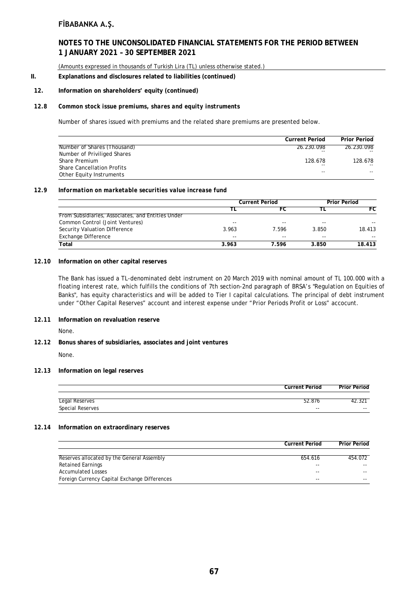# **NOTES TO THE UNCONSOLIDATED FINANCIAL STATEMENTS FOR THE PERIOD BETWEEN 1 JANUARY 2021 – 30 SEPTEMBER 2021**

(Amounts expressed in thousands of Turkish Lira (TL) unless otherwise stated.)

#### **II. Explanations and disclosures related to liabilities (continued)**

#### **12. Information on shareholders' equity (continued)**

#### *12.8 Common stock issue premiums, shares and equity instruments*

Number of shares issued with premiums and the related share premiums are presented below.

|                                   | <b>Current Period</b> | <b>Prior Period</b> |
|-----------------------------------|-----------------------|---------------------|
| Number of Shares (Thousand)       | 26.230.098            | 26.230.098          |
| Number of Priviliged Shares       | $- -$                 |                     |
| Share Premium                     | 128.678               | 128.678             |
| <b>Share Cancellation Profits</b> | $- -$                 | $- -$               |
| Other Equity Instruments          | $ -$                  |                     |

#### *12.9 Information on marketable securities value increase fund*

|                                                   | <b>Current Period</b> |       | Prior Period |        |
|---------------------------------------------------|-----------------------|-------|--------------|--------|
|                                                   |                       | FC    |              | FC     |
| From Subsidiaries, Associates, and Entities Under |                       |       |              |        |
| Common Control (Joint Ventures)                   | $- -$                 | $- -$ | $- -$        | $- -$  |
| Security Valuation Difference                     | 3.963                 | 7.596 | 3.850        | 18.413 |
| Exchange Difference                               | $- -$                 | $-$   | $-$          | $- -$  |
| Total                                             | 3.963                 | 7.596 | 3.850        | 18.413 |

#### *12.10* **Information on other capital reserves**

The Bank has issued a TL-denominated debt instrument on 20 March 2019 with nominal amount of TL 100.000 with a floating interest rate, which fulfills the conditions of 7th section-2nd paragraph of BRSA's "Regulation on Equities of Banks", has equity characteristics and will be added to Tier I capital calculations. The principal of debt instrument under "Other Capital Reserves" account and interest expense under "Prior Periods Profit or Loss" accocunt.

### *12.11* **Information on revaluation reserve**

None.

## *12.12* **Bonus shares of subsidiaries, associates and joint ventures**

None.

#### *12.13* **Information on legal reserves**

|                         | <b>Current Period</b> | <b>Prior Period</b> |
|-------------------------|-----------------------|---------------------|
|                         |                       |                     |
| Legal Reserves          | 52.876                | 42.321              |
| <b>Special Reserves</b> | $-$                   | $- -$               |

#### *12.14* **Information on extraordinary reserves**

|                                               | <b>Current Period</b> | <b>Prior Period</b> |
|-----------------------------------------------|-----------------------|---------------------|
|                                               |                       |                     |
| Reserves allocated by the General Assembly    | 654.616               | 454.072             |
| <b>Retained Earnings</b>                      | $- -$                 | $- -$               |
| <b>Accumulated Losses</b>                     | --                    | $- -$               |
| Foreign Currency Capital Exchange Differences | --                    | $- -$               |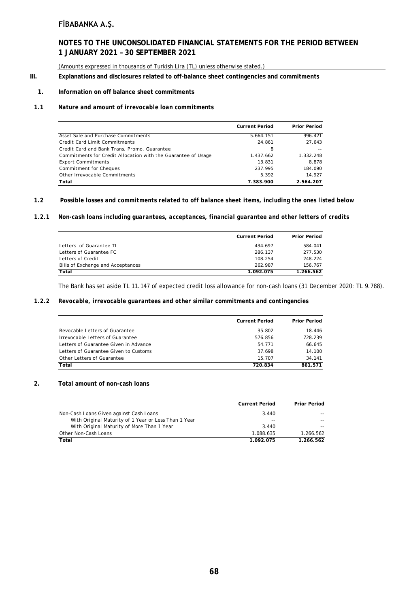# **NOTES TO THE UNCONSOLIDATED FINANCIAL STATEMENTS FOR THE PERIOD BETWEEN 1 JANUARY 2021 – 30 SEPTEMBER 2021**

(Amounts expressed in thousands of Turkish Lira (TL) unless otherwise stated.)

#### **III. Explanations and disclosures related to off-balance sheet contingencies and commitments**

## **1. Information on off balance sheet commitments**

#### *1.1 Nature and amount of irrevocable loan commitments*

|                                                               | <b>Current Period</b> | <b>Prior Period</b> |
|---------------------------------------------------------------|-----------------------|---------------------|
| Asset Sale and Purchase Commitments                           | 5.664.151             | 996.421             |
| Credit Card Limit Commitments                                 | 24.861                | 27.643              |
| Credit Card and Bank Trans, Promo, Guarantee                  | 8                     |                     |
| Commitments for Credit Allocation with the Guarantee of Usage | 1.437.662             | 1.332.248           |
| <b>Export Commitments</b>                                     | 13.831                | 8.878               |
| Commitment for Cheques                                        | 237.995               | 184.090             |
| Other Irrevocable Commitments                                 | 5.392                 | 14.927              |
| Total                                                         | 7.383.900             | 2.564.207           |

#### *1.2 Possible losses and commitments related to off balance sheet items, including the ones listed below*

## *1.2.1 Non-cash loans including guarantees, acceptances, financial guarantee and other letters of credits*

|                                   | <b>Current Period</b> | <b>Prior Period</b> |
|-----------------------------------|-----------------------|---------------------|
| Letters of Guarantee TL           | 434.697               | 584.041             |
| Letters of Guarantee FC           | 286.137               | 277.530             |
| Letters of Credit                 | 108.254               | 248.224             |
| Bills of Exchange and Acceptances | 262.987               | 156.767             |
| Total                             | 1.092.075             | 1.266.562           |

The Bank has set aside TL 11.147 of expected credit loss allowance for non-cash loans (31 December 2020: TL 9.788).

#### *1.2.2 Revocable, irrevocable guarantees and other similar commitments and contingencies*

|                                       | <b>Current Period</b> | <b>Prior Period</b> |
|---------------------------------------|-----------------------|---------------------|
| Revocable Letters of Guarantee        | 35.802                | 18.446              |
| Irrevocable Letters of Guarantee      | 576.856               | 728.239             |
| Letters of Guarantee Given in Advance | 54.771                | 66.645              |
| Letters of Guarantee Given to Customs | 37.698                | 14.100              |
| Other Letters of Guarantee            | 15.707                | 34.141              |
| Total                                 | 720.834               | 861.571             |

## **2. Total amount of non-cash loans**

|                                                      | <b>Current Period</b> | <b>Prior Period</b> |
|------------------------------------------------------|-----------------------|---------------------|
| Non-Cash Loans Given against Cash Loans              | 3.440                 |                     |
| With Original Maturity of 1 Year or Less Than 1 Year | --                    | $- -$               |
| With Original Maturity of More Than 1 Year           | 3.440                 |                     |
| Other Non-Cash Loans                                 | 1.088.635             | 1.266.562           |
| Total                                                | 1.092.075             | 1.266.562           |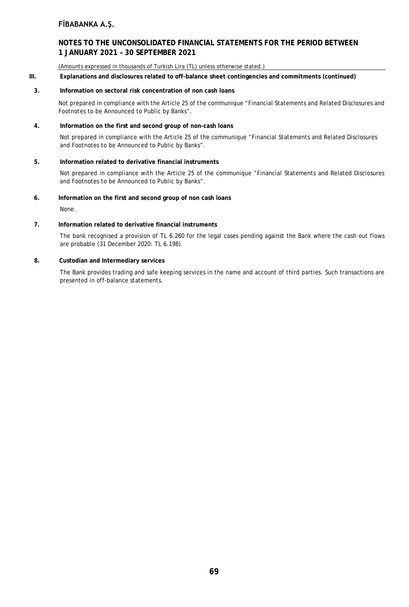# **NOTES TO THE UNCONSOLIDATED FINANCIAL STATEMENTS FOR THE PERIOD BETWEEN 1 JANUARY 2021 – 30 SEPTEMBER 2021**

(Amounts expressed in thousands of Turkish Lira (TL) unless otherwise stated.)

**III. Explanations and disclosures related to off-balance sheet contingencies and commitments (continued)**

## **3. Information on sectoral risk concentration of non cash loans**

Not prepared in compliance with the Article 25 of the communique "Financial Statements and Related Disclosures and Footnotes to be Announced to Public by Banks".

# **4. Information on the first and second group of non-cash loans**

Not prepared in compliance with the Article 25 of the communique "Financial Statements and Related Disclosures and Footnotes to be Announced to Public by Banks".

# **5. Information related to derivative financial instruments**

Not prepared in compliance with the Article 25 of the communique "Financial Statements and Related Disclosures and Footnotes to be Announced to Public by Banks".

## **6. Information on the first and second group of non cash loans**

None.

# **7. Information related to derivative financial instruments**

The bank recognised a provision of TL 6.260 for the legal cases pending against the Bank where the cash out flows are probable (31 December 2020: TL 6.198).

# **8. Custodian and Intermediary services**

The Bank provides trading and safe keeping services in the name and account of third parties. Such transactions are presented in off-balance statements.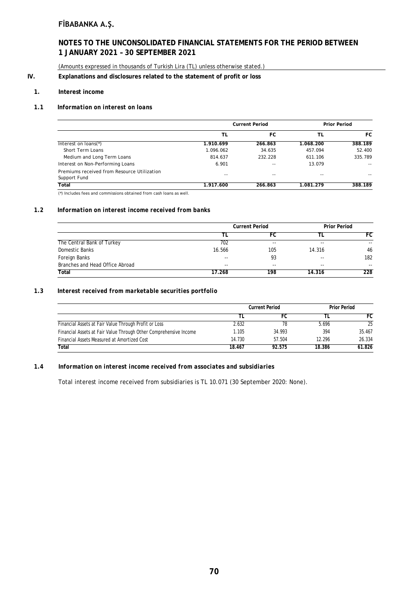# **NOTES TO THE UNCONSOLIDATED FINANCIAL STATEMENTS FOR THE PERIOD BETWEEN 1 JANUARY 2021 – 30 SEPTEMBER 2021**

(Amounts expressed in thousands of Turkish Lira (TL) unless otherwise stated.)

# **IV. Explanations and disclosures related to the statement of profit or loss**

## **1. Interest income**

## *1.1 Information on interest on loans*

|                                                             | <b>Current Period</b> |         | <b>Prior Period</b> |         |
|-------------------------------------------------------------|-----------------------|---------|---------------------|---------|
|                                                             | TL                    | FC      | ΤL                  | FC.     |
| Interest on loans(*)                                        | 1.910.699             | 266.863 | 1.068.200           | 388.189 |
| Short Term Loans                                            | 1.096.062             | 34.635  | 457.094             | 52.400  |
| Medium and Long Term Loans                                  | 814.637               | 232.228 | 611.106             | 335.789 |
| Interest on Non-Performing Loans                            | 6.901                 | $-1$    | 13.079              | $- -$   |
| Premiums received from Resource Utilization<br>Support Fund | $- -$                 | $- -$   | $- -$               | $- -$   |
| Total                                                       | 1.917.600             | 266.863 | 1.081.279           | 388.189 |

(\*) Includes fees and commissions obtained from cash loans as well.

## *1.2 Information on interest income received from banks*

|                                 | <b>Current Period</b> |       | <b>Prior Period</b> |       |
|---------------------------------|-----------------------|-------|---------------------|-------|
|                                 |                       | FC    |                     | FC    |
| The Central Bank of Turkey      | 702                   | $- -$ | $- -$               | $- -$ |
| Domestic Banks                  | 16.566                | 105   | 14.316              | 46    |
| Foreign Banks                   | $- -$                 | 93    | $-$                 | 182   |
| Branches and Head Office Abroad | $-$                   | $- -$ | $- -$               | $-$   |
| Total                           | 17.268                | 198   | 14.316              | 228   |

#### *1.3 Interest received from marketable securities portfolio*

|                                                                   | <b>Current Period</b> |        | <b>Prior Period</b> |        |
|-------------------------------------------------------------------|-----------------------|--------|---------------------|--------|
|                                                                   |                       |        |                     | FC     |
| Financial Assets at Fair Value Through Profit or Loss             | 2.632                 | 78     | 5.696               | 25     |
| Financial Assets at Fair Value Through Other Comprehensive Income | 1.105                 | 34.993 | 394                 | 35.467 |
| Financial Assets Measured at Amortized Cost                       | 14.730                | 57.504 | 12.296              | 26.334 |
| Total                                                             | 18.467                | 92.575 | 18.386              | 61.826 |

#### *1.4 Information on interest income received from associates and subsidiaries*

Total interest income received from subsidiaries is TL 10.071 (30 September 2020: None).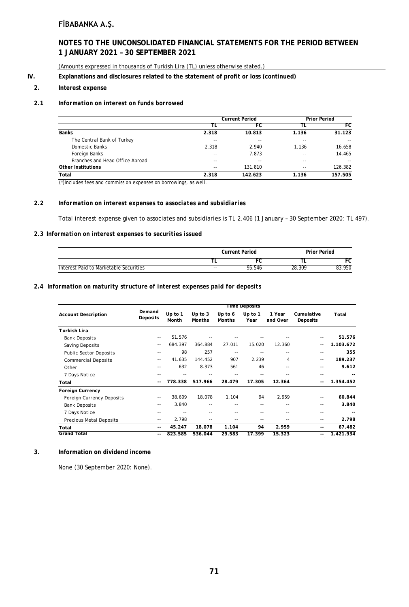# **NOTES TO THE UNCONSOLIDATED FINANCIAL STATEMENTS FOR THE PERIOD BETWEEN 1 JANUARY 2021 – 30 SEPTEMBER 2021**

(Amounts expressed in thousands of Turkish Lira (TL) unless otherwise stated.)

## **IV. Explanations and disclosures related to the statement of profit or loss (continued)**

#### **2. Interest expense**

## *2.1 Information on interest on funds borrowed*

|                                 | <b>Current Period</b> |         |               | <b>Prior Period</b> |
|---------------------------------|-----------------------|---------|---------------|---------------------|
|                                 | Τl                    | FC      | TL            | FC                  |
| <b>Banks</b>                    | 2.318                 | 10.813  | 1.136         | 31.123              |
| The Central Bank of Turkey      | --                    | --      | $- -$         | $- -$               |
| Domestic Banks                  | 2.318                 | 2.940   | 1.136         | 16.658              |
| Foreign Banks                   | $- -$                 | 7.873   | $\sim$ $\sim$ | 14.465              |
| Branches and Head Office Abroad | --                    | --      | $\sim$ $\sim$ | $- -$               |
| Other Institutions              | $- -$                 | 131.810 | $- -$         | 126.382             |
| Total                           | 2.318                 | 142.623 | 1.136         | 157.505             |

(\*)Includes fees and commission expenses on borrowings, as well.

## *2.2 Information on interest expenses to associates and subsidiaries*

Total interest expense given to associates and subsidiaries is TL 2.406 (1 January – 30 September 2020: TL 497).

#### *2.3 Information on interest expenses to securities issued*

|                                        |       | <b>Current Period</b> |        | Prior Period |  |  |
|----------------------------------------|-------|-----------------------|--------|--------------|--|--|
|                                        |       |                       |        | FC           |  |  |
| Interest Paid to Marketable Securities | $- -$ | 95.546                | 28.309 | 83.950       |  |  |

## *2.4 Information on maturity structure of interest expenses paid for deposits*

|                                  |                          | <b>Time Deposits</b> |                            |                          |                 |                    |                        |           |
|----------------------------------|--------------------------|----------------------|----------------------------|--------------------------|-----------------|--------------------|------------------------|-----------|
| <b>Account Description</b>       | Demand<br>Deposits       | Up to $1$<br>Month   | Up to $3$<br><b>Months</b> | Up to 6<br><b>Months</b> | Up to 1<br>Year | 1 Year<br>and Over | Cumulative<br>Deposits | Total     |
| Turkish Lira                     |                          |                      |                            |                          |                 |                    |                        |           |
| <b>Bank Deposits</b>             | $\sim$ $-$               | 51.576               |                            |                          |                 |                    |                        | 51.576    |
| Saving Deposits                  | $\sim$ $\sim$            | 684.397              | 364.884                    | 27.011                   | 15.020          | 12.360             | $\frac{1}{2}$          | 1.103.672 |
| <b>Public Sector Deposits</b>    | $- -$                    | 98                   | 257                        | $- -$                    |                 | $-$                | $ -$                   | 355       |
| <b>Commercial Deposits</b>       | $- -$                    | 41.635               | 144.452                    | 907                      | 2.239           | 4                  | $- -$                  | 189.237   |
| Other                            | $- -$                    | 632                  | 8.373                      | 561                      | 46              | $- -$              | $\frac{1}{2}$          | 9.612     |
| 7 Days Notice                    | $- -$                    |                      |                            |                          |                 |                    | --                     |           |
| Total                            | $\overline{\phantom{a}}$ | 778.338              | 517.966                    | 28.479                   | 17.305          | 12.364             | --                     | 1.354.452 |
| <b>Foreign Currency</b>          |                          |                      |                            |                          |                 |                    |                        |           |
| <b>Foreign Currency Deposits</b> | $\sim$ $-$               | 38.609               | 18.078                     | 1.104                    | 94              | 2.959              | $-$                    | 60.844    |
| <b>Bank Deposits</b>             | $\sim$ $\sim$            | 3.840                | --                         |                          | $- -$           |                    | $ -$                   | 3.840     |
| 7 Days Notice                    | $ -$                     |                      | --                         |                          | $- -$           |                    | $ -$                   |           |
| <b>Precious Metal Deposits</b>   | $- -$                    | 2.798                | --                         |                          | $- -$           |                    | $- -$                  | 2.798     |
| Total                            | $- -$                    | 45.247               | 18.078                     | 1.104                    | 94              | 2.959              | --                     | 67.482    |
| <b>Grand Total</b>               | $\overline{\phantom{a}}$ | 823.585              | 536.044                    | 29.583                   | 17.399          | 15.323             | $- -$                  | 1.421.934 |

# **3. Information on dividend income**

None (30 September 2020: None).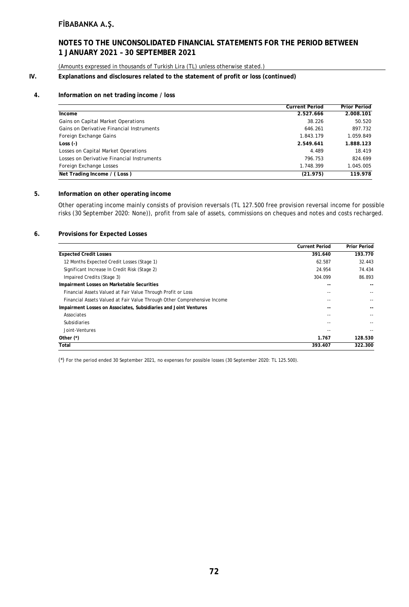# **NOTES TO THE UNCONSOLIDATED FINANCIAL STATEMENTS FOR THE PERIOD BETWEEN 1 JANUARY 2021 – 30 SEPTEMBER 2021**

(Amounts expressed in thousands of Turkish Lira (TL) unless otherwise stated.)

## **IV. Explanations and disclosures related to the statement of profit or loss (continued)**

## **4. Information on net trading income / loss**

|                                            | <b>Current Period</b> | <b>Prior Period</b> |
|--------------------------------------------|-----------------------|---------------------|
| Income                                     | 2.527.666             | 2.008.101           |
| Gains on Capital Market Operations         | 38.226                | 50.520              |
| Gains on Derivative Financial Instruments  | 646.261               | 897.732             |
| Foreign Exchange Gains                     | 1.843.179             | 1.059.849           |
| Loss $(-)$                                 | 2.549.641             | 1.888.123           |
| Losses on Capital Market Operations        | 4.489                 | 18.419              |
| Losses on Derivative Financial Instruments | 796.753               | 824.699             |
| Foreign Exchange Losses                    | 1.748.399             | 1.045.005           |
| Net Trading Income / (Loss)                | (21.975)              | 119.978             |

## **5. Information on other operating income**

Other operating income mainly consists of provision reversals (TL 127.500 free provision reversal income for possible risks (30 September 2020: None)), profit from sale of assets, commissions on cheques and notes and costs recharged.

#### **6. Provisions for Expected Losses**

|                                                                          | <b>Current Period</b> | <b>Prior Period</b> |
|--------------------------------------------------------------------------|-----------------------|---------------------|
| <b>Expected Credit Losses</b>                                            | 391.640               | 193.770             |
| 12 Months Expected Credit Losses (Stage 1)                               | 62.587                | 32.443              |
| Significant Increase In Credit Risk (Stage 2)                            | 24.954                | 74.434              |
| Impaired Credits (Stage 3)                                               | 304.099               | 86.893              |
| Impairment Losses on Marketable Securities                               | --                    | --                  |
| Financial Assets Valued at Fair Value Through Profit or Loss             | --                    | $- -$               |
| Financial Assets Valued at Fair Value Through Other Comprehensive Income | - -                   |                     |
| Impairment Losses on Associates, Subsidiaries and Joint Ventures         |                       |                     |
| Associates                                                               | --                    |                     |
| <b>Subsidiaries</b>                                                      |                       |                     |
| Joint-Ventures                                                           |                       |                     |
| Other $(*)$                                                              | 1.767                 | 128.530             |
| Total                                                                    | 393.407               | 322.300             |

(\*) For the period ended 30 September 2021, no expenses for possible losses (30 September 2020: TL 125.500).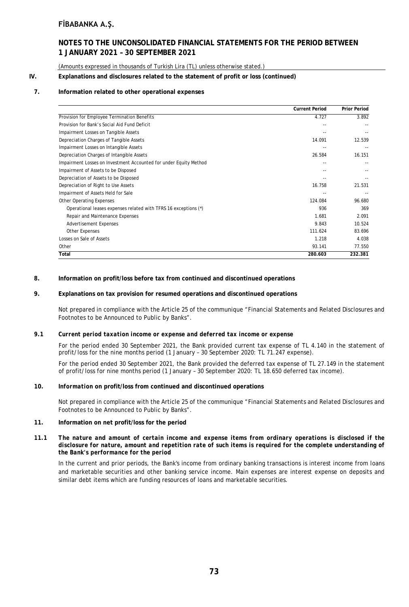# **NOTES TO THE UNCONSOLIDATED FINANCIAL STATEMENTS FOR THE PERIOD BETWEEN 1 JANUARY 2021 – 30 SEPTEMBER 2021**

(Amounts expressed in thousands of Turkish Lira (TL) unless otherwise stated.)

### **IV. Explanations and disclosures related to the statement of profit or loss (continued)**

## **7. Information related to other operational expenses**

|                                                                   | <b>Current Period</b> | <b>Prior Period</b> |
|-------------------------------------------------------------------|-----------------------|---------------------|
| Provision for Employee Termination Benefits                       | 4.727                 | 3.892               |
| Provision for Bank's Social Aid Fund Deficit                      |                       |                     |
| Impairment Losses on Tangible Assets                              |                       |                     |
| Depreciation Charges of Tangible Assets                           | 14.091                | 12.539              |
| Impairment Losses on Intangible Assets                            |                       |                     |
| Depreciation Charges of Intangible Assets                         | 26.584                | 16.151              |
| Impairment Losses on Investment Accounted for under Equity Method | --                    |                     |
| Impairment of Assets to be Disposed                               |                       |                     |
| Depreciation of Assets to be Disposed                             |                       |                     |
| Depreciation of Right to Use Assets                               | 16.758                | 21.531              |
| Impairment of Assets Held for Sale                                |                       |                     |
| <b>Other Operating Expenses</b>                                   | 124.084               | 96.680              |
| Operational leases expenses related with TFRS 16 exceptions (*)   | 936                   | 369                 |
| Repair and Maintenance Expenses                                   | 1.681                 | 2.091               |
| <b>Advertisement Expenses</b>                                     | 9.843                 | 10.524              |
| <b>Other Expenses</b>                                             | 111.624               | 83.696              |
| Losses on Sale of Assets                                          | 1.218                 | 4.038               |
| Other                                                             | 93.141                | 77.550              |
| Total                                                             | 280.603               | 232.381             |

#### **8. Information on profit/loss before tax from continued and discontinued operations**

#### **9. Explanations on tax provision for resumed operations and discontinued operations**

Not prepared in compliance with the Article 25 of the communique "Financial Statements and Related Disclosures and Footnotes to be Announced to Public by Banks".

#### *9.1 Current period taxation income or expense and deferred tax income or expense*

For the period ended 30 September 2021, the Bank provided current tax expense of TL 4.140 in the statement of profit/loss for the nine months period (1 January – 30 September 2020: TL 71.247 expense).

For the period ended 30 September 2021, the Bank provided the deferred tax expense of TL 27.149 in the statement of profit/loss for nine months period (1 January – 30 September 2020: TL 18.650 deferred tax income).

#### **10.** *Information* **on profit/loss from continued and discontinued operations**

Not prepared in compliance with the Article 25 of the communique "Financial Statements and Related Disclosures and Footnotes to be Announced to Public by Banks".

#### **11. Information on net profit/loss for the period**

#### *11.1 The nature and amount of certain income and expense items from ordinary operations is disclosed if the disclosure for nature, amount and repetition rate of such items is required for the complete understanding of the Bank's performance for the period*

In the current and prior periods, the Bank's income from ordinary banking transactions is interest income from loans and marketable securities and other banking service income. Main expenses are interest expense on deposits and similar debt items which are funding resources of loans and marketable securities.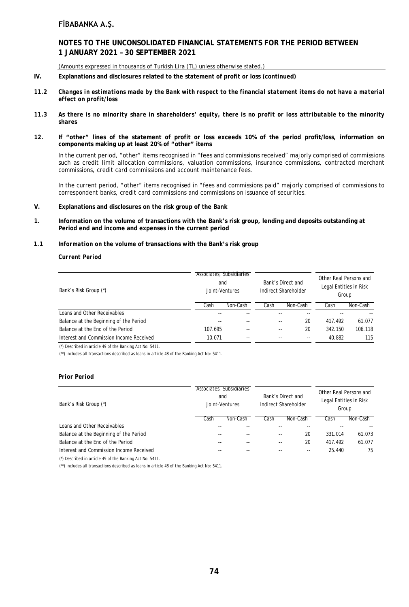# **NOTES TO THE UNCONSOLIDATED FINANCIAL STATEMENTS FOR THE PERIOD BETWEEN 1 JANUARY 2021 – 30 SEPTEMBER 2021**

(Amounts expressed in thousands of Turkish Lira (TL) unless otherwise stated.)

- **IV. Explanations and disclosures related to the statement of profit or loss (continued)**
- *11.2 Changes in estimations made by the Bank with respect to the financial statement items do not have a material effect on profit/loss*
- *11.3 As there is no minority share in shareholders' equity, there is no profit or loss attributable to the minority shares*
- **12. If "other" lines of the statement of profit or loss exceeds 10% of the period profit/loss, information on components making up at least 20% of "other" items**

In the current period, "other" items recognised in "fees and commissions received" majorly comprised of commissions such as credit limit allocation commissions, valuation commissions, insurance commissions, contracted merchant commissions, credit card commissions and account maintenance fees.

In the current period, "other" items recognised in "fees and commissions paid" majorly comprised of commissions to correspondent banks, credit card commissions and commissions on issuance of securities.

- **V. Explanations and disclosures on the risk group of the Bank**
- **1. Information on the volume of transactions with the Bank's risk group, lending and deposits outstanding at Period end and income and expenses in the current period**
- *1.1 Information on the volume* **of transactions with the Bank's risk group**

## *Current Period*

| Bank's Risk Group (*)                   |         | Associates, Subsidiaries<br>and<br>Joint-Ventures | Bank's Direct and<br>Indirect Shareholder |          | Other Real Persons and<br>Legal Entities in Risk<br>Group |          |
|-----------------------------------------|---------|---------------------------------------------------|-------------------------------------------|----------|-----------------------------------------------------------|----------|
|                                         | Cash    | Non-Cash                                          | Cash                                      | Non-Cash | Cash                                                      | Non-Cash |
| Loans and Other Receivables             | --      |                                                   |                                           |          |                                                           |          |
| Balance at the Beginning of the Period  |         |                                                   | $ -$                                      | 20       | 417.492                                                   | 61.077   |
| Balance at the End of the Period        | 107.695 | $ -$                                              | $-$                                       | 20       | 342.150                                                   | 106.118  |
| Interest and Commission Income Received | 10.071  | --                                                | $- -$                                     |          | 40.882                                                    | 115      |

(\*) Described in article 49 of the Banking Act No: 5411.

(\*\*) Includes all transactions described as loans in article 48 of the Banking Act No: 5411.

#### *Prior Period*

| Bank's Risk Group (*)                   |       | Associates, Subsidiaries<br>and<br>Joint-Ventures | Bank's Direct and<br>Indirect Shareholder |          | Other Real Persons and<br>Legal Entities in Risk<br>Group |          |
|-----------------------------------------|-------|---------------------------------------------------|-------------------------------------------|----------|-----------------------------------------------------------|----------|
|                                         | Cash  | Non-Cash                                          | Cash                                      | Non-Cash | Cash                                                      | Non-Cash |
| Loans and Other Receivables             | --    |                                                   |                                           |          |                                                           |          |
| Balance at the Beginning of the Period  | --    |                                                   |                                           | 20       | 331.014                                                   | 61.073   |
| Balance at the End of the Period        | $- -$ |                                                   | $ -$                                      | 20       | 417.492                                                   | 61.077   |
| Interest and Commission Income Received | $- -$ | $- -$                                             | $ -$                                      | --       | 25.440                                                    | 75       |

(\*) Described in article 49 of the Banking Act No: 5411.

(\*\*) Includes all transactions described as loans in article 48 of the Banking Act No: 5411.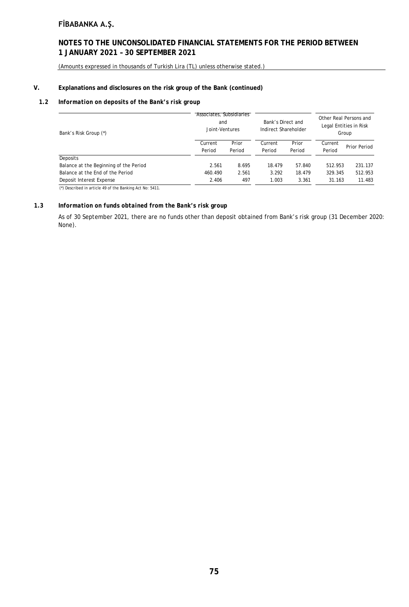# **NOTES TO THE UNCONSOLIDATED FINANCIAL STATEMENTS FOR THE PERIOD BETWEEN 1 JANUARY 2021 – 30 SEPTEMBER 2021**

(Amounts expressed in thousands of Turkish Lira (TL) unless otherwise stated.)

## **V. Explanations and disclosures on the risk group of the Bank (continued)**

# *1.2 Information on deposits of the Bank's risk group*

| Bank's Risk Group (*)                  | Associates, Subsidiaries<br>and<br>Joint-Ventures |                 | Bank's Direct and<br>Indirect Shareholder |                 | Other Real Persons and<br>Legal Entities in Risk<br>Group |              |
|----------------------------------------|---------------------------------------------------|-----------------|-------------------------------------------|-----------------|-----------------------------------------------------------|--------------|
|                                        | Current<br>Period                                 | Prior<br>Period | Current<br>Period                         | Prior<br>Period | Current<br>Period                                         | Prior Period |
| Deposits                               |                                                   |                 |                                           |                 |                                                           |              |
| Balance at the Beginning of the Period | 2.561                                             | 8.695           | 18.479                                    | 57.840          | 512.953                                                   | 231.137      |
| Balance at the End of the Period       | 460.490                                           | 2.561           | 3.292                                     | 18.479          | 329.345                                                   | 512.953      |
| Deposit Interest Expense               | 2.406                                             | 497             | 1.003                                     | 3.361           | 31.163                                                    | 11.483       |
|                                        |                                                   |                 |                                           |                 |                                                           |              |

(\*) Described in article 49 of the Banking Act No: 5411.

# *1.3 Information on funds obtained from the Bank's risk group*

As of 30 September 2021, there are no funds other than deposit obtained from Bank's risk group (31 December 2020: None).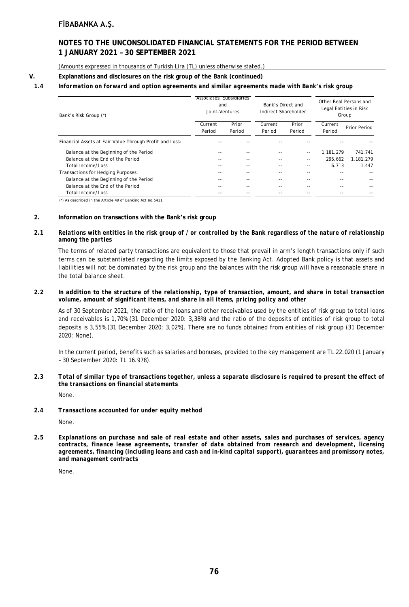# **NOTES TO THE UNCONSOLIDATED FINANCIAL STATEMENTS FOR THE PERIOD BETWEEN 1 JANUARY 2021 – 30 SEPTEMBER 2021**

(Amounts expressed in thousands of Turkish Lira (TL) unless otherwise stated.)

## **V. Explanations and disclosures on the risk group of the Bank (continued)**

# *1.4 Information on forward and option agreements and similar agreements made with Bank's risk group*

| Bank's Risk Group (*)                                   | Associates, Subsidiaries<br>and<br>Joint-Ventures |        | Bank's Direct and<br>Indirect Shareholder |        | Other Real Persons and<br>Legal Entities in Risk<br>Group |              |
|---------------------------------------------------------|---------------------------------------------------|--------|-------------------------------------------|--------|-----------------------------------------------------------|--------------|
|                                                         | Current                                           | Prior  | Current                                   | Prior  | Current                                                   | Prior Period |
|                                                         | Period                                            | Period | Period                                    | Period | Period                                                    |              |
| Financial Assets at Fair Value Through Profit and Loss: |                                                   |        |                                           |        |                                                           |              |
| Balance at the Beginning of the Period                  | --                                                |        | --                                        | $- -$  | 1.181.279                                                 | 741.741      |
| Balance at the End of the Period                        | --                                                | $- -$  | $- -$                                     | $- -$  | 295.662                                                   | 1.181.279    |
| Total Income/Loss                                       |                                                   |        | --                                        | $- -$  | 6.713                                                     | 1.447        |
| Transactions for Hedging Purposes:                      |                                                   |        |                                           |        |                                                           |              |
| Balance at the Beginning of the Period                  | --                                                |        | --                                        |        |                                                           |              |
| Balance at the End of the Period                        | --                                                | $- -$  | --                                        | --     |                                                           |              |
| Total Income/Loss                                       |                                                   |        |                                           |        |                                                           |              |
| $\sqrt{2}$                                              |                                                   |        |                                           |        |                                                           |              |

(\*) As described in the Article 49 of Banking Act no.5411.

## **2. Information on transactions with the Bank's risk group**

## *2.1 Relations with entities in the risk group of / or controlled by the Bank regardless of the nature of relationship among the parties*

The terms of related party transactions are equivalent to those that prevail in arm's length transactions only if such terms can be substantiated regarding the limits exposed by the Banking Act. Adopted Bank policy is that assets and liabilities will not be dominated by the risk group and the balances with the risk group will have a reasonable share in the total balance sheet.

#### *2.2 In addition to the structure of the relationship, type of transaction, amount, and share in total transaction volume, amount of significant items, and share in all items, pricing policy and other*

As of 30 September 2021, the ratio of the loans and other receivables used by the entities of risk group to total loans and receivables is 1,70% (31 December 2020: 3,38%) and the ratio of the deposits of entities of risk group to total deposits is 3,55% (31 December 2020: 3,02%). There are no funds obtained from entities of risk group (31 December 2020: None).

In the current period, benefits such as salaries and bonuses, provided to the key management are TL 22.020 (1 January – 30 September 2020: TL 16.978).

# *2.3 Total of similar type of transactions together, unless a separate disclosure is required to present the effect of the transactions on financial statements*

None.

#### *2.4 Transactions accounted for under equity method*

None.

*2.5 Explanations on purchase and sale of real estate and other assets, sales and purchases of services, agency contracts, finance lease agreements, transfer of data obtained from research and development, licensing agreements, financing (including loans and cash and in-kind capital support), guarantees and promissory notes, and management contracts*

None.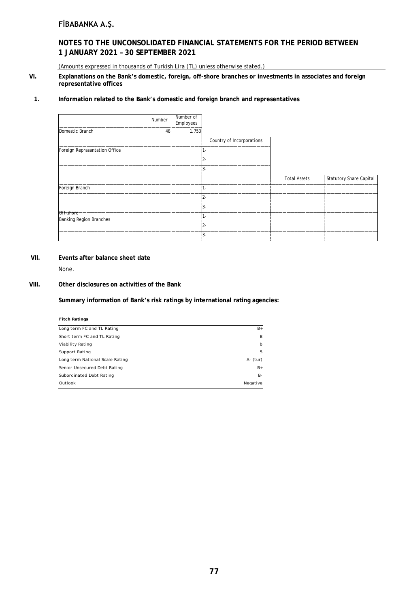# **NOTES TO THE UNCONSOLIDATED FINANCIAL STATEMENTS FOR THE PERIOD BETWEEN 1 JANUARY 2021 – 30 SEPTEMBER 2021**

(Amounts expressed in thousands of Turkish Lira (TL) unless otherwise stated.)

**VI. Explanations on the Bank's domestic, foreign, off-shore branches or investments in associates and foreign representative offices**

## **1. Information related to the Bank's domestic and foreign branch and representatives**

|                                             | Number | Number of<br>Employees |                           |                     |                                |
|---------------------------------------------|--------|------------------------|---------------------------|---------------------|--------------------------------|
| Domestic Branch                             | 48     | 1.753                  |                           |                     |                                |
|                                             |        |                        | Country of Incorporations |                     |                                |
| Foreign Reprasantation Office               |        |                        | 1-                        |                     |                                |
|                                             |        |                        | $2 -$                     |                     |                                |
|                                             |        |                        | $3-$                      |                     |                                |
|                                             |        |                        |                           | <b>Total Assets</b> | <b>Statutory Share Capital</b> |
| Foreign Branch                              |        |                        | 1-                        |                     |                                |
|                                             |        |                        | $2 -$                     |                     |                                |
|                                             |        |                        | $3-$                      |                     |                                |
| Off-shore<br><b>Banking Region Branches</b> |        |                        | 1-                        |                     |                                |
|                                             |        |                        | $2 -$                     |                     |                                |
|                                             |        |                        | 3-                        |                     |                                |

# **VII. Events after balance sheet date**

None.

## **VIII. Other disclosures on activities of the Bank**

**Summary information of Bank's risk ratings by international rating agencies:**

| <b>Fitch Ratings</b>            |             |
|---------------------------------|-------------|
| Long term FC and TL Rating      | $B+$        |
| Short term FC and TL Rating     | B           |
| Viability Rating                | $b$         |
| Support Rating                  | 5           |
| Long term National Scale Rating | $A - (tur)$ |
| Senior Unsecured Debt Rating    | $B+$        |
| Subordinated Debt Rating        | <b>B-</b>   |
| Outlook                         | Negative    |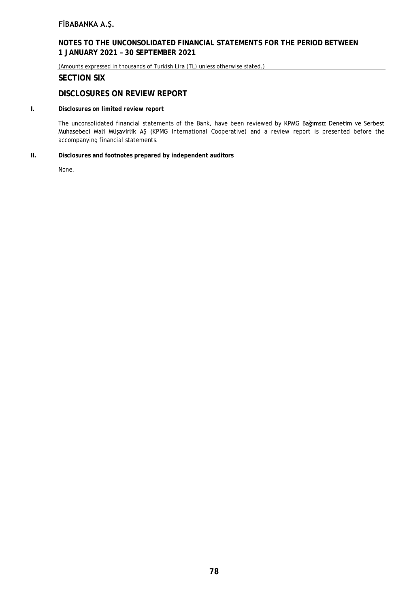# **NOTES TO THE UNCONSOLIDATED FINANCIAL STATEMENTS FOR THE PERIOD BETWEEN 1 JANUARY 2021 – 30 SEPTEMBER 2021**

(Amounts expressed in thousands of Turkish Lira (TL) unless otherwise stated.)

# **SECTION SIX**

# **DISCLOSURES ON REVIEW REPORT**

## **I. Disclosures on limited review report**

The unconsolidated financial statements of the Bank, have been reviewed by KPMG Bağımsız Denetim ve Serbest Muhasebeci Mali Müşavirlik AŞ (KPMG International Cooperative) and a review report is presented before the accompanying financial statements.

## **II. Disclosures and footnotes prepared by independent auditors**

None.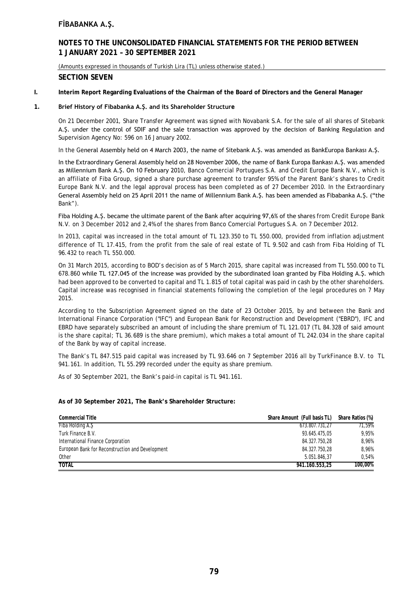# **NOTES TO THE UNCONSOLIDATED FINANCIAL STATEMENTS FOR THE PERIOD BETWEEN 1 JANUARY 2021 – 30 SEPTEMBER 2021**

(Amounts expressed in thousands of Turkish Lira (TL) unless otherwise stated.)

# **SECTION SEVEN**

**I. Interim Report Regarding Evaluations of the Chairman of the Board of Directors and the General Manager**

## **1. Brief History of Fibabanka A.Ş. and its Shareholder Structure**

On 21 December 2001, Share Transfer Agreement was signed with Novabank S.A. for the sale of all shares of Sitebank A.Ş. under the control of SDIF and the sale transaction was approved by the decision of Banking Regulation and Supervision Agency No: 596 on 16 January 2002.

In the General Assembly held on 4 March 2003, the name of Sitebank A.Ş. was amended as BankEuropa Bankası A.Ş.

In the Extraordinary General Assembly held on 28 November 2006, the name of Bank Europa Bankası A.Ş. was amended as Millennium Bank A.Ş. On 10 February 2010, Banco Comercial Portugues S.A. and Credit Europe Bank N.V., which is an affiliate of Fiba Group, signed a share purchase agreement to transfer 95% of the Parent Bank's shares to Credit Europe Bank N.V. and the legal approval process has been completed as of 27 December 2010. In the Extraordinary General Assembly held on 25 April 2011 the name of Millennium Bank A.Ş. has been amended as Fibabanka A.Ş. ("the Bank").

Fiba Holding A.Ş. became the ultimate parent of the Bank after acquiring 97,6% of the shares from Credit Europe Bank N.V. on 3 December 2012 and 2,4% of the shares from Banco Comercial Portugues S.A. on 7 December 2012.

In 2013, capital was increased in the total amount of TL 123.350 to TL 550.000, provided from inflation adjustment difference of TL 17.415, from the profit from the sale of real estate of TL 9.502 and cash from Fiba Holding of TL 96.432 to reach TL 550.000.

On 31 March 2015, according to BOD's decision as of 5 March 2015, share capital was increased from TL 550.000 to TL 678.860 while TL 127.045 of the increase was provided by the subordinated loan granted by Fiba Holding A.Ş. which had been approved to be converted to capital and TL 1.815 of total capital was paid in cash by the other shareholders. Capital increase was recognised in financial statements following the completion of the legal procedures on 7 May 2015.

According to the Subscription Agreement signed on the date of 23 October 2015, by and between the Bank and International Finance Corporation ("IFC") and European Bank for Reconstruction and Development ("EBRD"), IFC and EBRD have separately subscribed an amount of including the share premium of TL 121.017 (TL 84.328 of said amount is the share capital; TL 36.689 is the share premium), which makes a total amount of TL 242.034 in the share capital of the Bank by way of capital increase.

The Bank's TL 847.515 paid capital was increased by TL 93.646 on 7 September 2016 all by TurkFinance B.V. to TL 941.161. In addition, TL 55.299 recorded under the equity as share premium.

As of 30 September 2021, the Bank's paid-in capital is TL 941.161.

#### **As of 30 September 2021, The Bank's Shareholder Structure:**

| <b>Commercial Title</b>                          | Share Amount (Full basis TL) | Share Ratios (%) |
|--------------------------------------------------|------------------------------|------------------|
| Fiba Holding A.Ş                                 | 673.807.731.27               | 71.59%           |
| Turk Finance B.V.                                | 93.645.475.05                | 9.95%            |
| International Finance Corporation                | 84.327.750.28                | 8,96%            |
| European Bank for Reconstruction and Development | 84.327.750,28                | 8,96%            |
| Other                                            | 5.051.846.37                 | 0.54%            |
| <b>TOTAL</b>                                     | 941.160.553.25               | 100,00%          |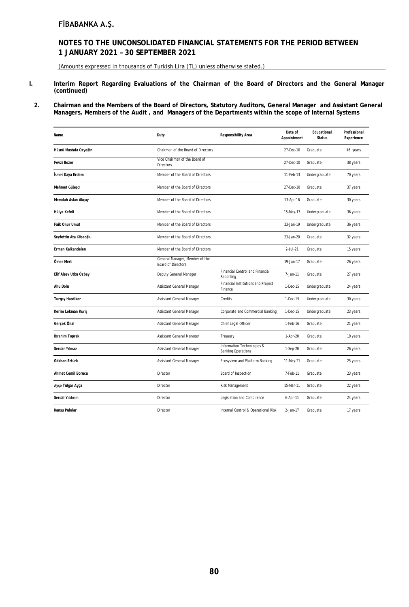# **NOTES TO THE UNCONSOLIDATED FINANCIAL STATEMENTS FOR THE PERIOD BETWEEN 1 JANUARY 2021 – 30 SEPTEMBER 2021**

(Amounts expressed in thousands of Turkish Lira (TL) unless otherwise stated.)

- **I. Interim Report Regarding Evaluations of the Chairman of the Board of Directors and the General Manager (continued)**
- **2. Chairman and the Members of the Board of Directors, Statutory Auditors, General Manager and Assistant General Managers, Members of the Audit , and Managers of the Departments within the scope of Internal Systems**

| Name                      | Duty                                                        | Responsibility Area                                     | Date of<br>Appointment | Educational<br><b>Status</b> | Professional<br>Experience |
|---------------------------|-------------------------------------------------------------|---------------------------------------------------------|------------------------|------------------------------|----------------------------|
| Hüsnü Mustafa Özyeğin     | Chairman of the Board of Directors                          |                                                         | 27-Dec-10              | Graduate                     | 46 years                   |
| Fevzi Bozer               | Vice Chairman of the Board of<br>Directors                  |                                                         | 27-Dec-10              | Graduate                     | 38 years                   |
| İsmet Kaya Erdem          | Member of the Board of Directors                            |                                                         | 11-Feb-13              | Undergraduate                | 70 years                   |
| Mehmet Güleşci            | Member of the Board of Directors                            |                                                         | 27-Dec-10              | Graduate                     | 37 years                   |
| Memduh Aslan Akçay        | Member of the Board of Directors                            |                                                         | 13-Apr-16              | Graduate                     | 30 years                   |
| Hülya Kefeli              | Member of the Board of Directors                            |                                                         | 15-May-17              | Undergraduate                | 36 years                   |
| Faik Onur Umut            | Member of the Board of Directors                            |                                                         | 23-Jan-19              | Undergraduate                | 36 years                   |
| Seyfettin Ata Köseoğlu    | Member of the Board of Directors                            |                                                         | 23-Jan-20              | Graduate                     | 32 years                   |
| Erman Kalkandelen         | Member of the Board of Directors                            |                                                         | 2-Jul-21               | Graduate                     | 15 years                   |
| Ömer Mert                 | General Manager, Member of the<br><b>Board of Directors</b> |                                                         | 19-Jan-17              | Graduate                     | 26 years                   |
| Elif Alsev Utku Özbey     | Deputy General Manager                                      | <b>Financial Control and Financial</b><br>Reporting     | 7-Jan-11               | Graduate                     | 27 years                   |
| Ahu Dolu                  | Assistant General Manager                                   | Financial Institutions and Project<br>Finance           | 1-Dec-15               | Undergraduate                | 24 years                   |
| <b>Turgay Hasdiker</b>    | Assistant General Manager                                   | Credits                                                 | 1-Dec-15               | Undergraduate                | 30 years                   |
| Kerim Lokman Kuriş        | Assistant General Manager                                   | Corporate and Commercial Banking                        | 1-Dec-15               | Undergraduate                | 23 years                   |
| Gerçek Önal               | Assistant General Manager                                   | Chief Legal Officer                                     | 1-Feb-16               | Graduate                     | 21 years                   |
| <b>Ibrahim Toprak</b>     | Assistant General Manager                                   | Treasury                                                | 1-Apr-20               | Graduate                     | 19 years                   |
| Serdar Yılmaz             | Assistant General Manager                                   | Information Technologies &<br><b>Banking Operations</b> | 1-Sep-20               | Graduate                     | 26 years                   |
| Gökhan Ertürk             | Assistant General Manager                                   | Ecosystem and Platform Banking                          | 11-May-21              | Graduate                     | 25 years                   |
| <b>Ahmet Cemil Borucu</b> | Director                                                    | Board of Inspection                                     | 7-Feb-11               | Graduate                     | 23 years                   |
| Ayşe Tulgar Ayça          | Director                                                    | Risk Management                                         | 15-Mar-11              | Graduate                     | 22 years                   |
| Serdal Yıldırım           | Director                                                    | Legislation and Compliance                              | 6-Apr-11               | Graduate                     | 24 years                   |
| Kansu Pulular             | Director                                                    | Internal Control & Operational Risk                     | 2-Jan-17               | Graduate                     | 17 years                   |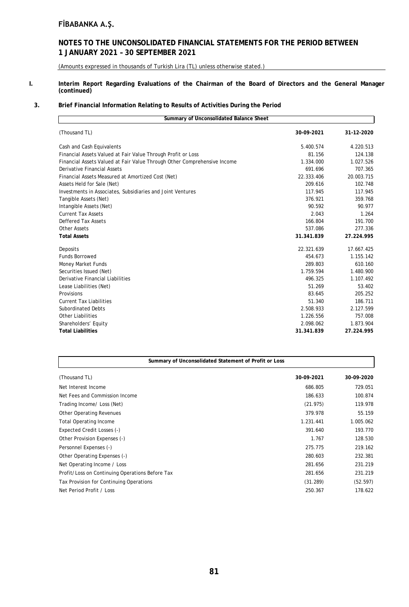# **NOTES TO THE UNCONSOLIDATED FINANCIAL STATEMENTS FOR THE PERIOD BETWEEN 1 JANUARY 2021 – 30 SEPTEMBER 2021**

(Amounts expressed in thousands of Turkish Lira (TL) unless otherwise stated.)

#### **I. Interim Report Regarding Evaluations of the Chairman of the Board of Directors and the General Manager (continued)**

## **3. Brief Financial Information Relating to Results of Activities During the Period**

| Summary of Unconsolidated Balance Sheet                                  |            |            |
|--------------------------------------------------------------------------|------------|------------|
| (Thousand TL)                                                            | 30-09-2021 | 31-12-2020 |
| Cash and Cash Equivalents                                                | 5.400.574  | 4.220.513  |
| Financial Assets Valued at Fair Value Through Profit or Loss             | 81.156     | 124.138    |
| Financial Assets Valued at Fair Value Through Other Comprehensive Income | 1.334.000  | 1.027.526  |
| <b>Derivative Financial Assets</b>                                       | 691.696    | 707.365    |
| Financial Assets Measured at Amortized Cost (Net)                        | 22.333.406 | 20.003.715 |
| Assets Held for Sale (Net)                                               | 209.616    | 102.748    |
| Investments in Associates, Subsidiaries and Joint Ventures               | 117.945    | 117.945    |
| Tangible Assets (Net)                                                    | 376.921    | 359.768    |
| Intangible Assets (Net)                                                  | 90.592     | 90.977     |
| <b>Current Tax Assets</b>                                                | 2.043      | 1.264      |
| Deffered Tax Assets                                                      | 166.804    | 191.700    |
| <b>Other Assets</b>                                                      | 537.086    | 277.336    |
| <b>Total Assets</b>                                                      | 31.341.839 | 27.224.995 |
| Deposits                                                                 | 22.321.639 | 17.667.425 |
| <b>Funds Borrowed</b>                                                    | 454.673    | 1.155.142  |
| Money Market Funds                                                       | 289.803    | 610.160    |
| Securities Issued (Net)                                                  | 1.759.594  | 1.480.900  |
| Derivative Financial Liabilities                                         | 496.325    | 1.107.492  |
| Lease Liabilities (Net)                                                  | 51.269     | 53.402     |
| Provisions                                                               | 83.645     | 205.252    |
| <b>Current Tax Liabilities</b>                                           | 51.340     | 186.711    |
| <b>Subordinated Debts</b>                                                | 2.508.933  | 2.127.599  |
| <b>Other Liabilities</b>                                                 | 1.226.556  | 757.008    |
| Shareholders' Equity                                                     | 2.098.062  | 1.873.904  |
| <b>Total Liabilities</b>                                                 | 31.341.839 | 27.224.995 |

| Summary of Unconsolidated Statement of Profit or Loss |            |            |  |  |  |
|-------------------------------------------------------|------------|------------|--|--|--|
| (Thousand TL)                                         | 30-09-2021 | 30-09-2020 |  |  |  |
| Net Interest Income                                   | 686.805    | 729.051    |  |  |  |
| Net Fees and Commission Income                        | 186.633    | 100.874    |  |  |  |
| Trading Income/ Loss (Net)                            | (21.975)   | 119.978    |  |  |  |
| Other Operating Revenues                              | 379.978    | 55.159     |  |  |  |
| <b>Total Operating Income</b>                         | 1.231.441  | 1.005.062  |  |  |  |
| Expected Credit Losses (-)                            | 391.640    | 193.770    |  |  |  |
| Other Provision Expenses (-)                          | 1.767      | 128.530    |  |  |  |
| Personnel Expenses (-)                                | 275.775    | 219.162    |  |  |  |
| Other Operating Expenses (-)                          | 280.603    | 232.381    |  |  |  |
| Net Operating Income / Loss                           | 281.656    | 231.219    |  |  |  |
| Profit/Loss on Continuing Operations Before Tax       | 281.656    | 231.219    |  |  |  |
| Tax Provision for Continuing Operations               | (31.289)   | (52.597)   |  |  |  |
| Net Period Profit / Loss                              | 250.367    | 178.622    |  |  |  |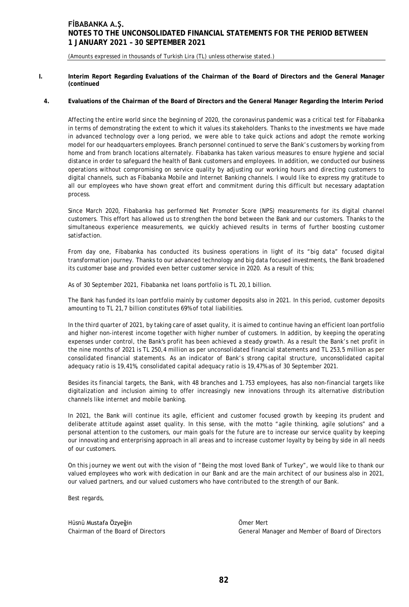(Amounts expressed in thousands of Turkish Lira (TL) unless otherwise stated.)

**I. Interim Report Regarding Evaluations of the Chairman of the Board of Directors and the General Manager (continued**

# **4. Evaluations of the Chairman of the Board of Directors and the General Manager Regarding the Interim Period**

Affecting the entire world since the beginning of 2020, the coronavirus pandemic was a critical test for Fibabanka in terms of demonstrating the extent to which it values its stakeholders. Thanks to the investments we have made in advanced technology over a long period, we were able to take quick actions and adopt the remote working model for our headquarters employees. Branch personnel continued to serve the Bank's customers by working from home and from branch locations alternately. Fibabanka has taken various measures to ensure hygiene and social distance in order to safeguard the health of Bank customers and employees. In addition, we conducted our business operations without compromising on service quality by adjusting our working hours and directing customers to digital channels, such as Fibabanka Mobile and Internet Banking channels. I would like to express my gratitude to all our employees who have shown great effort and commitment during this difficult but necessary adaptation process.

Since March 2020, Fibabanka has performed Net Promoter Score (NPS) measurements for its digital channel customers. This effort has allowed us to strengthen the bond between the Bank and our customers. Thanks to the simultaneous experience measurements, we quickly achieved results in terms of further boosting customer satisfaction.

From day one, Fibabanka has conducted its business operations in light of its "big data" focused digital transformation journey. Thanks to our advanced technology and big data focused investments, the Bank broadened its customer base and provided even better customer service in 2020. As a result of this;

As of 30 September 2021, Fibabanka net loans portfolio is TL 20,1 billion.

The Bank has funded its loan portfolio mainly by customer deposits also in 2021. In this period, customer deposits amounting to TL 21,7 billion constitutes 69% of total liabilities.

In the third quarter of 2021, by taking care of asset quality, it is aimed to continue having an efficient loan portfolio and higher non-interest income together with higher number of customers. In addition, by keeping the operating expenses under control, the Bank's profit has been achieved a steady growth. As a result the Bank's net profit in the nine months of 2021 is TL 250,4 million as per unconsolidated financial statements and TL 253,5 million as per consolidated financial statements. As an indicator of Bank's strong capital structure, unconsolidated capital adequacy ratio is 19,41%, consolidated capital adequacy ratio is 19,47% as of 30 September 2021.

Besides its financial targets, the Bank, with 48 branches and 1.753 employees, has also non-financial targets like digitalization and inclusion aiming to offer increasingly new innovations through its alternative distribution channels like internet and mobile banking.

In 2021, the Bank will continue its agile, efficient and customer focused growth by keeping its prudent and deliberate attitude against asset quality. In this sense, with the motto "agile thinking, agile solutions" and a personal attention to the customers, our main goals for the future are to increase our service quality by keeping our innovating and enterprising approach in all areas and to increase customer loyalty by being by side in all needs of our customers.

On this journey we went out with the vision of "Being the most loved Bank of Turkey", we would like to thank our valued employees who work with dedication in our Bank and are the main architect of our business also in 2021, our valued partners, and our valued customers who have contributed to the strength of our Bank.

Best regards,

Hüsnü Mustafa Özyeğin Ömer Mert

Chairman of the Board of Directors General Manager and Member of Board of Directors